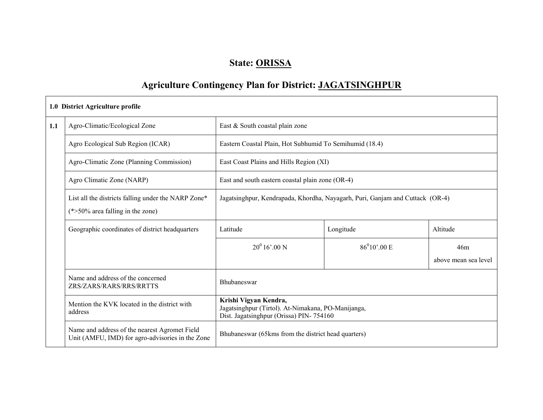### State: ORISSA

### Agriculture Contingency Plan for District: JAGATSINGHPUR

┑

|     | 1.0 District Agriculture profile                                                                  |                                                                                                                        |                                                         |                             |  |  |  |
|-----|---------------------------------------------------------------------------------------------------|------------------------------------------------------------------------------------------------------------------------|---------------------------------------------------------|-----------------------------|--|--|--|
| 1.1 | Agro-Climatic/Ecological Zone                                                                     | East & South coastal plain zone                                                                                        |                                                         |                             |  |  |  |
|     | Agro Ecological Sub Region (ICAR)                                                                 |                                                                                                                        | Eastern Coastal Plain, Hot Subhumid To Semihumid (18.4) |                             |  |  |  |
|     | Agro-Climatic Zone (Planning Commission)                                                          |                                                                                                                        | East Coast Plains and Hills Region (XI)                 |                             |  |  |  |
|     | Agro Climatic Zone (NARP)                                                                         | East and south eastern coastal plain zone (OR-4)                                                                       |                                                         |                             |  |  |  |
|     | List all the districts falling under the NARP Zone*<br>$(*>50\%$ area falling in the zone)        | Jagatsinghpur, Kendrapada, Khordha, Nayagarh, Puri, Ganjam and Cuttack (OR-4)                                          |                                                         |                             |  |  |  |
|     | Geographic coordinates of district headquarters                                                   | Latitude<br>Longitude                                                                                                  |                                                         | Altitude                    |  |  |  |
|     |                                                                                                   | $20^0 16' 00 N$                                                                                                        | $86^010'$ ,00 E                                         | 46m<br>above mean sea level |  |  |  |
|     | Name and address of the concerned<br>ZRS/ZARS/RARS/RRS/RRTTS                                      | Bhubaneswar                                                                                                            |                                                         |                             |  |  |  |
|     | Mention the KVK located in the district with<br>address                                           | Krishi Vigyan Kendra,<br>Jagatsinghpur (Tirtol). At-Nimakana, PO-Manijanga,<br>Dist. Jagatsinghpur (Orissa) PIN-754160 |                                                         |                             |  |  |  |
|     | Name and address of the nearest Agromet Field<br>Unit (AMFU, IMD) for agro-advisories in the Zone | Bhubaneswar (65 kms from the district head quarters)                                                                   |                                                         |                             |  |  |  |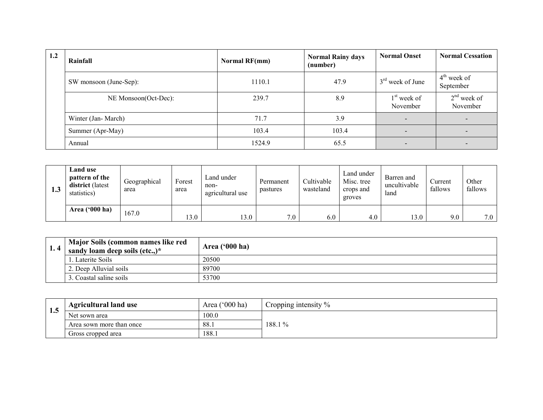| 1.2 | Rainfall               | <b>Normal RF(mm)</b> | <b>Normal Rainy days</b><br>(number) | <b>Normal Onset</b>       | <b>Normal Cessation</b>    |
|-----|------------------------|----------------------|--------------------------------------|---------------------------|----------------------------|
|     | SW monsoon (June-Sep): | 1110.1               | 47.9                                 | $3rd$ week of June        | $4th$ week of<br>September |
|     | NE Monsoon(Oct-Dec):   | 239.7                | 8.9                                  | $1st$ week of<br>November | $2nd$ week of<br>November  |
|     | Winter (Jan-March)     | 71.7                 | 3.9                                  |                           |                            |
|     | Summer (Apr-May)       | 103.4                | 103.4                                |                           |                            |
|     | Annual                 | 1524.9               | 65.5                                 | $\qquad \qquad$           |                            |

| د ا<br>ل. 1 | Land use<br>pattern of the<br>district (latest<br>statistics) | Geographical<br>area | Forest<br>area | Land under<br>non-<br>agricultural use | Permanent<br>pastures | Cultivable<br>wasteland | Land under<br>Misc. tree<br>crops and<br>groves | Barren and<br>uncultivable<br>land | Current<br>fallows | Other<br>fallows |
|-------------|---------------------------------------------------------------|----------------------|----------------|----------------------------------------|-----------------------|-------------------------|-------------------------------------------------|------------------------------------|--------------------|------------------|
|             | Area $('000 ha)$                                              | 167.0                | 13.0           | 13.0                                   | 7.0                   | 6.0                     | 4.0                                             | 13.0                               | 9.0                | 7.0              |

| Major Soils (common names like red<br>sandy loam deep soils (etc.,) $*$ | Area $(900 \text{ ha})$ |
|-------------------------------------------------------------------------|-------------------------|
| Laterite Soils                                                          | 20500                   |
| 2. Deep Alluvial soils                                                  | 89700                   |
| 3. Coastal saline soils                                                 | 53700                   |

|     | <b>Agricultural land use</b> | Area ('000 ha) | Cropping intensity $\%$ |
|-----|------------------------------|----------------|-------------------------|
| 1.J | Net sown area                | 100.0          |                         |
|     | Area sown more than once     | 88.1           | 188.1%                  |
|     | Gross cropped area           | 188.1          |                         |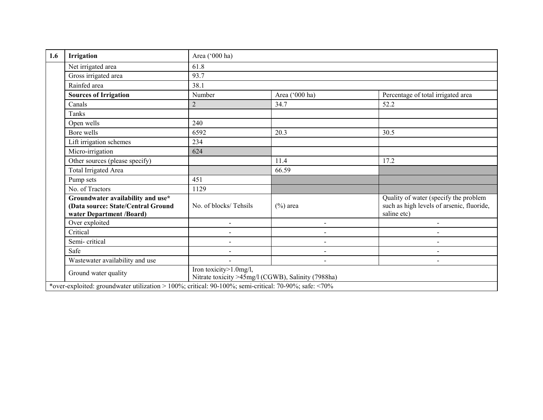| 1.6 | Irrigation                                                                                            | Area ('000 ha)                                                               |                          |                                                                                                   |  |  |  |  |
|-----|-------------------------------------------------------------------------------------------------------|------------------------------------------------------------------------------|--------------------------|---------------------------------------------------------------------------------------------------|--|--|--|--|
|     | Net irrigated area                                                                                    | 61.8                                                                         |                          |                                                                                                   |  |  |  |  |
|     | Gross irrigated area                                                                                  | 93.7                                                                         |                          |                                                                                                   |  |  |  |  |
|     | Rainfed area                                                                                          | 38.1                                                                         |                          |                                                                                                   |  |  |  |  |
|     | <b>Sources of Irrigation</b>                                                                          | Number                                                                       | Area ('000 ha)           | Percentage of total irrigated area                                                                |  |  |  |  |
|     | Canals                                                                                                | $\overline{2}$                                                               | 34.7                     | 52.2                                                                                              |  |  |  |  |
|     | Tanks                                                                                                 |                                                                              |                          |                                                                                                   |  |  |  |  |
|     | Open wells                                                                                            | 240                                                                          |                          |                                                                                                   |  |  |  |  |
|     | Bore wells                                                                                            | 6592                                                                         | 20.3                     | 30.5                                                                                              |  |  |  |  |
|     | Lift irrigation schemes                                                                               | 234                                                                          |                          |                                                                                                   |  |  |  |  |
|     | Micro-irrigation                                                                                      | 624                                                                          |                          |                                                                                                   |  |  |  |  |
|     | Other sources (please specify)                                                                        |                                                                              | 11.4                     | 17.2                                                                                              |  |  |  |  |
|     | Total Irrigated Area                                                                                  |                                                                              | 66.59                    |                                                                                                   |  |  |  |  |
|     | Pump sets                                                                                             | 451                                                                          |                          |                                                                                                   |  |  |  |  |
|     | No. of Tractors                                                                                       | 1129                                                                         |                          |                                                                                                   |  |  |  |  |
|     | Groundwater availability and use*<br>(Data source: State/Central Ground<br>water Department /Board)   | No. of blocks/Tehsils                                                        | $(\%)$ area              | Quality of water (specify the problem<br>such as high levels of arsenic, fluoride,<br>saline etc) |  |  |  |  |
|     | Over exploited                                                                                        |                                                                              | $\overline{\phantom{0}}$ |                                                                                                   |  |  |  |  |
|     | Critical                                                                                              | $\sim$                                                                       | $\blacksquare$           | $\overline{\phantom{a}}$                                                                          |  |  |  |  |
|     | Semi-critical                                                                                         | $\sim$                                                                       | $\sim$                   | $\overline{a}$                                                                                    |  |  |  |  |
|     | Safe                                                                                                  | $\blacksquare$                                                               | $\blacksquare$           | $\overline{\phantom{a}}$                                                                          |  |  |  |  |
|     | Wastewater availability and use                                                                       | $\blacksquare$                                                               | $\blacksquare$           |                                                                                                   |  |  |  |  |
|     | Ground water quality                                                                                  | Iron toxicity>1.0mg/l,<br>Nitrate toxicity >45mg/l (CGWB), Salinity (7988ha) |                          |                                                                                                   |  |  |  |  |
|     | *over-exploited: groundwater utilization > 100%; critical: 90-100%; semi-critical: 70-90%; safe: <70% |                                                                              |                          |                                                                                                   |  |  |  |  |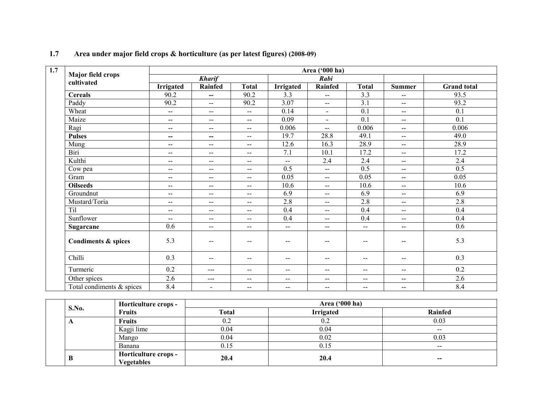| $\overline{1.7}$ | Area ('000 ha)               |                           |                          |                                                |                          |                          |                |                          |                    |
|------------------|------------------------------|---------------------------|--------------------------|------------------------------------------------|--------------------------|--------------------------|----------------|--------------------------|--------------------|
|                  | <b>Major field crops</b>     |                           | <b>Kharif</b>            |                                                |                          | Rabi                     |                |                          |                    |
|                  | cultivated                   | <b>Irrigated</b>          | Rainfed                  | <b>Total</b>                                   | <b>Irrigated</b>         | Rainfed                  | <b>Total</b>   | Summer                   | <b>Grand</b> total |
|                  | <b>Cereals</b>               | 90.2                      | --                       | 90.2                                           | 3.3                      | $\overline{\phantom{a}}$ | 3.3            | $\overline{a}$           | 93.5               |
|                  | Paddy                        | 90.2                      | $-$                      | 90.2                                           | 3.07                     | $\overline{\phantom{a}}$ | 3.1            | $\overline{\phantom{a}}$ | 93.2               |
|                  | Wheat                        | $\overline{\phantom{m}}$  | --                       | $\sim$                                         | 0.14                     | $\blacksquare$           | 0.1            | $\mathbf{u}$             | 0.1                |
|                  | Maize                        | $\overline{\phantom{m}}$  | $\sim$ $\sim$            | $  \,$                                         | 0.09                     | $\blacksquare$           | 0.1            | $- -$                    | 0.1                |
|                  | Ragi                         | $\sim$ $\sim$             | $- -$                    | $\sim$ $-$                                     | 0.006                    | $\overline{\phantom{a}}$ | 0.006          | $\overline{a}$           | 0.006              |
|                  | <b>Pulses</b>                | $\overline{\phantom{a}}$  | $-$                      | $\mathbf{u}$                                   | 19.7                     | 28.8                     | 49.1           | $\overline{a}$           | 49.0               |
|                  | Mung                         | $\overline{\phantom{m}}$  | --                       | $\mathbf{u}$                                   | 12.6                     | 16.3                     | 28.9           | $\overline{a}$           | 28.9               |
|                  | Biri                         | $\overline{\phantom{m}}$  | $\overline{a}$           | $\sim$                                         | 7.1                      | 10.1                     | 17.2           | $\overline{a}$           | 17.2               |
|                  | Kulthi                       | $\overline{\phantom{m}}$  | $- -$                    | $--$                                           | $\overline{\phantom{a}}$ | 2.4                      | 2.4            | $\overline{\phantom{a}}$ | 2.4                |
|                  | Cow pea                      | $- -$                     | --                       | $\sim$ $\sim$                                  | 0.5                      | $\overline{\phantom{a}}$ | 0.5            | $\overline{a}$           | 0.5                |
|                  | Gram                         | $\mathbf{u} = \mathbf{v}$ | $\sim$ $\sim$            | $\frac{1}{2}$                                  | 0.05                     | $\overline{\phantom{a}}$ | 0.05           | $- -$                    | 0.05               |
|                  | <b>Oilseeds</b>              | $-$                       | $-$                      | $\sim$ $-$                                     | 10.6                     | $\overline{\phantom{a}}$ | 10.6           | $\overline{a}$           | 10.6               |
|                  | Groundnut                    | $\overline{\phantom{m}}$  | --                       | $\mathbf{u}$                                   | 6.9                      | $\overline{\phantom{a}}$ | 6.9            | $\overline{a}$           | 6.9                |
|                  | Mustard/Toria                | $\overline{\phantom{m}}$  | --                       | $\mathbf{u}$                                   | 2.8                      | $\overline{\phantom{a}}$ | 2.8            | $-$                      | 2.8                |
|                  | Til                          | $\overline{\phantom{m}}$  | $\overline{\phantom{m}}$ | $\overline{\phantom{a}}$                       | 0.4                      | $\overline{\phantom{a}}$ | 0.4            | $\overline{\phantom{a}}$ | 0.4                |
|                  | Sunflower                    | $\sim$ $\sim$             | $- -$                    | $--$                                           | 0.4                      | $\overline{\phantom{a}}$ | 0.4            | $-$                      | 0.4                |
|                  | Sugarcane                    | 0.6                       | $-$                      | $\sim$ $\sim$                                  | $- -$                    | $\overline{\phantom{a}}$ | $\mathbf{u}$   | $\overline{a}$           | 0.6                |
|                  | Condiments & spices          | 5.3                       | $\sim$ $\sim$            | $\sim$                                         | $\overline{\phantom{m}}$ | $\overline{\phantom{m}}$ | $\overline{a}$ | $\overline{\phantom{m}}$ | 5.3                |
|                  | Chilli                       | 0.3                       | $-$                      | $\hspace{0.1mm}-\hspace{0.1mm}-\hspace{0.1mm}$ | $\overline{\phantom{m}}$ | $-$                      | $-$            | $\mathbf{u}$             | 0.3                |
|                  | Turmeric                     | 0.2                       | $---$                    | $\mathbf{u}$                                   | $\mathbf{u}$             | $\overline{\phantom{a}}$ | $-$            | $\overline{\phantom{a}}$ | 0.2                |
|                  | Other spices                 | 2.6                       | $---$                    | $--$                                           | $\mathbf{u}$             | $\sim$                   | $\mathbf{u}$   | $\overline{\phantom{a}}$ | 2.6                |
|                  | Total condiments $\&$ spices | 8.4                       | $\blacksquare$           | $\hspace{0.05cm} \ldots$                       | $\overline{\phantom{a}}$ | $\overline{\phantom{a}}$ | $--$           | $-$                      | 8.4                |

### 1.7 Area under major field crops & horticulture (as per latest figures) (2008-09)

|            | Horticulture crops -                       | Area ('000 ha) |           |               |  |  |
|------------|--------------------------------------------|----------------|-----------|---------------|--|--|
| S.No.      | <b>Fruits</b>                              | <b>Total</b>   | Irrigated | Rainfed       |  |  |
| $\sqrt{ }$ | <b>Fruits</b>                              | U.Z            | 0.2       | 0.03          |  |  |
|            | Kagji lime                                 | 0.04           | 0.04      | $- -$         |  |  |
|            | Mango                                      | 0.04           | 0.02      | 0.03          |  |  |
|            | Banana                                     | 0.15           | 0.15      | $\sim$ $\sim$ |  |  |
| B          | <b>Horticulture crops -<br/>Vegetables</b> | 20.4           | 20.4      | $- -$         |  |  |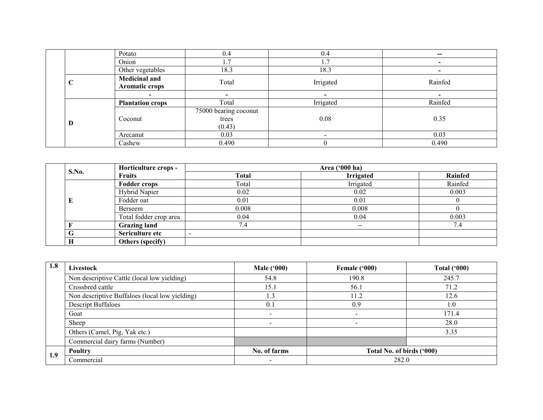|  |                 | Potato                                 | 0.4                                      | 0.4                      | $\hspace{0.05cm}$        |
|--|-----------------|----------------------------------------|------------------------------------------|--------------------------|--------------------------|
|  |                 | Onion                                  | 1.7                                      | 1.7                      | $\overline{\phantom{0}}$ |
|  |                 | Other vegetables                       | 18.3                                     | 18.3                     | -                        |
|  | $\sqrt{ }$<br>◡ | <b>Medicinal and</b><br>Aromatic crops | Total                                    | Irrigated                | Rainfed                  |
|  |                 |                                        |                                          | $\,$                     |                          |
|  |                 | <b>Plantation crops</b>                | Total                                    | Irrigated                | Rainfed                  |
|  | D               | Coconut                                | 75000 bearing coconut<br>trees<br>(0.43) | 0.08                     | 0.35                     |
|  |                 | Arecanut                               | 0.03                                     | $\overline{\phantom{0}}$ | 0.03                     |
|  |                 | Cashew                                 | 0.490                                    | 0                        | 0.490                    |

|       | Horticulture crops -   |              | Area ('000 ha)           |         |
|-------|------------------------|--------------|--------------------------|---------|
| S.No. | <b>Fruits</b>          | <b>Total</b> | <b>Irrigated</b>         | Rainfed |
|       | <b>Fodder crops</b>    | Total        | Irrigated                | Rainfed |
|       | Hybrid Napier          | 0.02         | 0.02                     | 0.003   |
| E     | Fodder oat             | 0.01         | 0.01                     |         |
|       | Berseem                | 0.008        | 0.008                    |         |
|       | Total fodder crop area | 0.04         | 0.04                     | 0.003   |
|       | <b>Grazing land</b>    | 7.4          | $\overline{\phantom{m}}$ | 7.4     |
|       | Sericulture etc        |              |                          |         |
| Н     | Others (specify)       |              |                          |         |

| 1.8 | Livestock                                      | <b>Male</b> ('000)       | Female ('000)             | Total $(900)$ |
|-----|------------------------------------------------|--------------------------|---------------------------|---------------|
|     | Non descriptive Cattle (local low yielding)    | 54.8                     | 190.8                     | 245.7         |
|     | Crossbred cattle                               | 15.1                     | 56.1                      | 71.2          |
|     | Non descriptive Buffaloes (local low yielding) | 1.3                      | 11.2                      | 12.6          |
|     | <b>Descript Buffaloes</b>                      | 0.1                      | 0.9                       | 1.0           |
|     | Goat                                           | $\overline{\phantom{0}}$ | $\overline{\phantom{0}}$  | 171.4         |
|     | Sheep                                          |                          |                           | 28.0          |
|     | Others (Camel, Pig, Yak etc.)                  |                          |                           | 3.35          |
|     | Commercial dairy farms (Number)                |                          |                           |               |
|     | Poultry                                        | No. of farms             | Total No. of birds ('000) |               |
| 1.9 | Commercial                                     |                          | 282.0                     |               |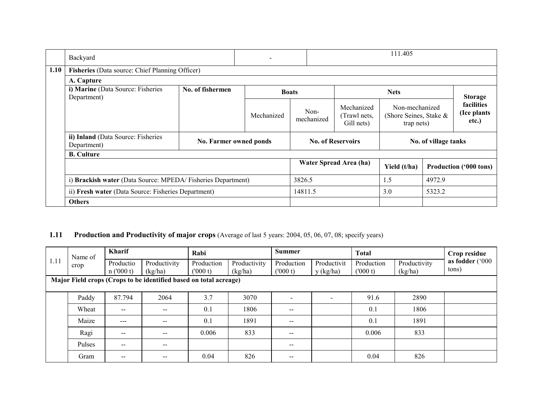|      | Backyard                                                    |                        | $\overline{\phantom{a}}$ |                    |                                           | 111.405                                                |                      |                                            |
|------|-------------------------------------------------------------|------------------------|--------------------------|--------------------|-------------------------------------------|--------------------------------------------------------|----------------------|--------------------------------------------|
| 1.10 | Fisheries (Data source: Chief Planning Officer)             |                        |                          |                    |                                           |                                                        |                      |                                            |
|      | A. Capture                                                  |                        |                          |                    |                                           |                                                        |                      |                                            |
|      | i) Marine (Data Source: Fisheries<br>Department)            | No. of fishermen       |                          | <b>Boats</b>       |                                           | <b>Nets</b>                                            |                      | <b>Storage</b>                             |
|      |                                                             |                        | Mechanized               | Non-<br>mechanized | Mechanized<br>(Trawl nets.)<br>Gill nets) | Non-mechanized<br>(Shore Seines, Stake &<br>trap nets) |                      | <b>facilities</b><br>(Ice plants)<br>etc.) |
|      | ii) Inland (Data Source: Fisheries<br>Department)           | No. Farmer owned ponds |                          |                    | <b>No. of Reservoirs</b>                  |                                                        | No. of village tanks |                                            |
|      | <b>B.</b> Culture                                           |                        |                          |                    |                                           |                                                        |                      |                                            |
|      |                                                             |                        |                          |                    | Water Spread Area (ha)                    | Yield (t/ha)                                           |                      | <b>Production ('000 tons)</b>              |
|      | i) Brackish water (Data Source: MPEDA/Fisheries Department) |                        |                          | 3826.5             |                                           | 1.5                                                    | 4972.9               |                                            |
|      | ii) Fresh water (Data Source: Fisheries Department)         |                        |                          | 14811.5            |                                           | 3.0                                                    | 5323.2               |                                            |
|      | <b>Others</b>                                               |                        |                          |                    |                                           |                                                        |                      |                                            |

### **1.11** Production and Productivity of major crops (Average of last 5 years: 2004, 05, 06, 07, 08; specify years)

| 1.11 | Name of<br>crop                                                   | Kharif                   |              | Rabi       |              | <b>Summer</b>                                  |                          | <b>Total</b> |              | Crop residue    |
|------|-------------------------------------------------------------------|--------------------------|--------------|------------|--------------|------------------------------------------------|--------------------------|--------------|--------------|-----------------|
|      |                                                                   | Productio                | Productivity | Production | Productivity | Production                                     | Productivit              | Production   | Productivity | as fodder ('000 |
|      |                                                                   | n(000 t)                 | (kg/ha)      | (000 t)    | (kg/ha)      | (1000 t)                                       | y (kg/ha)                | (000 t)      | (kg/ha)      | tons)           |
|      | Major Field crops (Crops to be identified based on total acreage) |                          |              |            |              |                                                |                          |              |              |                 |
|      |                                                                   |                          |              |            |              |                                                |                          |              |              |                 |
|      | Paddy                                                             | 87.794                   | 2064         | 3.7        | 3070         |                                                | $\overline{\phantom{a}}$ | 91.6         | 2890         |                 |
|      | Wheat                                                             | $- -$                    | --           | 0.1        | 1806         | $\hspace{0.1mm}-\hspace{0.1mm}-\hspace{0.1mm}$ |                          | 0.1          | 1806         |                 |
|      | Maize                                                             | $---$                    | $- -$        | 0.1        | 1891         | $\sim$ $\sim$                                  |                          | 0.1          | 1891         |                 |
|      | Ragi                                                              | $\overline{\phantom{m}}$ |              | 0.006      | 833          | $- -$                                          |                          | 0.006        | 833          |                 |
|      | Pulses                                                            | $- -$                    | $\sim$       |            |              | $\sim$ $\sim$                                  |                          |              |              |                 |
|      | Gram                                                              | $- -$                    |              | 0.04       | 826          | $- -$                                          |                          | 0.04         | 826          |                 |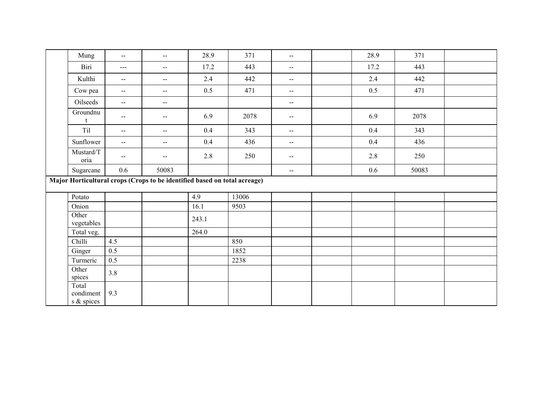| Mung                             | $\overline{\phantom{a}}$                      | $\overline{\phantom{a}}$                                                  | 28.9  | 371   | $\overline{\phantom{a}}$    | 28.9    | 371   |  |
|----------------------------------|-----------------------------------------------|---------------------------------------------------------------------------|-------|-------|-----------------------------|---------|-------|--|
| Biri                             | $\sim$ $\sim$ $\sim$                          | $\mathbf{u}$                                                              | 17.2  | 443   | $\overline{\phantom{a}}$    | 17.2    | 443   |  |
| Kulthi                           | $\mathcal{L} = \mathcal{L}$                   | $\overline{\phantom{a}}$                                                  | 2.4   | 442   | $\mathcal{L}_{\mathcal{F}}$ | $2.4\,$ | 442   |  |
| Cow pea                          | $\mathord{\hspace{1pt}\text{--}\hspace{1pt}}$ | $\overline{\phantom{a}}$                                                  | 0.5   | 471   | $\overline{\phantom{a}}$    | 0.5     | 471   |  |
| Oilseeds                         | $\mathbf{u}$                                  | $\overline{\phantom{a}}$                                                  |       |       | $\overline{\phantom{a}}$    |         |       |  |
| Groundnu                         | $\mathcal{L}_{\mathcal{F}}$                   | $\overline{\phantom{a}}$                                                  | 6.9   | 2078  | $\mathcal{L}_{\mathcal{F}}$ | 6.9     | 2078  |  |
| Til                              | $\mathcal{L}_{\mathcal{F}}$                   | $\overline{\phantom{a}}$                                                  | 0.4   | 343   | $\overline{\phantom{a}}$    | $0.4\,$ | 343   |  |
| Sunflower                        | $\mathcal{L}=\mathcal{L}$                     | $\overline{\phantom{a}}$                                                  | 0.4   | 436   | $- -$                       | 0.4     | 436   |  |
| Mustard/T<br>oria                | $\mathord{\hspace{1pt}\text{--}\hspace{1pt}}$ | $-$                                                                       | 2.8   | 250   | $\overline{\phantom{m}}$    | 2.8     | 250   |  |
| Sugarcane                        | $0.6\,$                                       | 50083                                                                     |       |       | $\sim$                      | 0.6     | 50083 |  |
|                                  |                                               | Major Horticultural crops (Crops to be identified based on total acreage) |       |       |                             |         |       |  |
| Potato                           |                                               |                                                                           | 4.9   | 13006 |                             |         |       |  |
| Onion                            |                                               |                                                                           | 16.1  | 9503  |                             |         |       |  |
| Other<br>vegetables              |                                               |                                                                           | 243.1 |       |                             |         |       |  |
| Total veg.                       |                                               |                                                                           | 264.0 |       |                             |         |       |  |
| Chilli                           | 4.5                                           |                                                                           |       | 850   |                             |         |       |  |
| Ginger                           | 0.5                                           |                                                                           |       | 1852  |                             |         |       |  |
| Turmeric                         | 0.5                                           |                                                                           |       | 2238  |                             |         |       |  |
| Other<br>spices                  | 3.8                                           |                                                                           |       |       |                             |         |       |  |
| Total<br>condiment<br>s & spices | 9.3                                           |                                                                           |       |       |                             |         |       |  |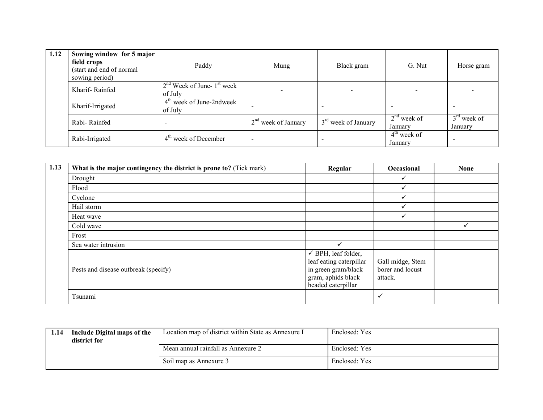| 1.12 | Sowing window for 5 major<br>field crops<br>(start and end of normal<br>sowing period) | Paddy                                     | Mung                  | Black gram                      | G. Nut                             | Horse gram               |
|------|----------------------------------------------------------------------------------------|-------------------------------------------|-----------------------|---------------------------------|------------------------------------|--------------------------|
|      | Kharif-Rainfed                                                                         | $2nd$ Week of June- $1st$ week<br>of July |                       | $\,$                            |                                    |                          |
|      | Kharif-Irrigated                                                                       | $4th$ week of June-2ndweek<br>of July     |                       |                                 | $\overline{\phantom{a}}$           | $\overline{\phantom{a}}$ |
|      | Rabi-Rainfed                                                                           |                                           | $2nd$ week of January | 3 <sup>rd</sup> week of January | $2nd$ week of<br>January           | $3rd$ week of<br>January |
|      | Rabi-Irrigated                                                                         | $4th$ week of December                    | <b>.</b>              |                                 | $4^{\text{th}}$ week of<br>January |                          |

| 1.13 | What is the major contingency the district is prone to? (Tick mark) | Regular                                                                                                                      | Occasional                                      | <b>None</b> |
|------|---------------------------------------------------------------------|------------------------------------------------------------------------------------------------------------------------------|-------------------------------------------------|-------------|
|      | Drought                                                             |                                                                                                                              | ✓                                               |             |
|      | Flood                                                               |                                                                                                                              |                                                 |             |
|      | Cyclone                                                             |                                                                                                                              | ✓                                               |             |
|      | Hail storm                                                          |                                                                                                                              |                                                 |             |
|      | Heat wave                                                           |                                                                                                                              | ✓                                               |             |
|      | Cold wave                                                           |                                                                                                                              |                                                 |             |
|      | Frost                                                               |                                                                                                                              |                                                 |             |
|      | Sea water intrusion                                                 | $\checkmark$                                                                                                                 |                                                 |             |
|      | Pests and disease outbreak (specify)                                | $\checkmark$ BPH, leaf folder,<br>leaf eating caterpillar<br>in green gram/black<br>gram, aphids black<br>headed caterpillar | Gall midge, Stem<br>borer and locust<br>attack. |             |
|      | Tsunami                                                             |                                                                                                                              | $\checkmark$                                    |             |

| 1.14 | Include Digital maps of the<br>district for | Location map of district within State as Annexure I | Enclosed: Yes |
|------|---------------------------------------------|-----------------------------------------------------|---------------|
|      |                                             | Mean annual rainfall as Annexure 2                  | Enclosed: Yes |
|      |                                             | Soil map as Annexure 3                              | Enclosed: Yes |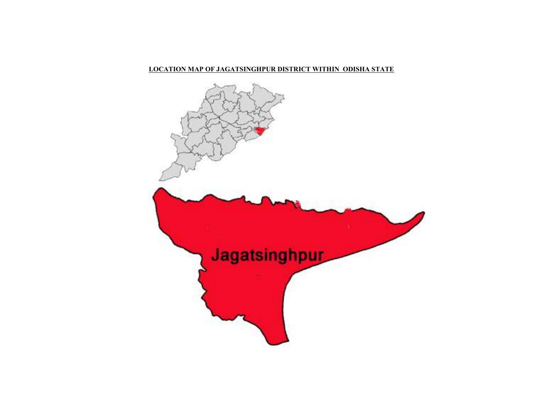### LOCATION MAP OF JAGATSINGHPUR DISTRICT WITHIN ODISHA STATE

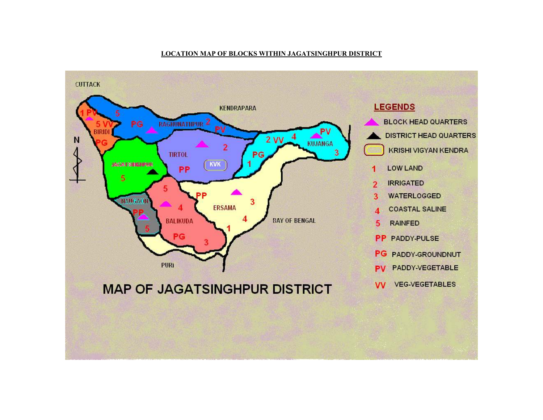### LOCATION MAP OF BLOCKS WITHIN JAGATSINGHPUR DISTRICT

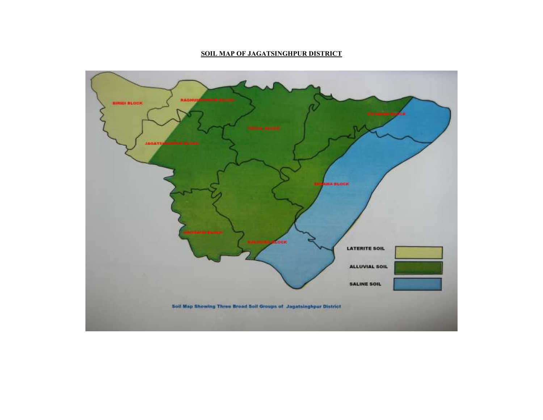### SOIL MAP OF JAGATSINGHPUR DISTRICT

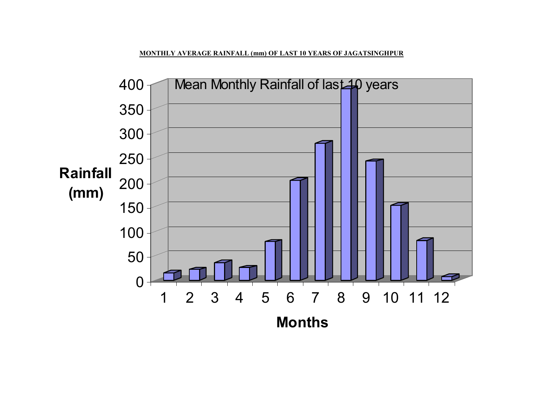MONTHLY AVERAGE RAINFALL (mm) OF LAST 10 YEARS OF JAGATSINGHPUR

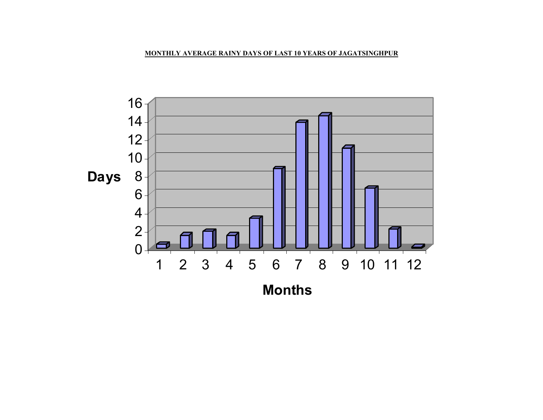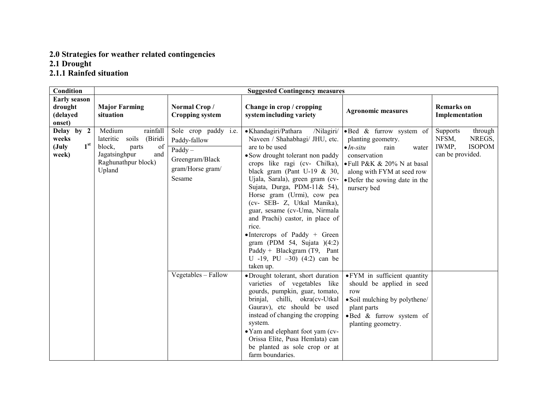# 2.0 Strategies for weather related contingencies 2.1 Drought 2.1.1 Rainfed situation

| Condition                                                           |                                                                                                                                       |                                                                                                           | <b>Suggested Contingency measures</b>                                                                                                                                                                                                                                                                                                                                                                                                                                                                                                                               |                                                                                                                                                                                                                                  |                                                                                             |
|---------------------------------------------------------------------|---------------------------------------------------------------------------------------------------------------------------------------|-----------------------------------------------------------------------------------------------------------|---------------------------------------------------------------------------------------------------------------------------------------------------------------------------------------------------------------------------------------------------------------------------------------------------------------------------------------------------------------------------------------------------------------------------------------------------------------------------------------------------------------------------------------------------------------------|----------------------------------------------------------------------------------------------------------------------------------------------------------------------------------------------------------------------------------|---------------------------------------------------------------------------------------------|
| <b>Early season</b><br>drought                                      | <b>Major Farming</b>                                                                                                                  | Normal Crop/                                                                                              | Change in crop / cropping                                                                                                                                                                                                                                                                                                                                                                                                                                                                                                                                           | <b>Agronomic measures</b>                                                                                                                                                                                                        | <b>Remarks</b> on                                                                           |
| (delayed<br>onset)                                                  | situation                                                                                                                             | <b>Cropping system</b>                                                                                    | system including variety                                                                                                                                                                                                                                                                                                                                                                                                                                                                                                                                            |                                                                                                                                                                                                                                  | Implementation                                                                              |
| Delay by 2<br>weeks<br>1 <sup>st</sup><br>$(\mathrm{July}$<br>week) | Medium<br>rainfall<br>soils<br>(Biridi<br>lateritic<br>block,<br>parts<br>of<br>Jagatsinghpur<br>and<br>Raghunathpur block)<br>Upland | Sole crop paddy <i>i.e.</i><br>Paddy-fallow<br>$Paddy -$<br>Greengram/Black<br>gram/Horse gram/<br>Sesame | • Khandagiri/Pathara<br>/Nilagiri/<br>Naveen / Shahabhagi/ JHU, etc.<br>are to be used<br>• Sow drought tolerant non paddy<br>crops like ragi (cv- Chilka),<br>black gram (Pant U-19 $\&$ 30,<br>Ujala, Sarala), green gram (cv-<br>Sujata, Durga, PDM-11& 54),<br>Horse gram (Urmi), cow pea<br>(cv- SEB- Z, Utkal Manika),<br>guar, sesame (cv-Uma, Nirmala<br>and Prachi) castor, in place of<br>rice.<br>$\bullet$ Intercrops of Paddy + Green<br>gram (PDM 54, Sujata $)(4:2)$<br>Paddy + Blackgram $(T9,$ Pant<br>U -19, PU $-30$ ) (4:2) can be<br>taken up. | •Bed & furrow system of<br>planting geometry.<br>$\bullet$ <i>In-situ</i><br>rain<br>water<br>conservation<br>$\bullet$ Full P&K & 20% N at basal<br>along with FYM at seed row<br>• Defer the sowing date in the<br>nursery bed | <b>Supports</b><br>through<br>NREGS,<br>NFSM,<br><b>ISOPOM</b><br>IWMP,<br>can be provided. |
|                                                                     |                                                                                                                                       | Vegetables - Fallow                                                                                       | ·Drought tolerant, short duration<br>varieties of vegetables like<br>gourds, pumpkin, guar, tomato,<br>chilli, okra(cv-Utkal<br>brinjal,<br>Gaurav), etc should be used<br>instead of changing the cropping<br>system.<br>• Yam and elephant foot yam (cv-<br>Orissa Elite, Pusa Hemlata) can<br>be planted as sole crop or at<br>farm boundaries.                                                                                                                                                                                                                  | • FYM in sufficient quantity<br>should be applied in seed<br>row<br>• Soil mulching by polythene/<br>plant parts<br>· Bed & furrow system of<br>planting geometry.                                                               |                                                                                             |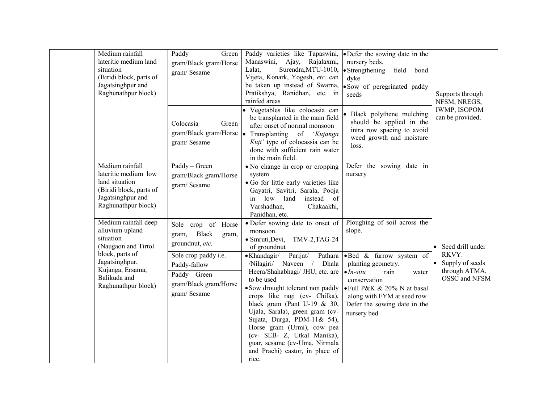| Medium rainfall<br>lateritic medium land<br>situation<br>(Biridi block, parts of<br>Jagatsinghpur and<br>Raghunathpur block)                                                | Paddy<br>Green<br>$\equiv$<br>gram/Black gram/Horse<br>gram/Sesame                                                                                                       | Paddy varieties like Tapaswini,<br>Manaswini, Ajay, Rajalaxmi,<br>Surendra, MTU-1010,<br>Lalat,<br>Vijeta, Konark, Yogesh, etc. can<br>be taken up instead of Swarna,<br>Pratikshya, Ranidhan, etc. in<br>rainfed areas                                                                                                                                                                                                                                                                                                                                 | • Defer the sowing date in the<br>nursery beds.<br>$\bullet$ Strengthening<br>field<br>bond<br>dyke<br>· Sow of peregrinated paddy<br>seeds                                                                                                                      | Supports through<br>NFSM, NREGS,                                                           |
|-----------------------------------------------------------------------------------------------------------------------------------------------------------------------------|--------------------------------------------------------------------------------------------------------------------------------------------------------------------------|---------------------------------------------------------------------------------------------------------------------------------------------------------------------------------------------------------------------------------------------------------------------------------------------------------------------------------------------------------------------------------------------------------------------------------------------------------------------------------------------------------------------------------------------------------|------------------------------------------------------------------------------------------------------------------------------------------------------------------------------------------------------------------------------------------------------------------|--------------------------------------------------------------------------------------------|
|                                                                                                                                                                             | Colocasia<br>Green<br>gram/Black gram/Horse $\bullet$<br>gram/Sesame                                                                                                     | · Vegetables like colocasia can<br>be transplanted in the main field<br>after onset of normal monsoon<br>Transplanting of 'Kujanga<br>Kuji' type of colocassia can be<br>done with sufficient rain water<br>in the main field.                                                                                                                                                                                                                                                                                                                          | • Black polythene mulching<br>should be applied in the<br>intra row spacing to avoid<br>weed growth and moisture<br>loss.                                                                                                                                        | <b>IWMP, ISOPOM</b><br>can be provided.                                                    |
| Medium rainfall<br>lateritic medium low<br>land situation<br>(Biridi block, parts of<br>Jagatsinghpur and<br>Raghunathpur block)                                            | Paddy - Green<br>gram/Black gram/Horse<br>gram/Sesame                                                                                                                    | • No change in crop or cropping<br>system<br>• Go for little early varieties like<br>Gayatri, Savitri, Sarala, Pooja<br>low<br>land<br>instead<br>of<br>in<br>Varshadhan,<br>Chakaakhi,<br>Panidhan, etc.                                                                                                                                                                                                                                                                                                                                               | Defer the sowing date in<br>nursery                                                                                                                                                                                                                              |                                                                                            |
| Medium rainfall deep<br>alluvium upland<br>situation<br>(Naugaon and Tirtol<br>block, parts of<br>Jagatsinghpur,<br>Kujanga, Ersama,<br>Balikuda and<br>Raghunathpur block) | Sole crop of Horse<br><b>Black</b><br>gram,<br>gram,<br>groundnut, etc.<br>Sole crop paddy i.e.<br>Paddy-fallow<br>Paddy - Green<br>gram/Black gram/Horse<br>gram/Sesame | • Defer sowing date to onset of<br>monsoon.<br>$\bullet$ Smruti, Devi,<br>TMV-2, TAG-24<br>of groundnut<br>Parijat/<br>$\bullet$ Khandagir/<br>Pathara<br>/Nilagiri/ Naveen / Dhala<br>Heera/Shahabhagi/ JHU, etc. are<br>to be used<br>• Sow drought tolerant non paddy<br>crops like ragi (cv- Chilka),<br>black gram (Pant U-19 $\&$ 30,<br>Ujala, Sarala), green gram (cv-<br>Sujata, Durga, PDM-11& 54),<br>Horse gram (Urmi), cow pea<br>(cv- SEB- Z, Utkal Manika),<br>guar, sesame (cv-Uma, Nirmala<br>and Prachi) castor, in place of<br>rice. | Ploughing of soil across the<br>slope.<br>·Bed & furrow system of<br>planting geometry.<br>$\bullet$ <i>In-situ</i><br>rain<br>water<br>conservation<br>• Full P&K & 20% N at basal<br>along with FYM at seed row<br>Defer the sowing date in the<br>nursery bed | • Seed drill under<br>RKVY.<br>$\bullet$ Supply of seeds<br>through ATMA,<br>OSSC and NFSM |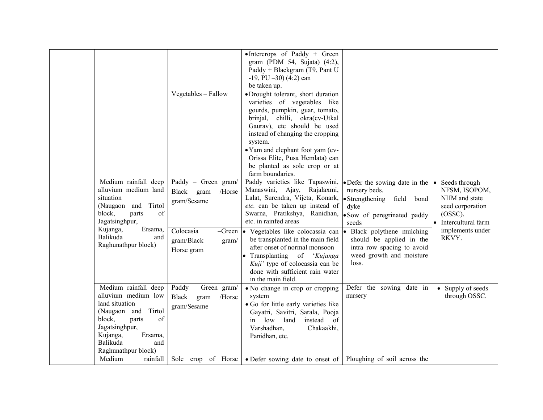|                                                                                                                                                                                                  |                                                                                                                 | • Intercrops of Paddy + Green<br>gram (PDM 54, Sujata) (4:2),<br>Paddy + Blackgram (T9, Pant U<br>$-19$ , PU $-30$ ) (4:2) can<br>be taken up.                                                                                                                                                                                                                                                                                                                        |                                                                                                                                                                                                                                                             |                                                                                                                                     |
|--------------------------------------------------------------------------------------------------------------------------------------------------------------------------------------------------|-----------------------------------------------------------------------------------------------------------------|-----------------------------------------------------------------------------------------------------------------------------------------------------------------------------------------------------------------------------------------------------------------------------------------------------------------------------------------------------------------------------------------------------------------------------------------------------------------------|-------------------------------------------------------------------------------------------------------------------------------------------------------------------------------------------------------------------------------------------------------------|-------------------------------------------------------------------------------------------------------------------------------------|
|                                                                                                                                                                                                  | Vegetables - Fallow                                                                                             | •Drought tolerant, short duration<br>varieties of vegetables like<br>gourds, pumpkin, guar, tomato,<br>brinjal, chilli, okra(cv-Utkal<br>Gaurav), etc should be used<br>instead of changing the cropping<br>system.<br>• Yam and elephant foot yam (cv-<br>Orissa Elite, Pusa Hemlata) can<br>be planted as sole crop or at<br>farm boundaries.                                                                                                                       |                                                                                                                                                                                                                                                             |                                                                                                                                     |
| Medium rainfall deep<br>alluvium medium land<br>situation<br>and Tirtol<br>(Naugaon<br>of<br>block,<br>parts<br>Jagatsinghpur,<br>Ersama,<br>Kujanga,<br>Balikuda<br>and<br>Raghunathpur block)  | Paddy - Green gram/<br>Black<br>/Horse<br>gram<br>gram/Sesame<br>Colocasia<br>gram/Black<br>gram/<br>Horse gram | Paddy varieties like Tapaswini,<br>Manaswini, Ajay, Rajalaxmi,<br>Lalat, Surendra, Vijeta, Konark,<br>etc. can be taken up instead of<br>Swarna, Pratikshya, Ranidhan,<br>etc. in rainfed areas<br>$-Green \,   \bullet \, \text{Vegetables} \,$ like colocassia can<br>be transplanted in the main field<br>after onset of normal monsoon<br>• Transplanting of 'Kujanga<br>Kuji' type of colocassia can be<br>done with sufficient rain water<br>in the main field. | • Defer the sowing date in the<br>nursery beds.<br>• Strengthening<br>field bond<br>dyke<br>• Sow of peregrinated paddy<br>seeds<br>Black polythene mulching<br>should be applied in the<br>intra row spacing to avoid<br>weed growth and moisture<br>loss. | Seeds through<br>NFSM, ISOPOM,<br>NHM and state<br>seed corporation<br>(OSSC).<br>• Intercultural farm<br>implements under<br>RKVY. |
| Medium rainfall deep<br>alluvium medium low<br>land situation<br>(Naugaon and Tirtol<br>of<br>block,<br>parts<br>Jagatsinghpur,<br>Kujanga,<br>Ersama,<br>Balikuda<br>and<br>Raghunathpur block) | Paddy - Green gram/<br>Black<br>/Horse<br>gram<br>gram/Sesame                                                   | • No change in crop or cropping<br>system<br>· Go for little early varieties like<br>Gayatri, Savitri, Sarala, Pooja<br>instead of<br>low<br>land<br>in<br>Varshadhan,<br>Chakaakhi,<br>Panidhan, etc.                                                                                                                                                                                                                                                                | Defer the sowing date in<br>nursery                                                                                                                                                                                                                         | • Supply of seeds<br>through OSSC.                                                                                                  |
| Medium<br>rainfall                                                                                                                                                                               | Sole crop of Horse                                                                                              | • Defer sowing date to onset of                                                                                                                                                                                                                                                                                                                                                                                                                                       | Ploughing of soil across the                                                                                                                                                                                                                                |                                                                                                                                     |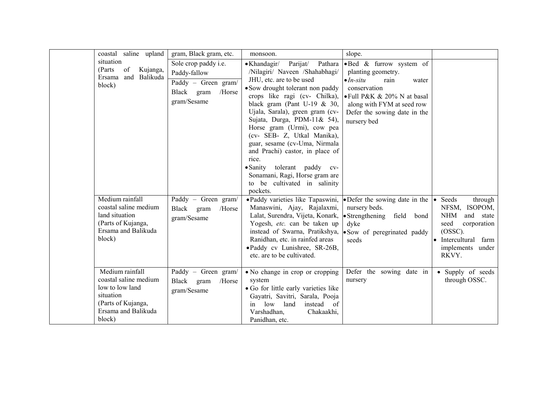| coastal saline upland                                                                                                           | gram, Black gram, etc.                                                                                    | monsoon.                                                                                                                                                                                                                                                                                                                                                                                                                                                                                                                    | slope.                                                                                                                                                                                                                 |                                                                                                                                                 |
|---------------------------------------------------------------------------------------------------------------------------------|-----------------------------------------------------------------------------------------------------------|-----------------------------------------------------------------------------------------------------------------------------------------------------------------------------------------------------------------------------------------------------------------------------------------------------------------------------------------------------------------------------------------------------------------------------------------------------------------------------------------------------------------------------|------------------------------------------------------------------------------------------------------------------------------------------------------------------------------------------------------------------------|-------------------------------------------------------------------------------------------------------------------------------------------------|
| situation<br>Kujanga,<br>(Parts)<br>of<br>Balikuda<br>and<br>Ersama<br>block)                                                   | Sole crop paddy <i>i.e.</i><br>Paddy-fallow<br>Paddy - Green gram/<br>Black gram<br>/Horse<br>gram/Sesame | Parijat/<br>Pathara<br>$\bullet$ Khandagir/<br>/Nilagiri/ Naveen /Shahabhagi/<br>JHU, etc. are to be used<br>• Sow drought tolerant non paddy<br>crops like ragi (cv- Chilka),<br>black gram (Pant U-19 $& 30,$<br>Ujala, Sarala), green gram (cv-<br>Sujata, Durga, PDM-11& 54),<br>Horse gram (Urmi), cow pea<br>(cv- SEB- Z, Utkal Manika),<br>guar, sesame (cv-Uma, Nirmala<br>and Prachi) castor, in place of<br>rice.<br>·Sanity tolerant paddy cv-<br>Sonamani, Ragi, Horse gram are<br>to be cultivated in salinity | .Bed & furrow system of<br>planting geometry.<br>$\bullet$ <i>In-situ</i><br>rain<br>water<br>conservation<br>• Full P&K & 20% N at basal<br>along with FYM at seed row<br>Defer the sowing date in the<br>nursery bed |                                                                                                                                                 |
| Medium rainfall<br>coastal saline medium<br>land situation<br>(Parts of Kujanga,<br>Ersama and Balikuda<br>block)               | Paddy - Green gram/<br>Black gram<br>/Horse<br>gram/Sesame                                                | pockets.<br>• Paddy varieties like Tapaswini,<br>Manaswini, Ajay, Rajalaxmi,<br>Lalat, Surendra, Vijeta, Konark,<br>Yogesh, etc. can be taken up<br>instead of Swarna, Pratikshya,<br>Ranidhan, etc. in rainfed areas<br>·Paddy cv Lunishree, SR-26B,<br>etc. are to be cultivated.                                                                                                                                                                                                                                         | • Defer the sowing date in the<br>nursery beds.<br>• Strengthening field bond<br>dyke<br>• Sow of peregrinated paddy<br>seeds                                                                                          | Seeds<br>through<br>NFSM, ISOPOM,<br>NHM<br>and state<br>seed<br>corporation<br>$(OSSC)$ .<br>• Intercultural farm<br>implements under<br>RKVY. |
| Medium rainfall<br>coastal saline medium<br>low to low land<br>situation<br>(Parts of Kujanga,<br>Ersama and Balikuda<br>block) | Paddy - Green gram/<br>Black gram<br>/Horse<br>gram/Sesame                                                | • No change in crop or cropping<br>system<br>• Go for little early varieties like<br>Gayatri, Savitri, Sarala, Pooja<br>low<br>land<br>instead<br>of<br>in<br>Varshadhan,<br>Chakaakhi,<br>Panidhan, etc.                                                                                                                                                                                                                                                                                                                   | Defer the sowing date in<br>nursery                                                                                                                                                                                    | • Supply of seeds<br>through OSSC.                                                                                                              |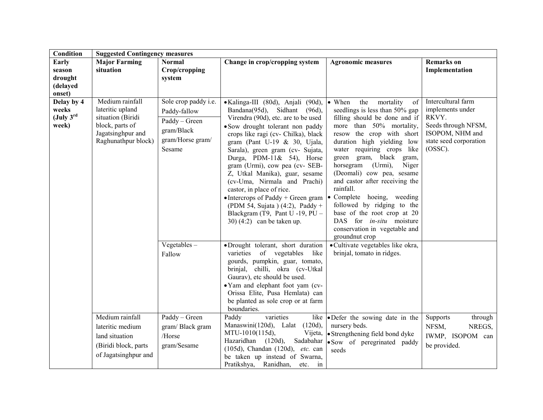| Condition                                               | <b>Suggested Contingency measures</b>                                                                                   |                                                                                                                                      |                                                                                                                                                                                                                                                                                                                                                                                                                                                                                                                                                                                                                                                 |                                                                                                                                                                                                                                                                                                                                                                                                                                                                                                                                                                                                                    |                                                                                                                                   |
|---------------------------------------------------------|-------------------------------------------------------------------------------------------------------------------------|--------------------------------------------------------------------------------------------------------------------------------------|-------------------------------------------------------------------------------------------------------------------------------------------------------------------------------------------------------------------------------------------------------------------------------------------------------------------------------------------------------------------------------------------------------------------------------------------------------------------------------------------------------------------------------------------------------------------------------------------------------------------------------------------------|--------------------------------------------------------------------------------------------------------------------------------------------------------------------------------------------------------------------------------------------------------------------------------------------------------------------------------------------------------------------------------------------------------------------------------------------------------------------------------------------------------------------------------------------------------------------------------------------------------------------|-----------------------------------------------------------------------------------------------------------------------------------|
| Early<br>season<br>drought<br>(delayed<br>onset)        | <b>Major Farming</b><br>situation                                                                                       | <b>Normal</b><br>Crop/cropping<br>system                                                                                             | Change in crop/cropping system                                                                                                                                                                                                                                                                                                                                                                                                                                                                                                                                                                                                                  | <b>Agronomic measures</b>                                                                                                                                                                                                                                                                                                                                                                                                                                                                                                                                                                                          | <b>Remarks</b> on<br>Implementation                                                                                               |
| Delay by 4<br>weeks<br>(July 3 <sup>rd</sup> )<br>week) | Medium rainfall<br>lateritic upland<br>situation (Biridi<br>block, parts of<br>Jagatsinghpur and<br>Raghunathpur block) | Sole crop paddy <i>i.e.</i><br>Paddy-fallow<br>Paddy - Green<br>gram/Black<br>gram/Horse gram/<br>Sesame<br>$Vegetables -$<br>Fallow | • Kalinga-III (80d), Anjali (90d),<br>Bandana(95d), Sidhant (96d),<br>Virendra (90d), etc. are to be used<br>• Sow drought tolerant non paddy<br>crops like ragi (cv- Chilka), black<br>gram (Pant U-19 $&$ 30, Ujala,<br>Sarala), green gram (cv- Sujata,<br>Durga, PDM-11& 54), Horse<br>gram (Urmi), cow pea (cv- SEB-<br>Z, Utkal Manika), guar, sesame<br>(cv-Uma, Nirmala and Prachi)<br>castor, in place of rice.<br>• Intercrops of Paddy + Green gram<br>(PDM 54, Sujata ) (4:2), Paddy +<br>Blackgram (T9, Pant U -19, $PU -$<br>30) $(4:2)$ can be taken up.<br>·Drought tolerant, short duration<br>varieties of vegetables<br>like | • When<br>the<br>mortality<br>of<br>seedlings is less than 50% gap<br>filling should be done and if<br>more than 50% mortality,<br>resow the crop with short<br>duration high yielding low<br>water requiring crops like<br>green gram, black gram,<br>horsegram<br>(Urmi),<br>Niger<br>(Deomali) cow pea, sesame<br>and castor after receiving the<br>rainfall.<br>Complete hoeing, weeding<br>followed by ridging to the<br>base of the root crop at 20<br>DAS for <i>in-situ</i> moisture<br>conservation in vegetable and<br>groundnut crop<br>· Cultivate vegetables like okra,<br>brinjal, tomato in ridges. | Intercultural farm<br>implements under<br>RKVY.<br>Seeds through NFSM,<br>ISOPOM, NHM and<br>state seed corporation<br>$(OSSC)$ . |
|                                                         |                                                                                                                         |                                                                                                                                      | gourds, pumpkin, guar, tomato,<br>brinjal, chilli, okra (cv-Utkal<br>Gaurav), etc should be used.<br>• Yam and elephant foot yam (cv-<br>Orissa Elite, Pusa Hemlata) can<br>be planted as sole crop or at farm<br>boundaries.                                                                                                                                                                                                                                                                                                                                                                                                                   |                                                                                                                                                                                                                                                                                                                                                                                                                                                                                                                                                                                                                    |                                                                                                                                   |
|                                                         | Medium rainfall<br>lateritic medium<br>land situation<br>(Biridi block, parts<br>of Jagatsinghpur and                   | Paddy - Green<br>gram/Black gram<br>/Horse<br>gram/Sesame                                                                            | varieties<br>Paddy<br>Manaswini(120d), Lalat (120d),<br>MTU-1010(115d),<br>Vijeta,<br>Hazaridhan (120d),<br>Sadabahar<br>(105d), Chandan (120d), etc. can<br>be taken up instead of Swarna,<br>Pratikshya, Ranidhan,<br>etc. in                                                                                                                                                                                                                                                                                                                                                                                                                 | like $\bullet$ Defer the sowing date in the<br>nursery beds.<br>• Strengthening field bond dyke<br>Sow of peregrinated paddy<br>seeds                                                                                                                                                                                                                                                                                                                                                                                                                                                                              | Supports<br>through<br>NFSM,<br>NREGS,<br>IWMP, ISOPOM can<br>be provided.                                                        |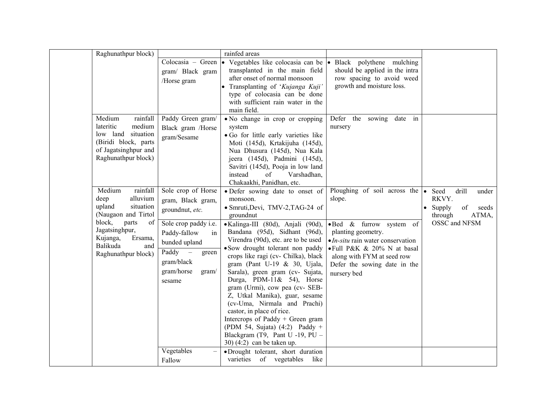| Raghunathpur block)                                                                                                                                                                              |                                                                                                                                                                                                                                      | rainfed areas                                                                                                                                                                                                                                                                                                                                                                                                                                                                                                                                                                                                                                                                                          |                                                                                                                                                                                                                                                         |                                                                                               |
|--------------------------------------------------------------------------------------------------------------------------------------------------------------------------------------------------|--------------------------------------------------------------------------------------------------------------------------------------------------------------------------------------------------------------------------------------|--------------------------------------------------------------------------------------------------------------------------------------------------------------------------------------------------------------------------------------------------------------------------------------------------------------------------------------------------------------------------------------------------------------------------------------------------------------------------------------------------------------------------------------------------------------------------------------------------------------------------------------------------------------------------------------------------------|---------------------------------------------------------------------------------------------------------------------------------------------------------------------------------------------------------------------------------------------------------|-----------------------------------------------------------------------------------------------|
|                                                                                                                                                                                                  | gram/ Black gram<br>/Horse gram                                                                                                                                                                                                      | Colocasia - Green $\vert \bullet \vert$ Vegetables like colocasia can be<br>transplanted in the main field<br>after onset of normal monsoon<br>Transplanting of 'Kujanga Kuji'<br>type of colocasia can be done<br>with sufficient rain water in the<br>main field.                                                                                                                                                                                                                                                                                                                                                                                                                                    | Black polythene mulching<br>should be applied in the intra<br>row spacing to avoid weed<br>growth and moisture loss.                                                                                                                                    |                                                                                               |
| Medium<br>rainfall<br>medium<br>lateritic<br>low land<br>situation<br>(Biridi block, parts<br>of Jagatsinghpur and<br>Raghunathpur block)                                                        | Paddy Green gram/<br>Black gram /Horse<br>gram/Sesame                                                                                                                                                                                | • No change in crop or cropping<br>system<br>• Go for little early varieties like<br>Moti (145d), Krtakijuha (145d),<br>Nua Dhusura (145d), Nua Kala<br>jeera (145d), Padmini (145d),<br>Savitri (145d), Pooja in low land<br>instead<br>of<br>Varshadhan,<br>Chakaakhi, Panidhan, etc.                                                                                                                                                                                                                                                                                                                                                                                                                | Defer the sowing date in<br>nursery                                                                                                                                                                                                                     |                                                                                               |
| Medium<br>rainfall<br>alluvium<br>deep<br>upland<br>situation<br>(Naugaon and Tirtol<br>block,<br>parts<br>of<br>Jagatsinghpur,<br>Kujanga,<br>Ersama,<br>Balikuda<br>and<br>Raghunathpur block) | Sole crop of Horse<br>gram, Black gram,<br>groundnut, etc.<br>Sole crop paddy i.e.<br>Paddy-fallow<br>in<br>bunded upland<br>Paddy<br>$\overline{\phantom{0}}$<br>green<br>gram/black<br>gram/horse<br>gram/<br>sesame<br>Vegetables | • Defer sowing date to onset of<br>monsoon.<br>· Smruti, Devi, TMV-2, TAG-24 of<br>groundnut<br>·Kalinga-III (80d), Anjali (90d),<br>Bandana (95d), Sidhant (96d),<br>Virendra (90d), etc. are to be used<br>• Sow drought tolerant non paddy<br>crops like ragi (cv- Chilka), black<br>gram (Pant U-19 & 30, Ujala,<br>Sarala), green gram (cv- Sujata,<br>Durga, PDM-11& 54), Horse<br>gram (Urmi), cow pea (cv- SEB-<br>Z, Utkal Manika), guar, sesame<br>(cv-Uma, Nirmala and Prachi)<br>castor, in place of rice.<br>Intercrops of Paddy + Green gram<br>(PDM 54, Sujata) $(4:2)$ Paddy +<br>Blackgram (T9, Pant U -19, PU -<br>$30)$ (4:2) can be taken up.<br>·Drought tolerant, short duration | Ploughing of soil across the<br>slope.<br>·Bed & furrow system of<br>planting geometry.<br>$\bullet$ <i>In-situ</i> rain water conservation<br>• Full P&K & 20% N at basal<br>along with FYM at seed row<br>Defer the sowing date in the<br>nursery bed | Seed<br>drill<br>under<br>RKVY.<br>Supply<br>of<br>seeds<br>through<br>ATMA,<br>OSSC and NFSM |
|                                                                                                                                                                                                  | Fallow                                                                                                                                                                                                                               | varieties of vegetables<br>like                                                                                                                                                                                                                                                                                                                                                                                                                                                                                                                                                                                                                                                                        |                                                                                                                                                                                                                                                         |                                                                                               |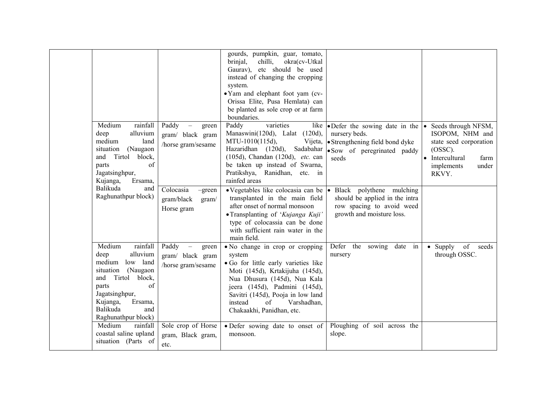| Medium<br>rainfall<br>alluvium<br>deep                                                                                                                                                                             | Paddy<br>green<br>$\overline{\phantom{m}}$<br>gram/ black gram                       | gourds, pumpkin, guar, tomato,<br>brinjal,<br>chilli,<br>okra(cv-Utkal<br>etc should be used<br>Gaurav),<br>instead of changing the cropping<br>system.<br>• Yam and elephant foot yam (cv-<br>Orissa Elite, Pusa Hemlata) can<br>be planted as sole crop or at farm<br>boundaries.<br>Paddy<br>varieties<br>like<br>Manaswini(120d), Lalat (120d), | • Defer the sowing date in the<br>nursery beds.                                                                                   | Seeds through NFSM,<br>ISOPOM, NHM and                                                        |
|--------------------------------------------------------------------------------------------------------------------------------------------------------------------------------------------------------------------|--------------------------------------------------------------------------------------|-----------------------------------------------------------------------------------------------------------------------------------------------------------------------------------------------------------------------------------------------------------------------------------------------------------------------------------------------------|-----------------------------------------------------------------------------------------------------------------------------------|-----------------------------------------------------------------------------------------------|
| medium<br>land<br>situation<br>(Naugaon<br>Tirtol<br>block,<br>and<br>of<br>parts<br>Jagatsinghpur,<br>Ersama,<br>Kujanga,                                                                                         | /horse gram/sesame                                                                   | MTU-1010(115d),<br>Vijeta,<br>Hazaridhan (120d),<br>Sadabahar<br>(105d), Chandan (120d), etc. can<br>be taken up instead of Swarna,<br>Pratikshya, Ranidhan, etc. in<br>rainfed areas                                                                                                                                                               | • Strengthening field bond dyke<br>· Sow of peregrinated paddy<br>seeds                                                           | state seed corporation<br>$(OSSC)$ .<br>Intercultural<br>farm<br>implements<br>under<br>RKVY. |
| Balikuda<br>and<br>Raghunathpur block)                                                                                                                                                                             | Colocasia<br>$-green$<br>gram/black<br>gram/<br>Horse gram                           | • Vegetables like colocasia can be<br>transplanted in the main field<br>after onset of normal monsoon<br>• Transplanting of 'Kujanga Kuji'<br>type of colocassia can be done<br>with sufficient rain water in the<br>main field.                                                                                                                    | Black polythene mulching<br>$\bullet$<br>should be applied in the intra<br>row spacing to avoid weed<br>growth and moisture loss. |                                                                                               |
| Medium<br>rainfall<br>alluvium<br>deep<br>medium<br>low land<br>situation<br>(Naugaon<br>Tirtol<br>block,<br>and<br>of<br>parts<br>Jagatsinghpur,<br>Kujanga,<br>Ersama,<br>Balikuda<br>and<br>Raghunathpur block) | Paddy<br>green<br>$\overline{\phantom{0}}$<br>gram/ black gram<br>/horse gram/sesame | • No change in crop or cropping<br>system<br>· Go for little early varieties like<br>Moti (145d), Krtakijuha (145d),<br>Nua Dhusura (145d), Nua Kala<br>jeera (145d), Padmini (145d),<br>Savitri (145d), Pooja in low land<br>instead<br>of<br>Varshadhan,<br>Chakaakhi, Panidhan, etc.                                                             | Defer the sowing<br>date in<br>nursery                                                                                            | of<br>$\bullet$ Supply<br>seeds<br>through OSSC.                                              |
| Medium<br>rainfall<br>coastal saline upland<br>situation (Parts of                                                                                                                                                 | Sole crop of Horse<br>gram, Black gram,<br>etc.                                      | • Defer sowing date to onset of<br>monsoon.                                                                                                                                                                                                                                                                                                         | Ploughing of soil across the<br>slope.                                                                                            |                                                                                               |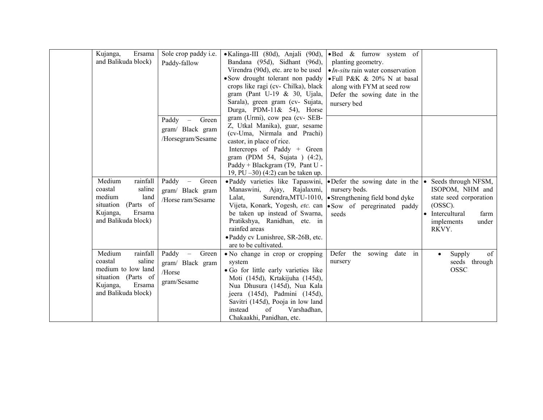|  | Ersama<br>Kujanga,<br>and Balikuda block)                                                                                         | Sole crop paddy i.e.<br>Paddy-fallow                                                    | • Kalinga-III (80d), Anjali (90d),<br>Bandana (95d), Sidhant (96d),<br>Virendra (90d), etc. are to be used<br>• Sow drought tolerant non paddy<br>crops like ragi (cv- Chilka), black<br>gram (Pant U-19 $& 30$ , Ujala,<br>Sarala), green gram (cv- Sujata,<br>Durga, PDM-11& 54), Horse<br>gram (Urmi), cow pea (cv- SEB-          | •Bed & furrow system of<br>planting geometry.<br>$\bullet$ <i>In-situ</i> rain water conservation<br>• Full P&K & 20% N at basal<br>along with FYM at seed row<br>Defer the sowing date in the<br>nursery bed |                                                                                                                                         |
|--|-----------------------------------------------------------------------------------------------------------------------------------|-----------------------------------------------------------------------------------------|--------------------------------------------------------------------------------------------------------------------------------------------------------------------------------------------------------------------------------------------------------------------------------------------------------------------------------------|---------------------------------------------------------------------------------------------------------------------------------------------------------------------------------------------------------------|-----------------------------------------------------------------------------------------------------------------------------------------|
|  |                                                                                                                                   | Paddy<br>Green<br>$\overline{\phantom{m}}$<br>gram/ Black gram<br>/Horsegram/Sesame     | Z, Utkal Manika), guar, sesame<br>(cv-Uma, Nirmala and Prachi)<br>castor, in place of rice.<br>Intercrops of Paddy + Green<br>gram (PDM 54, Sujata ) (4:2),<br>Paddy + Blackgram (T9, Pant U -<br>19, PU $-30$ $(4:2)$ can be taken up.                                                                                              |                                                                                                                                                                                                               |                                                                                                                                         |
|  | Medium<br>rainfall<br>coastal<br>saline<br>medium<br>land<br>(Parts of<br>situation<br>Ersama<br>Kujanga,<br>and Balikuda block)  | Paddy<br>Green<br>$\overline{\phantom{m}}$<br>gram/ Black gram<br>/Horse ram/Sesame     | • Paddy varieties like Tapaswini, • Defer the sowing date in the $\cdot$<br>Manaswini, Ajay, Rajalaxmi,<br>Lalat,<br>Vijeta, Konark, Yogesh, etc. can   Sow of peregrinated paddy<br>be taken up instead of Swarna,<br>Pratikshya, Ranidhan, etc. in<br>rainfed areas<br>• Paddy cv Lunishree, SR-26B, etc.<br>are to be cultivated. | nursery beds.<br>Surendra, MTU-1010, $\bullet$ Strengthening field bond dyke<br>seeds                                                                                                                         | Seeds through NFSM,<br>ISOPOM, NHM and<br>state seed corporation<br>$(OSSC)$ .<br>Intercultural<br>farm<br>implements<br>under<br>RKVY. |
|  | Medium<br>rainfall<br>coastal<br>saline<br>medium to low land<br>situation (Parts of<br>Ersama<br>Kujanga,<br>and Balikuda block) | Paddy<br>Green<br>$\overline{\phantom{m}}$<br>gram/ Black gram<br>/Horse<br>gram/Sesame | • No change in crop or cropping<br>system<br>• Go for little early varieties like<br>Moti (145d), Krtakijuha (145d),<br>Nua Dhusura (145d), Nua Kala<br>jeera (145d), Padmini (145d),<br>Savitri (145d), Pooja in low land<br>of<br>Varshadhan,<br>instead<br>Chakaakhi, Panidhan, etc.                                              | Defer the<br>date<br>sowing<br>in<br>nursery                                                                                                                                                                  | of<br>Supply<br>$\bullet$<br>seeds through<br>OSSC                                                                                      |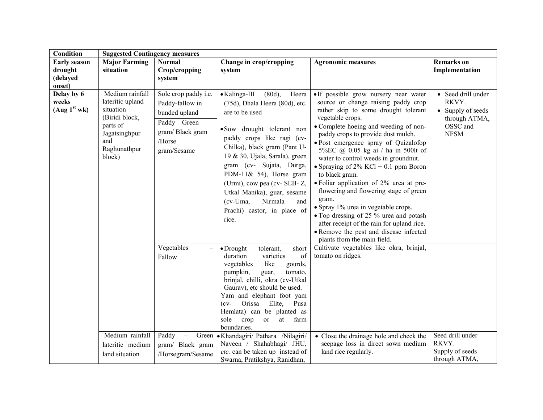| Condition                                            | <b>Suggested Contingency measures</b>                                                                                            |                                                                                                                       |                                                                                                                                                                                                                                                                                                                                                                                                                      |                                                                                                                                                                                                                                                                                                                                                                                                                                                                                                                                                                                                                                                                                                                  |                                                                                              |
|------------------------------------------------------|----------------------------------------------------------------------------------------------------------------------------------|-----------------------------------------------------------------------------------------------------------------------|----------------------------------------------------------------------------------------------------------------------------------------------------------------------------------------------------------------------------------------------------------------------------------------------------------------------------------------------------------------------------------------------------------------------|------------------------------------------------------------------------------------------------------------------------------------------------------------------------------------------------------------------------------------------------------------------------------------------------------------------------------------------------------------------------------------------------------------------------------------------------------------------------------------------------------------------------------------------------------------------------------------------------------------------------------------------------------------------------------------------------------------------|----------------------------------------------------------------------------------------------|
| <b>Early season</b><br>drought<br>(delayed<br>onset) | <b>Major Farming</b><br>situation                                                                                                | <b>Normal</b><br>Crop/cropping<br>system                                                                              | Change in crop/cropping<br>system                                                                                                                                                                                                                                                                                                                                                                                    | <b>Agronomic measures</b>                                                                                                                                                                                                                                                                                                                                                                                                                                                                                                                                                                                                                                                                                        | <b>Remarks</b> on<br>Implementation                                                          |
| Delay by 6<br>weeks<br>(Aug 1 <sup>st</sup> wk)      | Medium rainfall<br>lateritic upland<br>situation<br>(Biridi block,<br>parts of<br>Jagatsinghpur<br>and<br>Raghunathpur<br>block) | Sole crop paddy i.e.<br>Paddy-fallow in<br>bunded upland<br>Paddy - Green<br>gram/Black gram<br>/Horse<br>gram/Sesame | $(80d)$ ,<br>• Kalinga-III<br>Heera<br>(75d), Dhala Heera (80d), etc.<br>are to be used<br>• Sow drought tolerant non<br>paddy crops like ragi (cv-<br>Chilka), black gram (Pant U-<br>19 & 30, Ujala, Sarala), green<br>gram (cv- Sujata, Durga,<br>PDM-11& 54), Horse gram<br>(Urmi), cow pea (cv- SEB- Z,<br>Utkal Manika), guar, sesame<br>Nirmala<br>$(cv$ -Uma,<br>and<br>Prachi) castor, in place of<br>rice. | · If possible grow nursery near water<br>source or change raising paddy crop<br>rather skip to some drought tolerant<br>vegetable crops.<br>• Complete hoeing and weeding of non-<br>paddy crops to provide dust mulch.<br>• Post emergence spray of Quizalofop<br>5%EC @ 0.05 kg ai / ha in 500lt of<br>water to control weeds in groundnut.<br>• Spraying of $2\%$ KCl + 0.1 ppm Boron<br>to black gram.<br>• Foliar application of 2% urea at pre-<br>flowering and flowering stage of green<br>gram.<br>• Spray 1% urea in vegetable crops.<br>• Top dressing of 25 % urea and potash<br>after receipt of the rain for upland rice.<br>• Remove the pest and disease infected<br>plants from the main field. | • Seed drill under<br>RKVY.<br>• Supply of seeds<br>through ATMA,<br>OSSC and<br><b>NFSM</b> |
|                                                      |                                                                                                                                  | Vegetables<br>$\overline{\phantom{0}}$<br>Fallow                                                                      | $\bullet$ Drought<br>tolerant,<br>short<br>of<br>duration<br>varieties<br>like<br>vegetables<br>gourds,<br>pumpkin,<br>tomato,<br>guar,<br>brinjal, chilli, okra (cv-Utkal<br>Gaurav), etc should be used.<br>Yam and elephant foot yam<br>Orissa<br>Elite,<br>Pusa<br>$(cv-$<br>Hemlata) can be planted as<br>sole<br>crop<br>farm<br>or<br>at<br>boundaries.                                                       | Cultivate vegetables like okra, brinjal,<br>tomato on ridges.                                                                                                                                                                                                                                                                                                                                                                                                                                                                                                                                                                                                                                                    |                                                                                              |
|                                                      | Medium rainfall<br>lateritic medium<br>land situation                                                                            | Paddy<br>Green<br>gram/ Black gram<br>/Horsegram/Sesame                                                               | • Khandagiri/ Pathara /Nilagiri/<br>Naveen / Shahabhagi/ JHU,<br>etc. can be taken up instead of<br>Swarna, Pratikshya, Ranidhan,                                                                                                                                                                                                                                                                                    | • Close the drainage hole and check the<br>seepage loss in direct sown medium<br>land rice regularly.                                                                                                                                                                                                                                                                                                                                                                                                                                                                                                                                                                                                            | Seed drill under<br>RKVY.<br>Supply of seeds<br>through ATMA,                                |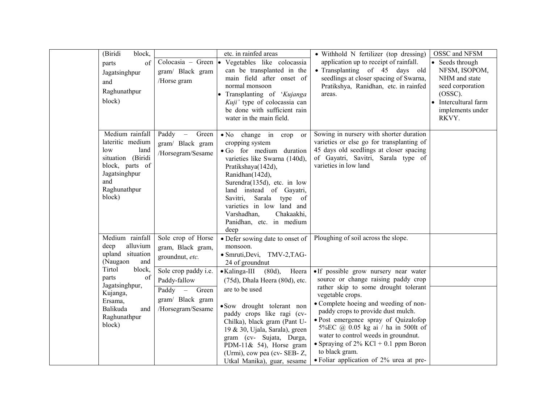| (Biridi<br>parts<br>and<br>block)         | block,<br>of<br>Jagatsinghpur<br>/Horse gram<br>Raghunathpur                                                                    | etc. in rainfed areas<br>Colocasia - Green • Vegetables like colocassia<br>gram/ Black gram<br>normal monsoon                                 | can be transplanted in the<br>main field after onset of<br>• Transplanting of 'Kujanga<br>Kuji' type of colocassia can<br>be done with sufficient rain<br>water in the main field.                                                                    | • Withhold N fertilizer (top dressing)<br>application up to receipt of rainfall.<br>• Transplanting of 45 days old<br>seedlings at closer spacing of Swarna,<br>Pratikshya, Ranidhan, etc. in rainfed<br>areas.                                                                                                                                                               | OSSC and NFSM<br>• Seeds through<br>NFSM, ISOPOM,<br>NHM and state<br>seed corporation<br>$(OSSC)$ .<br>• Intercultural farm<br>implements under<br>RKVY. |
|-------------------------------------------|---------------------------------------------------------------------------------------------------------------------------------|-----------------------------------------------------------------------------------------------------------------------------------------------|-------------------------------------------------------------------------------------------------------------------------------------------------------------------------------------------------------------------------------------------------------|-------------------------------------------------------------------------------------------------------------------------------------------------------------------------------------------------------------------------------------------------------------------------------------------------------------------------------------------------------------------------------|-----------------------------------------------------------------------------------------------------------------------------------------------------------|
| low<br>and<br>block)                      | Medium rainfall<br>Paddy –<br>lateritic medium<br>land<br>situation (Biridi<br>block, parts of<br>Jagatsinghpur<br>Raghunathpur | Green<br>cropping system<br>gram/ Black gram<br>/Horsegram/Sesame<br>Pratikshaya(142d),<br>Ranidhan(142d),<br>Savitri,<br>Varshadhan,<br>deep | • No change in crop<br><sub>or</sub><br>• Go for medium duration<br>varieties like Swarna (140d),<br>Surendra(135d), etc. in low<br>land instead of Gayatri,<br>Sarala type of<br>varieties in low land and<br>Chakaakhi,<br>Panidhan, etc. in medium | Sowing in nursery with shorter duration<br>varieties or else go for transplanting of<br>45 days old seedlings at closer spacing<br>of Gayatri, Savitri, Sarala type of<br>varieties in low land                                                                                                                                                                               |                                                                                                                                                           |
| deep<br>(Naugaon                          | Medium rainfall<br>alluvium<br>upland situation<br>groundnut, etc.<br>and                                                       | Sole crop of Horse<br>monsoon.<br>gram, Black gram,<br>24 of groundnut                                                                        | • Defer sowing date to onset of<br>· Smruti, Devi, TMV-2, TAG-                                                                                                                                                                                        | Ploughing of soil across the slope.                                                                                                                                                                                                                                                                                                                                           |                                                                                                                                                           |
| Tirtol<br>parts                           | block,<br>of<br>Paddy-fallow                                                                                                    | Sole crop paddy i.e.<br>$\bullet$ Kalinga-III                                                                                                 | $(80d)$ ,<br>Heera<br>(75d), Dhala Heera (80d), etc.                                                                                                                                                                                                  | • If possible grow nursery near water<br>source or change raising paddy crop                                                                                                                                                                                                                                                                                                  |                                                                                                                                                           |
| Kujanga,<br>Ersama,<br>Balikuda<br>block) | Jagatsinghpur,<br>Paddy –<br>and<br>Raghunathpur                                                                                | are to be used<br>Green<br>gram/ Black gram<br>/Horsegram/Sesame                                                                              | • Sow drought tolerant non<br>paddy crops like ragi (cv-<br>Chilka), black gram (Pant U-<br>19 & 30, Ujala, Sarala), green<br>gram (cv- Sujata, Durga,<br>PDM-11& 54), Horse gram<br>(Urmi), cow pea (cv-SEB-Z,<br>Utkal Manika), guar, sesame        | rather skip to some drought tolerant<br>vegetable crops.<br>• Complete hoeing and weeding of non-<br>paddy crops to provide dust mulch.<br>· Post emergence spray of Quizalofop<br>5%EC @ 0.05 kg ai / ha in 500lt of<br>water to control weeds in groundnut.<br>• Spraying of $2\%$ KCl + 0.1 ppm Boron<br>to black gram.<br>$\bullet$ Foliar application of 2% urea at pre- |                                                                                                                                                           |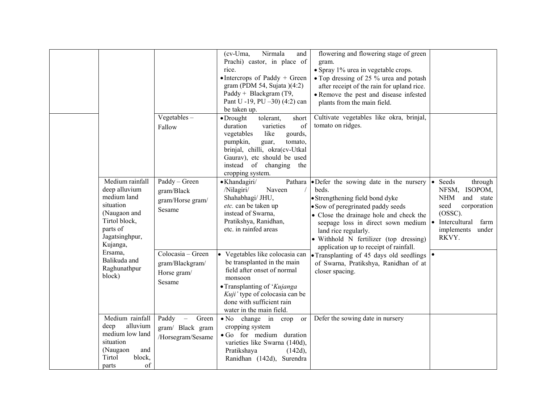|                                                                                                                                         | Vegetables $-$<br>Fallow                                                                                   | Nirmala<br>(cv-Uma,<br>and<br>Prachi) castor, in place of<br>rice.<br>$\bullet$ Intercrops of Paddy + Green<br>gram (PDM 54, Sujata $(4:2)$<br>Paddy + Blackgram (T9,<br>Pant U -19, PU -30) (4:2) can<br>be taken up.<br>$\bullet$ Drought<br>tolerant,<br>short<br>duration<br>of<br>varieties<br>like<br>vegetables<br>gourds,<br>pumpkin,<br>tomato,<br>guar, | flowering and flowering stage of green<br>gram.<br>• Spray 1% urea in vegetable crops.<br>• Top dressing of 25 % urea and potash<br>after receipt of the rain for upland rice.<br>• Remove the pest and disease infested<br>plants from the main field.<br>Cultivate vegetables like okra, brinjal,<br>tomato on ridges. |                                                                                                                                                                         |
|-----------------------------------------------------------------------------------------------------------------------------------------|------------------------------------------------------------------------------------------------------------|-------------------------------------------------------------------------------------------------------------------------------------------------------------------------------------------------------------------------------------------------------------------------------------------------------------------------------------------------------------------|--------------------------------------------------------------------------------------------------------------------------------------------------------------------------------------------------------------------------------------------------------------------------------------------------------------------------|-------------------------------------------------------------------------------------------------------------------------------------------------------------------------|
|                                                                                                                                         |                                                                                                            | brinjal, chilli, okra(cv-Utkal<br>Gaurav), etc should be used<br>instead of changing the<br>cropping system.                                                                                                                                                                                                                                                      |                                                                                                                                                                                                                                                                                                                          |                                                                                                                                                                         |
| Medium rainfall<br>deep alluvium<br>medium land<br>situation<br>(Naugaon and<br>Tirtol block,<br>parts of<br>Jagatsinghpur,<br>Kujanga, | Paddy - Green<br>gram/Black<br>gram/Horse gram/<br>Sesame                                                  | · Khandagiri/<br>Pathara<br>/Nilagiri/<br>Naveen<br>Shahabhagi/ JHU,<br>etc. can be taken up<br>instead of Swarna,<br>Pratikshya, Ranidhan,<br>etc. in rainfed areas                                                                                                                                                                                              | • Defer the sowing date in the nursery<br>beds.<br>• Strengthening field bond dyke<br>• Sow of peregrinated paddy seeds<br>• Close the drainage hole and check the<br>seepage loss in direct sown medium<br>land rice regularly.<br>• Withhold N fertilizer (top dressing)<br>application up to receipt of rainfall.     | Seeds<br>through<br>NFSM, ISOPOM,<br><b>NHM</b><br>and state<br>seed<br>corporation<br>$(OSSC)$ .<br>Intercultural<br>farm<br>$\bullet$<br>implements<br>under<br>RKVY. |
| Ersama,<br>Balikuda and<br>Raghunathpur<br>block)                                                                                       | Colocasia - Green<br>gram/Blackgram/<br>Horse gram/<br>Sesame                                              | • Vegetables like colocasia can<br>be transplanted in the main<br>field after onset of normal<br>monsoon<br>• Transplanting of 'Kujanga<br>Kuji' type of colocasia can be<br>done with sufficient rain<br>water in the main field.                                                                                                                                | • Transplanting of 45 days old seedlings $  \bullet  $<br>of Swarna, Pratikshya, Ranidhan of at<br>closer spacing.                                                                                                                                                                                                       |                                                                                                                                                                         |
| Medium rainfall<br>alluvium<br>deep<br>medium low land<br>situation<br>(Naugaon<br>Tirtol<br>parts                                      | Paddy<br>Green<br>$\overline{\phantom{0}}$<br>gram/ Black gram<br>/Horsegram/Sesame<br>and<br>block,<br>of | • No change in crop<br><sub>or</sub><br>cropping system<br>· Go for medium duration<br>varieties like Swarna (140d),<br>Pratikshaya<br>$(142d)$ ,<br>Ranidhan (142d), Surendra                                                                                                                                                                                    | Defer the sowing date in nursery                                                                                                                                                                                                                                                                                         |                                                                                                                                                                         |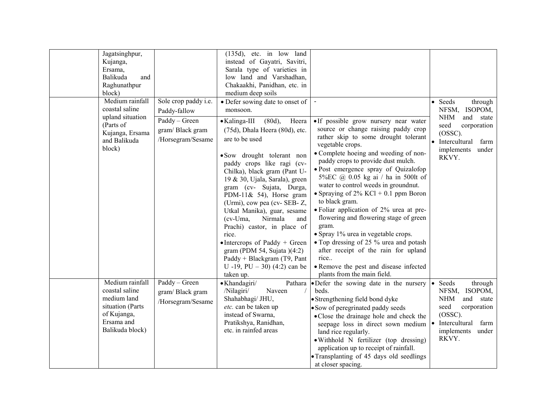| Jagatsinghpur,<br>Kujanga,<br>Ersama,<br>Balikuda<br>Raghunathpur<br>block)                                          | and                                                                                           | $(135d)$ , etc. in low land<br>instead of Gayatri, Savitri,<br>Sarala type of varieties in<br>low land and Varshadhan,<br>Chakaakhi, Panidhan, etc. in<br>medium deep soils                                                                                                                                                                                                                                                                                                                                                                                                                                               |                                                                                                                                                                                                                                                                                                                                                                                                                                                                                                                                                                                                                                                                                                                    |                                                                                                                                                                |
|----------------------------------------------------------------------------------------------------------------------|-----------------------------------------------------------------------------------------------|---------------------------------------------------------------------------------------------------------------------------------------------------------------------------------------------------------------------------------------------------------------------------------------------------------------------------------------------------------------------------------------------------------------------------------------------------------------------------------------------------------------------------------------------------------------------------------------------------------------------------|--------------------------------------------------------------------------------------------------------------------------------------------------------------------------------------------------------------------------------------------------------------------------------------------------------------------------------------------------------------------------------------------------------------------------------------------------------------------------------------------------------------------------------------------------------------------------------------------------------------------------------------------------------------------------------------------------------------------|----------------------------------------------------------------------------------------------------------------------------------------------------------------|
| Medium rainfall<br>coastal saline<br>upland situation<br>(Parts of<br>Kujanga, Ersama<br>and Balikuda<br>block)      | Sole crop paddy i.e.<br>Paddy-fallow<br>Paddy - Green<br>gram/Black gram<br>/Horsegram/Sesame | • Defer sowing date to onset of<br>monsoon.<br>$(80d)$ ,<br>• Kalinga-III<br>Heera<br>(75d), Dhala Heera (80d), etc.<br>are to be used<br>• Sow drought tolerant non<br>paddy crops like ragi (cv-<br>Chilka), black gram (Pant U-<br>19 & 30, Ujala, Sarala), green<br>gram (cv- Sujata, Durga,<br>PDM-11& 54), Horse gram<br>(Urmi), cow pea (cv- SEB- Z,<br>Utkal Manika), guar, sesame<br>$(cv-Uma)$<br>Nirmala<br>and<br>Prachi) castor, in place of<br>rice.<br>$\bullet$ Intercrops of Paddy + Green<br>gram (PDM 54, Sujata $(4:2)$ )<br>Paddy + Blackgram (T9, Pant<br>U -19, PU - 30) (4:2) can be<br>taken up. | • If possible grow nursery near water<br>source or change raising paddy crop<br>rather skip to some drought tolerant<br>vegetable crops.<br>• Complete hoeing and weeding of non-<br>paddy crops to provide dust mulch.<br>• Post emergence spray of Quizalofop<br>5%EC @ 0.05 kg ai / ha in 500lt of<br>water to control weeds in groundnut.<br>• Spraying of $2\%$ KCl + 0.1 ppm Boron<br>to black gram.<br>• Foliar application of 2% urea at pre-<br>flowering and flowering stage of green<br>gram.<br>• Spray 1% urea in vegetable crops.<br>• Top dressing of 25 % urea and potash<br>after receipt of the rain for upland<br>rice<br>• Remove the pest and disease infected<br>plants from the main field. | • Seeds<br>through<br>NFSM, ISOPOM,<br><b>NHM</b><br>and state<br>seed<br>corporation<br>$(OSSC)$ .<br>• Intercultural<br>farm<br>implements<br>under<br>RKVY. |
| Medium rainfall<br>coastal saline<br>medium land<br>situation (Parts<br>of Kujanga,<br>Ersama and<br>Balikuda block) | Paddy - Green<br>gram/Black gram<br>/Horsegram/Sesame                                         | · Khandagiri/<br>Pathara<br>/Nilagiri/<br>Naveen<br>Shahabhagi/ JHU,<br>etc. can be taken up<br>instead of Swarna,<br>Pratikshya, Ranidhan,<br>etc. in rainfed areas                                                                                                                                                                                                                                                                                                                                                                                                                                                      | • Defer the sowing date in the nursery<br>beds.<br>• Strengthening field bond dyke<br>• Sow of peregrinated paddy seeds<br>• Close the drainage hole and check the<br>seepage loss in direct sown medium<br>land rice regularly.<br>· Withhold N fertilizer (top dressing)<br>application up to receipt of rainfall.<br>• Transplanting of 45 days old seedlings<br>at closer spacing.                                                                                                                                                                                                                                                                                                                             | • Seeds<br>through<br>NFSM, ISOPOM,<br><b>NHM</b><br>and state<br>seed<br>corporation<br>$(OSSC)$ .<br>• Intercultural<br>farm<br>implements<br>under<br>RKVY. |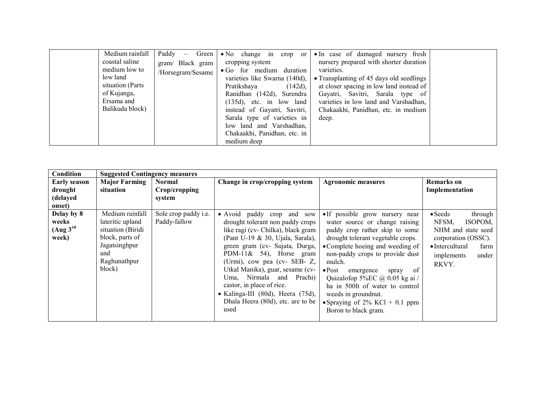| Medium rainfall   | Paddy<br>Green  <br>$\overline{\phantom{m}}$ | $\bullet$ No change in<br>$\text{crop}$ or | • In case of damaged nursery fresh       |  |
|-------------------|----------------------------------------------|--------------------------------------------|------------------------------------------|--|
| coastal saline    | gram/ Black gram                             | cropping system                            | nursery prepared with shorter duration   |  |
| medium low to     | /Horsegram/Sesame                            | • Go for medium duration                   | varieties.                               |  |
| low land          |                                              | varieties like Swarna (140d),              | • Transplanting of 45 days old seedlings |  |
| situation (Parts) |                                              | Pratikshaya<br>$(142d)$ ,                  | at closer spacing in low land instead of |  |
| of Kujanga,       |                                              | Ranidhan (142d), Surendra                  | Gayatri, Savitri, Sarala type of         |  |
| Ersama and        |                                              | $(135d)$ , etc. in low land                | varieties in low land and Varshadhan,    |  |
| Balikuda block)   |                                              | instead of Gayatri, Savitri,               | Chakaakhi, Panidhan, etc. in medium      |  |
|                   |                                              | Sarala type of varieties in                | deep.                                    |  |
|                   |                                              | low land and Varshadhan,                   |                                          |  |
|                   |                                              | Chakaakhi, Panidhan, etc. in               |                                          |  |
|                   |                                              | medium deep                                |                                          |  |

| Condition                                                        | <b>Suggested Contingency measures</b>                                                                                         |                                             |                                                                                                                                                                                                                                                                                                                                                                                                                          |                                                                                                                                                                                                                                                                                                                                                                                                                                |                                                                                                                                                                |
|------------------------------------------------------------------|-------------------------------------------------------------------------------------------------------------------------------|---------------------------------------------|--------------------------------------------------------------------------------------------------------------------------------------------------------------------------------------------------------------------------------------------------------------------------------------------------------------------------------------------------------------------------------------------------------------------------|--------------------------------------------------------------------------------------------------------------------------------------------------------------------------------------------------------------------------------------------------------------------------------------------------------------------------------------------------------------------------------------------------------------------------------|----------------------------------------------------------------------------------------------------------------------------------------------------------------|
| <b>Early season</b><br>drought<br>(delayed<br>onset)             | <b>Major Farming</b><br>situation                                                                                             | <b>Normal</b><br>Crop/cropping<br>system    | Change in crop/cropping system                                                                                                                                                                                                                                                                                                                                                                                           | <b>Agronomic measures</b>                                                                                                                                                                                                                                                                                                                                                                                                      | <b>Remarks</b> on<br>Implementation                                                                                                                            |
| Delay by 8<br>weeks<br>(Aug <sup>3<sup>rd</sup></sup> )<br>week) | Medium rainfall<br>lateritic upland<br>situation (Biridi<br>block, parts of<br>Jagatsinghpur<br>and<br>Raghunathpur<br>block) | Sole crop paddy <i>i.e.</i><br>Paddy-fallow | • Avoid paddy crop and sow<br>drought tolerant non paddy crops<br>like ragi (cv- Chilka), black gram<br>(Pant U-19 & 30, Ujala, Sarala),<br>green gram (cv- Sujata, Durga,<br>PDM-11& 54), Horse gram<br>(Urmi), cow pea (cv-SEB-Z,<br>Utkal Manika), guar, sesame (cv-<br>Uma, Nirmala and Prachi)<br>castor, in place of rice.<br>• Kalinga-III $(80d)$ , Heera $(75d)$ ,<br>Dhala Heera (80d), etc. are to be<br>used | · If possible grow nursery near<br>water source or change raising<br>paddy crop rather skip to some<br>drought tolerant vegetable crops.<br>• Complete hoeing and weeding of<br>non-paddy crops to provide dust<br>mulch.<br>$\bullet$ Post<br>of<br>emergence<br>spray<br>Quizalofop 5%EC @ 0.05 kg ai /<br>ha in 500lt of water to control<br>weeds in ground nut.<br>• Spraying of 2% KCl + 0.1 ppm<br>Boron to black gram. | $\bullet$ Seeds<br>through<br>NFSM,<br>ISOPOM,<br>NHM and state seed<br>corporation (OSSC).<br>$\bullet$ Intercultural<br>farm<br>implements<br>under<br>RKVY. |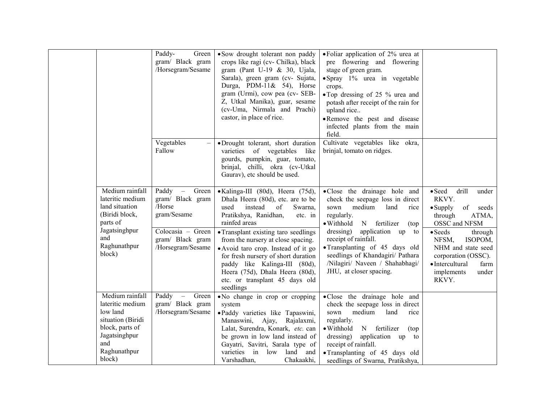|     |                                                                                                                                    | Paddy-<br>Green<br>gram/ Black gram<br>/Horsegram/Sesame                                                                    | • Sow drought tolerant non paddy<br>crops like ragi (cv- Chilka), black<br>gram (Pant U-19 & 30, Ujala,<br>Sarala), green gram (cv- Sujata,<br>Durga, PDM-11& 54), Horse<br>gram (Urmi), cow pea (cv- SEB-<br>Z, Utkal Manika), guar, sesame<br>(cv-Uma, Nirmala and Prachi)<br>castor, in place of rice.                                                                                                                                      | • Foliar application of 2% urea at<br>pre flowering and flowering<br>stage of green gram.<br>• Spray 1% urea in vegetable<br>crops.<br>• Top dressing of 25 % urea and<br>potash after receipt of the rain for<br>upland rice<br>. Remove the pest and disease<br>infected plants from the main<br>field.                                             |                                                                                                                                                                                                                                                                             |
|-----|------------------------------------------------------------------------------------------------------------------------------------|-----------------------------------------------------------------------------------------------------------------------------|------------------------------------------------------------------------------------------------------------------------------------------------------------------------------------------------------------------------------------------------------------------------------------------------------------------------------------------------------------------------------------------------------------------------------------------------|-------------------------------------------------------------------------------------------------------------------------------------------------------------------------------------------------------------------------------------------------------------------------------------------------------------------------------------------------------|-----------------------------------------------------------------------------------------------------------------------------------------------------------------------------------------------------------------------------------------------------------------------------|
|     |                                                                                                                                    | Vegetables<br>Fallow                                                                                                        | ·Drought tolerant, short duration<br>varieties of vegetables<br>like<br>gourds, pumpkin, guar, tomato,<br>brinjal, chilli, okra (cv-Utkal<br>Gaurav), etc should be used.                                                                                                                                                                                                                                                                      | Cultivate vegetables like okra,<br>brinjal, tomato on ridges.                                                                                                                                                                                                                                                                                         |                                                                                                                                                                                                                                                                             |
| and | Medium rainfall<br>lateritic medium<br>land situation<br>(Biridi block,<br>parts of<br>Jagatsinghpur<br>Raghunathpur<br>block)     | Paddy –<br>Green<br>gram/ Black gram<br>/Horse<br>gram/Sesame<br>Colocasia - Green<br>gram/ Black gram<br>/Horsegram/Sesame | • Kalinga-III (80d), Heera (75d),<br>Dhala Heera (80d), etc. are to be<br>used<br>instead<br>of<br>Swarna,<br>Pratikshya, Ranidhan,<br>etc. in<br>rainfed areas<br>• Transplant existing taro seedlings<br>from the nursery at close spacing.<br>• Avoid taro crop. Instead of it go<br>for fresh nursery of short duration<br>paddy like Kalinga-III (80d),<br>Heera (75d), Dhala Heera (80d),<br>etc. or transplant 45 days old<br>seedlings | •Close the drainage hole and<br>check the seepage loss in direct<br>medium<br>sown<br>land<br>rice<br>regularly.<br>• Withhold<br>N fertilizer<br>(top)<br>dressing)<br>application up to<br>receipt of rainfall.<br>· Transplanting of 45 days old<br>seedlings of Khandagiri/ Pathara<br>/Nilagiri/ Naveen / Shahabhagi/<br>JHU, at closer spacing. | $\bullet$ Seed<br>drill<br>under<br>RKVY.<br>of<br>$\bullet$ Supply<br>seeds<br>through<br>ATMA,<br>OSSC and NFSM<br>$\bullet$ Seeds<br>through<br>NFSM,<br>ISOPOM,<br>NHM and state seed<br>corporation (OSSC).<br>• Intercultural<br>farm<br>implements<br>under<br>RKVY. |
| and | Medium rainfall<br>lateritic medium<br>low land<br>situation (Biridi<br>block, parts of<br>Jagatsinghpur<br>Raghunathpur<br>block) | Paddy<br>Green<br>$\overline{\phantom{0}}$<br>gram/ Black gram<br>/Horsegram/Sesame                                         | • No change in crop or cropping<br>system<br>·Paddy varieties like Tapaswini,<br>Manaswini,<br>Ajay,<br>Rajalaxmi,<br>Lalat, Surendra, Konark, etc. can<br>be grown in low land instead of<br>Gayatri, Savitri, Sarala type of<br>varieties in<br>land and<br>low<br>Varshadhan,<br>Chakaakhi,                                                                                                                                                 | • Close the drainage hole and<br>check the seepage loss in direct<br>medium<br>land<br>sown<br>rice<br>regularly.<br>• Withhold<br>N fertilizer<br>(top)<br>dressing)<br>application up<br>to<br>receipt of rainfall.<br>• Transplanting of 45 days old<br>seedlings of Swarna, Pratikshya,                                                           |                                                                                                                                                                                                                                                                             |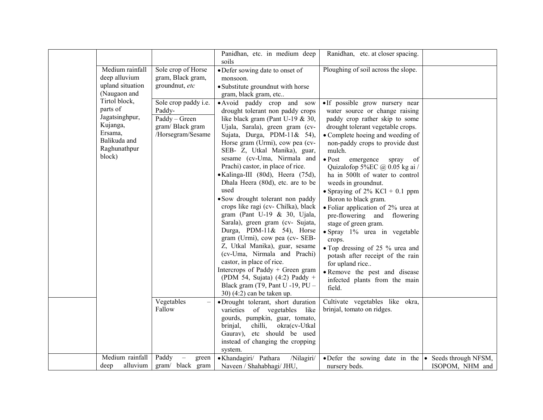|                                                                                                              |                                                                                         | Panidhan, etc. in medium deep<br>soils                                                                                                                                                                                                                                                                                                                                                                                                                                                                                                                                                                                                                                                                                                                                                                                                                        | Ranidhan, etc. at closer spacing.                                                                                                                                                                                                                                                                                                                                                                                                                                                                                                                                                                                                                                                                                                  |                 |
|--------------------------------------------------------------------------------------------------------------|-----------------------------------------------------------------------------------------|---------------------------------------------------------------------------------------------------------------------------------------------------------------------------------------------------------------------------------------------------------------------------------------------------------------------------------------------------------------------------------------------------------------------------------------------------------------------------------------------------------------------------------------------------------------------------------------------------------------------------------------------------------------------------------------------------------------------------------------------------------------------------------------------------------------------------------------------------------------|------------------------------------------------------------------------------------------------------------------------------------------------------------------------------------------------------------------------------------------------------------------------------------------------------------------------------------------------------------------------------------------------------------------------------------------------------------------------------------------------------------------------------------------------------------------------------------------------------------------------------------------------------------------------------------------------------------------------------------|-----------------|
| Medium rainfall<br>deep alluvium<br>upland situation<br>(Naugaon and                                         | Sole crop of Horse<br>gram, Black gram,<br>groundnut, etc                               | • Defer sowing date to onset of<br>monsoon.<br>• Substitute groundnut with horse<br>gram, black gram, etc                                                                                                                                                                                                                                                                                                                                                                                                                                                                                                                                                                                                                                                                                                                                                     | Ploughing of soil across the slope.                                                                                                                                                                                                                                                                                                                                                                                                                                                                                                                                                                                                                                                                                                |                 |
| Tirtol block,<br>parts of<br>Jagatsinghpur,<br>Kujanga,<br>Ersama,<br>Balikuda and<br>Raghunathpur<br>block) | Sole crop paddy i.e.<br>Paddy-<br>Paddy - Green<br>gram/Black gram<br>/Horsegram/Sesame | • Avoid paddy crop and sow<br>drought tolerant non paddy crops<br>like black gram (Pant U-19 $& 30$ ,<br>Ujala, Sarala), green gram (cv-<br>Sujata, Durga, PDM-11& 54),<br>Horse gram (Urmi), cow pea (cv-<br>SEB- Z, Utkal Manika), guar,<br>sesame (cv-Uma, Nirmala and<br>Prachi) castor, in place of rice.<br>• Kalinga-III (80d), Heera (75d),<br>Dhala Heera (80d), etc. are to be<br>used<br>· Sow drought tolerant non paddy<br>crops like ragi (cv- Chilka), black<br>gram (Pant U-19 $&$ 30, Ujala,<br>Sarala), green gram (cv- Sujata,<br>Durga, PDM-11 $\&$ 54), Horse<br>gram (Urmi), cow pea (cv- SEB-<br>Z, Utkal Manika), guar, sesame<br>(cv-Uma, Nirmala and Prachi)<br>castor, in place of rice.<br>Intercrops of Paddy + Green gram<br>(PDM 54, Sujata) $(4:2)$ Paddy +<br>Black gram (T9, Pant U -19, PU -<br>30) (4:2) can be taken up. | · If possible grow nursery near<br>water source or change raising<br>paddy crop rather skip to some<br>drought tolerant vegetable crops.<br>• Complete hoeing and weeding of<br>non-paddy crops to provide dust<br>mulch.<br>• Post emergence<br>spray<br>of<br>Quizalofop 5%EC @ 0.05 kg ai /<br>ha in 500lt of water to control<br>weeds in groundnut.<br>• Spraying of $2\%$ KCl + 0.1 ppm<br>Boron to black gram.<br>• Foliar application of 2% urea at<br>pre-flowering and flowering<br>stage of green gram.<br>• Spray 1% urea in vegetable<br>crops.<br>• Top dressing of 25 % urea and<br>potash after receipt of the rain<br>for upland rice<br>· Remove the pest and disease<br>infected plants from the main<br>field. |                 |
|                                                                                                              | Vegetables<br>Fallow                                                                    | ·Drought tolerant, short duration<br>varieties of vegetables like<br>gourds, pumpkin, guar, tomato,<br>okra(cv-Utkal<br>brinjal,<br>chilli,<br>Gaurav), etc should be used<br>instead of changing the cropping<br>system.                                                                                                                                                                                                                                                                                                                                                                                                                                                                                                                                                                                                                                     | Cultivate vegetables like okra,<br>brinjal, tomato on ridges.                                                                                                                                                                                                                                                                                                                                                                                                                                                                                                                                                                                                                                                                      |                 |
| Medium rainfall<br>alluvium<br>deep                                                                          | Paddy<br>green<br>gram/ black gram                                                      | · Khandagiri/ Pathara<br>/Nilagiri/<br>Naveen / Shahabhagi/ JHU,                                                                                                                                                                                                                                                                                                                                                                                                                                                                                                                                                                                                                                                                                                                                                                                              | • Defer the sowing date in the $\bullet$ Seeds through NFSM,<br>nursery beds.                                                                                                                                                                                                                                                                                                                                                                                                                                                                                                                                                                                                                                                      | ISOPOM, NHM and |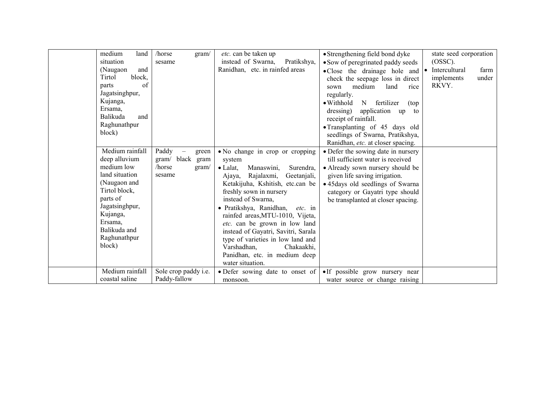| medium<br>land<br>situation<br>and<br>(Naugaon<br>Tirtol<br>block,<br>of<br>parts<br>Jagatsinghpur,<br>Kujanga,<br>Ersama,<br>Balikuda<br>and<br>Raghunathpur<br>block)                          | /horse<br>gram/<br>sesame                                          | etc. can be taken up<br>instead of Swarna,<br>Pratikshya,<br>Ranidhan, etc. in rainfed areas                                                                                                                                                                                                                                                                                                                                                                                                      | • Strengthening field bond dyke<br>• Sow of peregrinated paddy seeds<br>• Close the drainage hole and<br>check the seepage loss in direct<br>medium<br>land<br>rice<br>sown<br>regularly.<br>$\bullet$ Withhold<br>N<br>fertilizer<br>(top)<br>application<br>dressing)<br>up<br>to<br>receipt of rainfall.<br>• Transplanting of 45 days old<br>seedlings of Swarna, Pratikshya,<br>Ranidhan, etc. at closer spacing. | state seed corporation<br>(OSSC).<br>farm<br>Intercultural<br>implements<br>under<br>RKVY. |
|--------------------------------------------------------------------------------------------------------------------------------------------------------------------------------------------------|--------------------------------------------------------------------|---------------------------------------------------------------------------------------------------------------------------------------------------------------------------------------------------------------------------------------------------------------------------------------------------------------------------------------------------------------------------------------------------------------------------------------------------------------------------------------------------|------------------------------------------------------------------------------------------------------------------------------------------------------------------------------------------------------------------------------------------------------------------------------------------------------------------------------------------------------------------------------------------------------------------------|--------------------------------------------------------------------------------------------|
| Medium rainfall<br>deep alluvium<br>medium low<br>land situation<br>(Naugaon and<br>Tirtol block,<br>parts of<br>Jagatsinghpur,<br>Kujanga,<br>Ersama,<br>Balikuda and<br>Raghunathpur<br>block) | Paddy<br>green<br>gram/ black<br>gram<br>/horse<br>gram/<br>sesame | • No change in crop or cropping<br>system<br>Manaswini,<br>$\bullet$ Lalat.<br>Surendra,<br>Ajaya, Rajalaxmi,<br>Geetanjali,<br>Ketakijuha, Kshitish, etc.can be<br>freshly sown in nursery<br>instead of Swarna,<br>· Pratikshya, Ranidhan,<br><i>etc.</i> in<br>rainfed areas, MTU-1010, Vijeta,<br>etc. can be grown in low land<br>instead of Gayatri, Savitri, Sarala<br>type of varieties in low land and<br>Varshadhan,<br>Chakaakhi,<br>Panidhan, etc. in medium deep<br>water situation. | • Defer the sowing date in nursery<br>till sufficient water is received<br>• Already sown nursery should be<br>given life saving irrigation.<br>• 45 days old seedlings of Swarna<br>category or Gayatri type should<br>be transplanted at closer spacing.                                                                                                                                                             |                                                                                            |
| Medium rainfall<br>coastal saline                                                                                                                                                                | Sole crop paddy <i>i.e.</i><br>Paddy-fallow                        | • Defer sowing date to onset of<br>monsoon.                                                                                                                                                                                                                                                                                                                                                                                                                                                       | •If possible grow nursery near<br>water source or change raising                                                                                                                                                                                                                                                                                                                                                       |                                                                                            |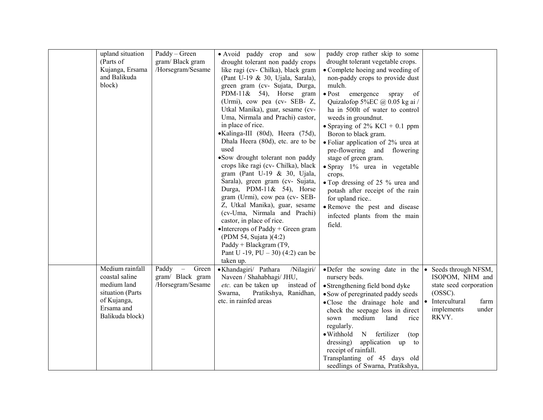| upland situation<br>(Parts of<br>Kujanga, Ersama<br>and Balikuda<br>block)                                           | Paddy - Green<br>gram/Black gram<br>/Horsegram/Sesame                               | • Avoid paddy crop and sow<br>drought tolerant non paddy crops<br>like ragi (cv- Chilka), black gram<br>(Pant U-19 & 30, Ujala, Sarala),<br>green gram (cv- Sujata, Durga,<br>PDM-11& 54), Horse gram<br>(Urmi), cow pea (cv- SEB- Z,<br>Utkal Manika), guar, sesame (cv-<br>Uma, Nirmala and Prachi) castor,<br>in place of rice.<br>•Kalinga-III (80d), Heera (75d),<br>Dhala Heera (80d), etc. are to be<br>used<br>•Sow drought tolerant non paddy<br>crops like ragi (cv- Chilka), black<br>gram (Pant U-19 & 30, Ujala,<br>Sarala), green gram (cv- Sujata,<br>Durga, PDM-11& 54), Horse<br>gram (Urmi), cow pea (cv- SEB-<br>Z, Utkal Manika), guar, sesame<br>(cv-Uma, Nirmala and Prachi)<br>castor, in place of rice.<br>• Intercrops of Paddy + Green gram<br>(PDM 54, Sujata )(4:2)<br>Paddy + Blackgram (T9,<br>Pant U -19, PU $-$ 30) (4:2) can be<br>taken up. | paddy crop rather skip to some<br>drought tolerant vegetable crops.<br>• Complete hoeing and weeding of<br>non-paddy crops to provide dust<br>mulch.<br>$\bullet$ Post<br>emergence<br>of<br>spray<br>Quizalofop 5%EC @ 0.05 kg ai /<br>ha in 500lt of water to control<br>weeds in groundnut.<br>• Spraying of $2\%$ KCl + 0.1 ppm<br>Boron to black gram.<br>• Foliar application of 2% urea at<br>pre-flowering and flowering<br>stage of green gram.<br>· Spray 1% urea in vegetable<br>crops.<br>• Top dressing of 25 % urea and<br>potash after receipt of the rain<br>for upland rice<br>· Remove the pest and disease<br>infected plants from the main<br>field. |                                                                                                                        |
|----------------------------------------------------------------------------------------------------------------------|-------------------------------------------------------------------------------------|-------------------------------------------------------------------------------------------------------------------------------------------------------------------------------------------------------------------------------------------------------------------------------------------------------------------------------------------------------------------------------------------------------------------------------------------------------------------------------------------------------------------------------------------------------------------------------------------------------------------------------------------------------------------------------------------------------------------------------------------------------------------------------------------------------------------------------------------------------------------------------|--------------------------------------------------------------------------------------------------------------------------------------------------------------------------------------------------------------------------------------------------------------------------------------------------------------------------------------------------------------------------------------------------------------------------------------------------------------------------------------------------------------------------------------------------------------------------------------------------------------------------------------------------------------------------|------------------------------------------------------------------------------------------------------------------------|
| Medium rainfall<br>coastal saline<br>medium land<br>situation (Parts<br>of Kujanga,<br>Ersama and<br>Balikuda block) | Paddy<br>Green<br>$\overline{\phantom{m}}$<br>gram/ Black gram<br>/Horsegram/Sesame | · Khandagiri/ Pathara<br>/Nilagiri/<br>Naveen / Shahabhagi/ JHU,<br>etc. can be taken up<br>instead of<br>Swarna,<br>Pratikshya, Ranidhan,<br>etc. in rainfed areas                                                                                                                                                                                                                                                                                                                                                                                                                                                                                                                                                                                                                                                                                                           | • Defer the sowing date in the $\cdot$<br>nursery beds.<br>• Strengthening field bond dyke<br>• Sow of peregrinated paddy seeds<br>• Close the drainage hole and • Intercultural<br>check the seepage loss in direct<br>medium<br>land<br>sown<br>rice<br>regularly.<br>$\bullet$ Withhold<br>N fertilizer<br>(top)<br>dressing)<br>application up to<br>receipt of rainfall.<br>Transplanting of 45 days old<br>seedlings of Swarna, Pratikshya,                                                                                                                                                                                                                        | Seeds through NFSM,<br>ISOPOM, NHM and<br>state seed corporation<br>$(OSSC)$ .<br>farm<br>implements<br>under<br>RKVY. |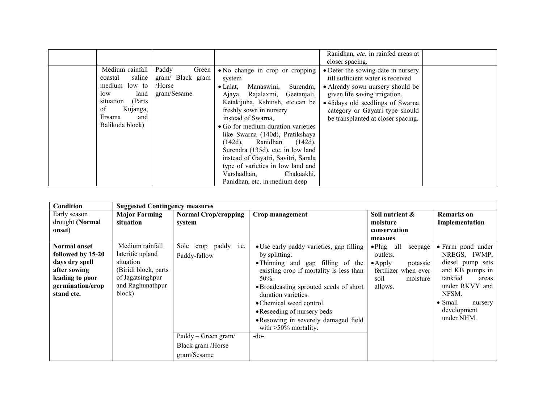|  |                                                                                                                                                      |                                                                                         |                                                                                                                                                                                                                                                                                                                                                                                                                                                                                                                | Ranidhan, etc. in rainfed areas at                                                                                                                                                                                                                         |  |
|--|------------------------------------------------------------------------------------------------------------------------------------------------------|-----------------------------------------------------------------------------------------|----------------------------------------------------------------------------------------------------------------------------------------------------------------------------------------------------------------------------------------------------------------------------------------------------------------------------------------------------------------------------------------------------------------------------------------------------------------------------------------------------------------|------------------------------------------------------------------------------------------------------------------------------------------------------------------------------------------------------------------------------------------------------------|--|
|  |                                                                                                                                                      |                                                                                         |                                                                                                                                                                                                                                                                                                                                                                                                                                                                                                                | closer spacing.                                                                                                                                                                                                                                            |  |
|  | Medium rainfall<br>saline  <br>coastal<br>medium low to<br>land<br>low<br>situation<br>(Parts)<br>οf<br>Kujanga,<br>Ersama<br>and<br>Balikuda block) | Paddy<br>Green<br>$\overline{\phantom{m}}$<br>gram/ Black gram<br>/Horse<br>gram/Sesame | • No change in crop or cropping<br>system<br>Manaswini,<br>$\bullet$ Lalat.<br>Surendra,<br>Ajaya, Rajalaxmi, Geetanjali,<br>Ketakijuha, Kshitish, etc.can be<br>freshly sown in nursery<br>instead of Swarna,<br>• Go for medium duration varieties<br>like Swarna (140d), Pratikshaya<br>$(142d)$ ,<br>Ranidhan<br>$(142d)$ ,<br>Surendra (135d), etc. in low land<br>instead of Gayatri, Savitri, Sarala<br>type of varieties in low land and<br>Chakaakhi,<br>Varshadhan,<br>Panidhan, etc. in medium deep | • Defer the sowing date in nursery<br>till sufficient water is received<br>• Already sown nursery should be<br>given life saving irrigation.<br>• 45 days old seedlings of Swarna<br>category or Gayatri type should<br>be transplanted at closer spacing. |  |
|  |                                                                                                                                                      |                                                                                         |                                                                                                                                                                                                                                                                                                                                                                                                                                                                                                                |                                                                                                                                                                                                                                                            |  |

| Condition                                                         | <b>Suggested Contingency measures</b>                                   |                                                         |                                                                                                                                                                                                                                                |                                                                          |                                                                                                                           |
|-------------------------------------------------------------------|-------------------------------------------------------------------------|---------------------------------------------------------|------------------------------------------------------------------------------------------------------------------------------------------------------------------------------------------------------------------------------------------------|--------------------------------------------------------------------------|---------------------------------------------------------------------------------------------------------------------------|
| Early season                                                      | <b>Major Farming</b>                                                    | <b>Normal Crop/cropping</b>                             | Crop management                                                                                                                                                                                                                                | Soil nutrient &                                                          | <b>Remarks</b> on                                                                                                         |
| drought (Normal                                                   | situation                                                               | system                                                  |                                                                                                                                                                                                                                                | moisture                                                                 | Implementation                                                                                                            |
| onset)                                                            |                                                                         |                                                         |                                                                                                                                                                                                                                                | conservation                                                             |                                                                                                                           |
|                                                                   |                                                                         |                                                         |                                                                                                                                                                                                                                                | measues                                                                  |                                                                                                                           |
| <b>Normal onset</b><br>followed by 15-20<br>days dry spell        | Medium rainfall<br>lateritic upland<br>situation                        | crop paddy <i>i.e.</i><br>Sole<br>Paddy-fallow          | • Use early paddy varieties, gap filling<br>by splitting.<br>• Thinning and gap filling of the                                                                                                                                                 | $\bullet$ Plug all<br>seepage<br>outlets.<br>potassic<br>$\bullet$ Apply | • Farm pond under<br>NREGS, IWMP,<br>diesel pump sets                                                                     |
| after sowing<br>leading to poor<br>germination/crop<br>stand etc. | (Biridi block, parts)<br>of Jagatsinghpur<br>and Raghunathpur<br>block) |                                                         | existing crop if mortality is less than<br>50%.<br>• Broadcasting sprouted seeds of short<br>duration varieties.<br>• Chemical weed control.<br>• Reseeding of nursery beds<br>• Resowing in severely damaged field<br>with $>50\%$ mortality. | fertilizer when ever<br>soil<br>moisture<br>allows.                      | and KB pumps in<br>tankfed<br>areas<br>under RKVY and<br>NFSM.<br>$\bullet$ Small<br>nursery<br>development<br>under NHM. |
|                                                                   |                                                                         | Paddy – Green gram/<br>Black gram /Horse<br>gram/Sesame | $-do-$                                                                                                                                                                                                                                         |                                                                          |                                                                                                                           |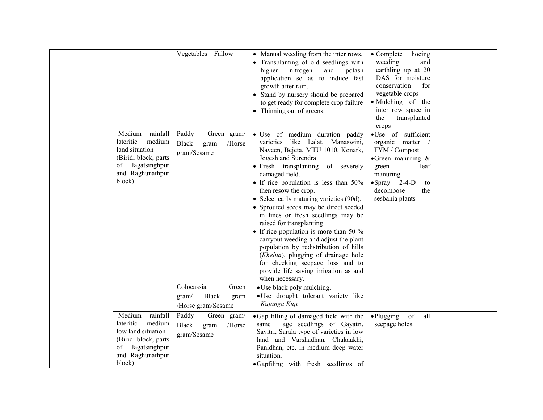|                                                                                                                                          | Vegetables - Fallow                                                                                                                               | • Manual weeding from the inter rows.<br>• Transplanting of old seedlings with<br>nitrogen<br>higher<br>and<br>potash<br>application so as to induce fast<br>growth after rain.<br>• Stand by nursery should be prepared<br>to get ready for complete crop failure<br>• Thinning out of greens.                                                                                                                                                                                                                                                                                                                                                                                                                                                                             | hoeing<br>$\bullet$ Complete<br>weeding<br>and<br>earthling up at 20<br>DAS for moisture<br>conservation<br>for<br>vegetable crops<br>• Mulching of the<br>inter row space in<br>transplanted<br>the<br>crops |  |
|------------------------------------------------------------------------------------------------------------------------------------------|---------------------------------------------------------------------------------------------------------------------------------------------------|-----------------------------------------------------------------------------------------------------------------------------------------------------------------------------------------------------------------------------------------------------------------------------------------------------------------------------------------------------------------------------------------------------------------------------------------------------------------------------------------------------------------------------------------------------------------------------------------------------------------------------------------------------------------------------------------------------------------------------------------------------------------------------|---------------------------------------------------------------------------------------------------------------------------------------------------------------------------------------------------------------|--|
| Medium<br>rainfall<br>medium<br>lateritic<br>land situation<br>(Biridi block, parts<br>Jagatsinghpur<br>οf<br>and Raghunathpur<br>block) | Paddy - Green gram/<br>Black<br>gram<br>/Horse<br>gram/Sesame<br>Colocassia<br>Green<br>$\overline{\phantom{m}}$<br><b>Black</b><br>gram/<br>gram | • Use of medium duration paddy<br>varieties like Lalat, Manaswini,<br>Naveen, Bejeta, MTU 1010, Konark,<br>Jogesh and Surendra<br>• Fresh transplanting<br>of severely<br>damaged field.<br>• If rice population is less than 50%<br>then resow the crop.<br>• Select early maturing varieties (90d).<br>• Sprouted seeds may be direct seeded<br>in lines or fresh seedlings may be<br>raised for transplanting<br>• If rice population is more than 50 $\%$<br>carryout weeding and adjust the plant<br>population by redistribution of hills<br>(Khelua), plugging of drainage hole<br>for checking seepage loss and to<br>provide life saving irrigation as and<br>when necessary.<br>• Use black poly mulching.<br>· Use drought tolerant variety like<br>Kujanga Kuji | ·Use of sufficient<br>organic matter<br>FYM / Compost<br>$\bullet$ Green manuring &<br>leaf<br>green<br>manuring.<br>$\bullet$ Spray 2-4-D<br>to<br>decompose<br>the<br>sesbania plants                       |  |
| Medium<br>rainfall                                                                                                                       | /Horse gram/Sesame<br>Paddy - Green gram/                                                                                                         | • Gap filling of damaged field with the                                                                                                                                                                                                                                                                                                                                                                                                                                                                                                                                                                                                                                                                                                                                     | of<br>all<br>$\bullet$ Plugging                                                                                                                                                                               |  |
| medium<br>lateritic<br>low land situation<br>(Biridi block, parts)<br>Jagatsinghpur<br>of<br>and Raghunathpur<br>block)                  | Black<br>gram<br>/Horse<br>gram/Sesame                                                                                                            | age seedlings of Gayatri,<br>same<br>Savitri, Sarala type of varieties in low<br>land and Varshadhan, Chakaakhi,<br>Panidhan, etc. in medium deep water<br>situation.<br>• Gapfiling with fresh seedlings of                                                                                                                                                                                                                                                                                                                                                                                                                                                                                                                                                                | seepage holes.                                                                                                                                                                                                |  |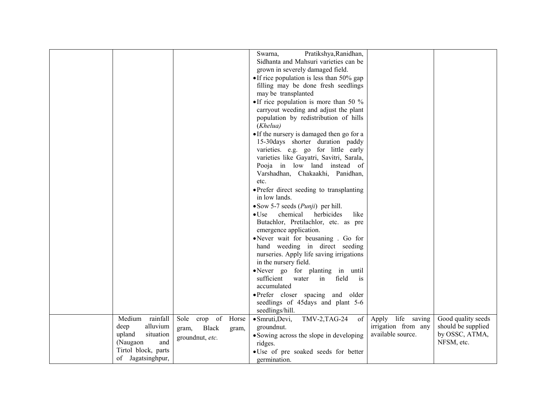|                     |                       |       | Pratikshya, Ranidhan,                                 |                     |                    |
|---------------------|-----------------------|-------|-------------------------------------------------------|---------------------|--------------------|
|                     |                       |       | Swarna,                                               |                     |                    |
|                     |                       |       | Sidhanta and Mahsuri varieties can be                 |                     |                    |
|                     |                       |       | grown in severely damaged field.                      |                     |                    |
|                     |                       |       | • If rice population is less than $50\%$ gap          |                     |                    |
|                     |                       |       | filling may be done fresh seedlings                   |                     |                    |
|                     |                       |       | may be transplanted                                   |                     |                    |
|                     |                       |       | • If rice population is more than 50 $\%$             |                     |                    |
|                     |                       |       | carryout weeding and adjust the plant                 |                     |                    |
|                     |                       |       | population by redistribution of hills                 |                     |                    |
|                     |                       |       | (Khelua)                                              |                     |                    |
|                     |                       |       | • If the nursery is damaged then go for a             |                     |                    |
|                     |                       |       | 15-30days shorter duration paddy                      |                     |                    |
|                     |                       |       | varieties. e.g. go for little early                   |                     |                    |
|                     |                       |       | varieties like Gayatri, Savitri, Sarala,              |                     |                    |
|                     |                       |       | Pooja in low land instead of                          |                     |                    |
|                     |                       |       | Varshadhan, Chakaakhi, Panidhan,                      |                     |                    |
|                     |                       |       | etc.                                                  |                     |                    |
|                     |                       |       | • Prefer direct seeding to transplanting              |                     |                    |
|                     |                       |       | in low lands.                                         |                     |                    |
|                     |                       |       | $\bullet$ Sow 5-7 seeds ( <i>Punji</i> ) per hill.    |                     |                    |
|                     |                       |       | chemical<br>herbicides<br>$\bullet$ Use<br>like       |                     |                    |
|                     |                       |       | Butachlor, Pretilachlor, etc. as pre                  |                     |                    |
|                     |                       |       | emergence application.                                |                     |                    |
|                     |                       |       | •Never wait for beusaning . Go for                    |                     |                    |
|                     |                       |       | hand weeding in direct seeding                        |                     |                    |
|                     |                       |       | nurseries. Apply life saving irrigations              |                     |                    |
|                     |                       |       | in the nursery field.                                 |                     |                    |
|                     |                       |       | •Never go for planting in until                       |                     |                    |
|                     |                       |       | sufficient<br>field<br>water<br>in<br>$\overline{1}S$ |                     |                    |
|                     |                       |       | accumulated                                           |                     |                    |
|                     |                       |       | • Prefer closer spacing and older                     |                     |                    |
|                     |                       |       | seedlings of 45 days and plant 5-6                    |                     |                    |
|                     |                       |       |                                                       |                     |                    |
| Medium<br>rainfall  | Sole crop of          | Horse | seedlings/hill.                                       | Apply life saving   | Good quality seeds |
| deep<br>alluvium    |                       |       | · Smruti, Devi,<br>TMV-2, TAG-24<br>of<br>groundnut.  | irrigation from any | should be supplied |
| upland<br>situation | <b>Black</b><br>gram, | gram, |                                                       | available source.   | by OSSC, ATMA,     |
| (Naugaon<br>and     | groundnut, etc.       |       | • Sowing across the slope in developing               |                     | NFSM, etc.         |
| Tirtol block, parts |                       |       | ridges.                                               |                     |                    |
|                     |                       |       | • Use of pre soaked seeds for better                  |                     |                    |
| of Jagatsinghpur,   |                       |       | germination.                                          |                     |                    |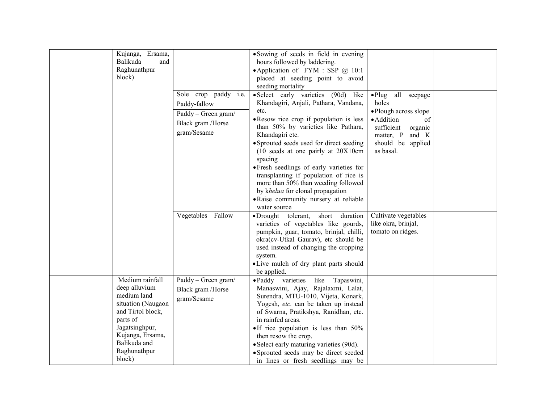| Kujanga,<br>Ersama,<br>Balikuda<br>and<br>Raghunathpur<br>block)                                                                                                                       | Sole crop paddy <i>i.e.</i><br>Paddy-fallow<br>Paddy – Green gram/<br>Black gram /Horse<br>gram/Sesame | • Sowing of seeds in field in evening<br>hours followed by laddering.<br>• Application of FYM: SSP @ 10:1<br>placed at seeding point to avoid<br>seeding mortality<br>• Select early varieties (90d) like<br>Khandagiri, Anjali, Pathara, Vandana,<br>etc.<br>• Resow rice crop if population is less<br>than 50% by varieties like Pathara,<br>Khandagiri etc.<br>• Sprouted seeds used for direct seeding<br>$(10 \text{ seeds at one parity at } 20X10 \text{cm})$<br>spacing<br>• Fresh seedlings of early varieties for<br>transplanting if population of rice is<br>more than 50% than weeding followed<br>by khelua for clonal propagation<br>• Raise community nursery at reliable<br>water source | all<br>$\bullet$ Plug<br>seepage<br>holes<br>• Plough across slope<br>· Addition<br>of<br>sufficient<br>organic<br>matter, P<br>and K<br>should be applied<br>as basal. |  |
|----------------------------------------------------------------------------------------------------------------------------------------------------------------------------------------|--------------------------------------------------------------------------------------------------------|------------------------------------------------------------------------------------------------------------------------------------------------------------------------------------------------------------------------------------------------------------------------------------------------------------------------------------------------------------------------------------------------------------------------------------------------------------------------------------------------------------------------------------------------------------------------------------------------------------------------------------------------------------------------------------------------------------|-------------------------------------------------------------------------------------------------------------------------------------------------------------------------|--|
|                                                                                                                                                                                        | Vegetables - Fallow                                                                                    | • Drought tolerant,<br>short duration<br>varieties of vegetables like gourds,<br>pumpkin, guar, tomato, brinjal, chilli,<br>okra(cv-Utkal Gaurav), etc should be<br>used instead of changing the cropping<br>system.<br>• Live mulch of dry plant parts should<br>be applied.                                                                                                                                                                                                                                                                                                                                                                                                                              | Cultivate vegetables<br>like okra, brinjal,<br>tomato on ridges.                                                                                                        |  |
| Medium rainfall<br>deep alluvium<br>medium land<br>situation (Naugaon<br>and Tirtol block,<br>parts of<br>Jagatsinghpur,<br>Kujanga, Ersama,<br>Balikuda and<br>Raghunathpur<br>block) | Paddy - Green gram/<br>Black gram /Horse<br>gram/Sesame                                                | • Paddy varieties like<br>Tapaswini,<br>Manaswini, Ajay, Rajalaxmi, Lalat,<br>Surendra, MTU-1010, Vijeta, Konark,<br>Yogesh, etc. can be taken up instead<br>of Swarna, Pratikshya, Ranidhan, etc.<br>in rainfed areas.<br>$\bullet$ If rice population is less than 50%<br>then resow the crop.<br>• Select early maturing varieties (90d).<br>• Sprouted seeds may be direct seeded<br>in lines or fresh seedlings may be                                                                                                                                                                                                                                                                                |                                                                                                                                                                         |  |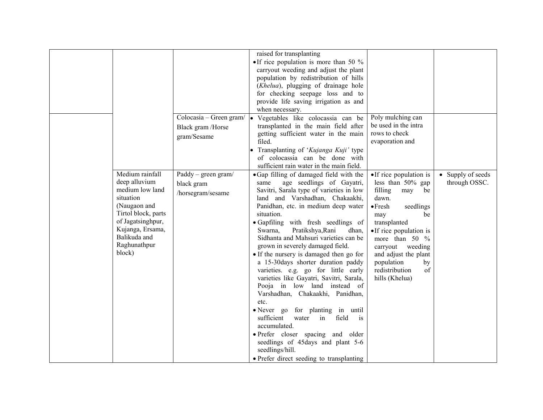|                                                                                                                                                                                            |                                                             | raised for transplanting<br>• If rice population is more than 50 $\%$<br>carryout weeding and adjust the plant<br>population by redistribution of hills<br>( <i>Khelua</i> ), plugging of drainage hole<br>for checking seepage loss and to<br>provide life saving irrigation as and<br>when necessary.                                                                                                                                                                                                                                                                                                                                                                                                                                                                                                                                                                |                                                                                                                                                                                                                                                                                                          |                                    |
|--------------------------------------------------------------------------------------------------------------------------------------------------------------------------------------------|-------------------------------------------------------------|------------------------------------------------------------------------------------------------------------------------------------------------------------------------------------------------------------------------------------------------------------------------------------------------------------------------------------------------------------------------------------------------------------------------------------------------------------------------------------------------------------------------------------------------------------------------------------------------------------------------------------------------------------------------------------------------------------------------------------------------------------------------------------------------------------------------------------------------------------------------|----------------------------------------------------------------------------------------------------------------------------------------------------------------------------------------------------------------------------------------------------------------------------------------------------------|------------------------------------|
|                                                                                                                                                                                            | Colocasia – Green gram/<br>Black gram /Horse<br>gram/Sesame | Vegetables like colocassia can be<br>transplanted in the main field after<br>getting sufficient water in the main<br>filed.<br>Transplanting of 'Kujanga Kuji' type<br>of colocassia can be done with<br>sufficient rain water in the main field.                                                                                                                                                                                                                                                                                                                                                                                                                                                                                                                                                                                                                      | Poly mulching can<br>be used in the intra<br>rows to check<br>evaporation and                                                                                                                                                                                                                            |                                    |
| Medium rainfall<br>deep alluvium<br>medium low land<br>situation<br>(Naugaon and<br>Tirtol block, parts<br>of Jagatsinghpur,<br>Kujanga, Ersama,<br>Balikuda and<br>Raghunathpur<br>block) | Paddy – green gram/<br>black gram<br>/horsegram/sesame      | • Gap filling of damaged field with the<br>age seedlings of Gayatri,<br>same<br>Savitri, Sarala type of varieties in low<br>land and Varshadhan, Chakaakhi,<br>Panidhan, etc. in medium deep water<br>situation.<br>• Gapfiling with fresh seedlings of<br>Swarna,<br>Pratikshya, Rani<br>dhan.<br>Sidhanta and Mahsuri varieties can be<br>grown in severely damaged field.<br>• If the nursery is damaged then go for<br>a 15-30 days shorter duration paddy<br>varieties. e.g. go for little early<br>varieties like Gayatri, Savitri, Sarala,<br>Pooja in low land instead of<br>Varshadhan, Chakaakhi, Panidhan,<br>etc.<br>• Never go for planting in until<br>sufficient<br>field<br>water<br>in<br>is<br>accumulated.<br>• Prefer closer spacing and older<br>seedlings of 45days and plant 5-6<br>seedlings/hill.<br>• Prefer direct seeding to transplanting | •If rice population is<br>less than $50\%$ gap<br>filling<br>may<br>be<br>dawn.<br>$\bullet$ Fresh<br>seedlings<br>be<br>may<br>transplanted<br>• If rice population is<br>more than $50\%$<br>carryout<br>weeding<br>and adjust the plant<br>population<br>by<br>redistribution<br>of<br>hills (Khelua) | • Supply of seeds<br>through OSSC. |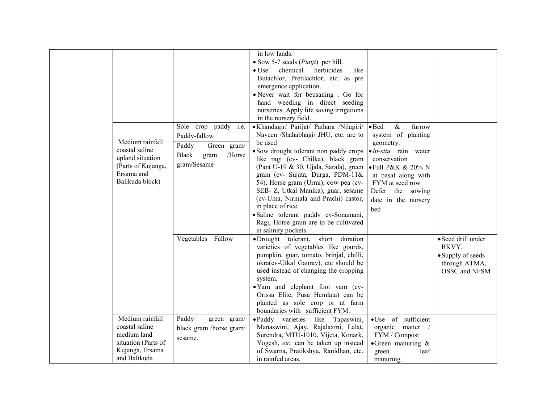|                                                                                                              | Sole crop paddy i.e.                                                          | in low lands.<br>• Sow 5-7 seeds $(Punji)$ per hill.<br>chemical<br>$\bullet$ Use<br>herbicides<br>like<br>Butachlor, Pretilachlor, etc. as pre<br>emergence application.<br>• Never wait for beusaning . Go for<br>hand weeding in direct seeding<br>nurseries. Apply life saving irrigations<br>in the nursery field.<br>• Khandagir/ Parijat/ Pathara /Nilagiri/ • Bed                                                                                          | $\&$<br>furrow                                                                                                                                                                                           |                                                                                    |
|--------------------------------------------------------------------------------------------------------------|-------------------------------------------------------------------------------|--------------------------------------------------------------------------------------------------------------------------------------------------------------------------------------------------------------------------------------------------------------------------------------------------------------------------------------------------------------------------------------------------------------------------------------------------------------------|----------------------------------------------------------------------------------------------------------------------------------------------------------------------------------------------------------|------------------------------------------------------------------------------------|
| Medium rainfall<br>coastal saline<br>upland situation<br>(Parts of Kujanga,<br>Ersama and<br>Balikuda block) | Paddy-fallow<br>Paddy - Green gram/<br>Black<br>/Horse<br>gram<br>gram/Sesame | Naveen /Shahabhagi/ JHU, etc. are to<br>be used<br>• Sow drought tolerant non paddy crops<br>like ragi (cv- Chilka), black gram<br>(Pant U-19 & 30, Ujala, Sarala), green<br>gram (cv- Sujata, Durga, PDM-11&<br>54), Horse gram (Urmi), cow pea (cv-<br>SEB- Z, Utkal Manika), guar, sesame<br>(cv-Uma, Nirmala and Prachi) castor,<br>in place of rice.<br>· Saline tolerant paddy cv-Sonamani,<br>Ragi, Horse gram are to be cultivated<br>in salinity pockets. | system of planting<br>geometry.<br>$\bullet$ <i>In-situ</i> rain water<br>conservation<br>• Full P&K & 20% N<br>at basal along with<br>FYM at seed row<br>Defer the sowing<br>date in the nursery<br>bed |                                                                                    |
|                                                                                                              | Vegetables - Fallow                                                           | •Drought tolerant,<br>short<br>duration<br>varieties of vegetables like gourds,<br>pumpkin, guar, tomato, brinjal, chilli,<br>okra(cv-Utkal Gaurav), etc should be<br>used instead of changing the cropping<br>system.<br>•Yam and elephant foot yam (cv-<br>Orissa Elite, Pusa Hemlata) can be<br>planted as sole crop or at farm<br>boundaries with sufficient FYM.                                                                                              |                                                                                                                                                                                                          | · Seed drill under<br>RKVY.<br>• Supply of seeds<br>through ATMA,<br>OSSC and NFSM |
| Medium rainfall<br>coastal saline<br>medium land<br>situation (Parts of<br>Kujanga, Ersama<br>and Balikuda   | Paddy – green gram/<br>black gram /horse gram/<br>sesame.                     | • Paddy varieties<br>like<br>Tapaswini,<br>Manaswini, Ajay, Rajalaxmi, Lalat,<br>Surendra, MTU-1010, Vijeta, Konark,<br>Yogesh, etc. can be taken up instead<br>of Swarna, Pratikshya, Ranidhan, etc.<br>in rainfed areas.                                                                                                                                                                                                                                         | ·Use of sufficient<br>organic matter<br>FYM / Compost<br>$\bullet$ Green manuring &<br>leaf<br>green<br>manuring.                                                                                        |                                                                                    |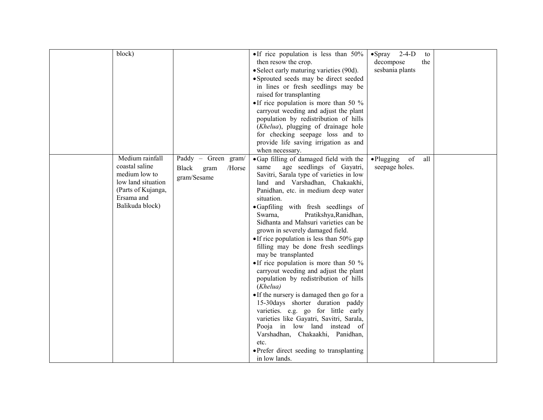| block)                                                                                                                          |                                                                      | • If rice population is less than $50\%$<br>then resow the crop.<br>• Select early maturing varieties (90d).<br>• Sprouted seeds may be direct seeded<br>in lines or fresh seedlings may be<br>raised for transplanting<br>• If rice population is more than 50 $\%$<br>carryout weeding and adjust the plant<br>population by redistribution of hills                                                                                                                                                                                                                                                                                                                                                                                                                                                                                                                                                                                        | $\bullet$ Spray 2-4-D<br>decompose<br>sesbania plants | to<br>the |
|---------------------------------------------------------------------------------------------------------------------------------|----------------------------------------------------------------------|-----------------------------------------------------------------------------------------------------------------------------------------------------------------------------------------------------------------------------------------------------------------------------------------------------------------------------------------------------------------------------------------------------------------------------------------------------------------------------------------------------------------------------------------------------------------------------------------------------------------------------------------------------------------------------------------------------------------------------------------------------------------------------------------------------------------------------------------------------------------------------------------------------------------------------------------------|-------------------------------------------------------|-----------|
|                                                                                                                                 |                                                                      | (Khelua), plugging of drainage hole<br>for checking seepage loss and to<br>provide life saving irrigation as and<br>when necessary.                                                                                                                                                                                                                                                                                                                                                                                                                                                                                                                                                                                                                                                                                                                                                                                                           |                                                       |           |
| Medium rainfall<br>coastal saline<br>medium low to<br>low land situation<br>(Parts of Kujanga,<br>Ersama and<br>Balikuda block) | Paddy - Green gram/<br><b>Black</b><br>/Horse<br>gram<br>gram/Sesame | • Gap filling of damaged field with the<br>age seedlings of Gayatri,<br>same<br>Savitri, Sarala type of varieties in low<br>land and Varshadhan, Chakaakhi,<br>Panidhan, etc. in medium deep water<br>situation.<br>·Gapfiling with fresh seedlings of<br>Pratikshya, Ranidhan,<br>Swarna,<br>Sidhanta and Mahsuri varieties can be<br>grown in severely damaged field.<br>• If rice population is less than $50\%$ gap<br>filling may be done fresh seedlings<br>may be transplanted<br>• If rice population is more than 50 $\%$<br>carryout weeding and adjust the plant<br>population by redistribution of hills<br>(Khelua)<br>• If the nursery is damaged then go for a<br>15-30days shorter duration paddy<br>varieties. e.g. go for little early<br>varieties like Gayatri, Savitri, Sarala,<br>Pooja in low land instead of<br>Varshadhan, Chakaakhi, Panidhan,<br>etc.<br>• Prefer direct seeding to transplanting<br>in low lands. | $\bullet$ Plugging<br>of<br>seepage holes.            | all       |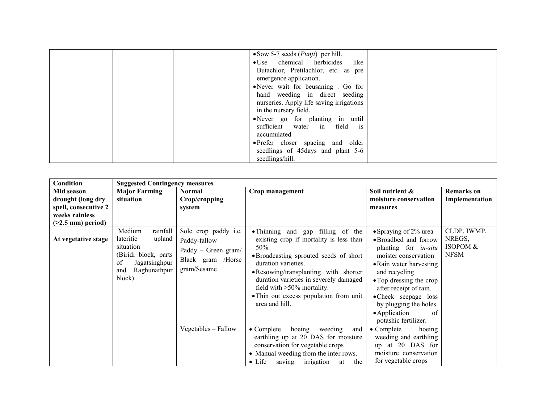| $\bullet$ Sow 5-7 seeds ( <i>Punji</i> ) per hill. |  |
|----------------------------------------------------|--|
| • Use chemical herbicides like                     |  |
| Butachlor, Pretilachlor, etc. as pre               |  |
| emergence application.                             |  |
| • Never wait for beusaning . Go for                |  |
| hand weeding in direct seeding                     |  |
| nurseries. Apply life saving irrigations           |  |
| in the nursery field.                              |  |
| • Never go for planting in until                   |  |
| sufficient water in field is                       |  |
| accumulated                                        |  |
| • Prefer closer spacing and older                  |  |
| seedlings of 45 days and plant 5-6                 |  |
| seedlings/hill.                                    |  |

| Condition                                                                                         | <b>Suggested Contingency measures</b>                                                                                                   |                                                                                                 |                                                                                                                                                                                                                                                                                                                                       |                                                                                                                                                                                                                                                                                                         |                                                  |
|---------------------------------------------------------------------------------------------------|-----------------------------------------------------------------------------------------------------------------------------------------|-------------------------------------------------------------------------------------------------|---------------------------------------------------------------------------------------------------------------------------------------------------------------------------------------------------------------------------------------------------------------------------------------------------------------------------------------|---------------------------------------------------------------------------------------------------------------------------------------------------------------------------------------------------------------------------------------------------------------------------------------------------------|--------------------------------------------------|
| Mid season<br>drought (long dry<br>spell, consecutive 2<br>weeks rainless<br>$($ >2.5 mm) period) | <b>Major Farming</b><br>situation                                                                                                       | <b>Normal</b><br>Crop/cropping<br>system                                                        | Crop management                                                                                                                                                                                                                                                                                                                       | Soil nutrient &<br>moisture conservation<br>measures                                                                                                                                                                                                                                                    | Remarks on<br>Implementation                     |
| At vegetative stage                                                                               | Medium<br>rainfall<br>lateritic<br>upland<br>situation<br>(Biridi block, parts)<br>of<br>Jagatsinghpur<br>Raghunathpur<br>and<br>block) | Sole crop paddy i.e.<br>Paddy-fallow<br>Paddy - Green gram/<br>Black gram /Horse<br>gram/Sesame | • Thinning and gap filling of the<br>existing crop if mortality is less than<br>50%.<br>• Broadcasting sprouted seeds of short<br>duration varieties.<br>• Resowing/transplanting with shorter<br>duration varieties in severely damaged<br>field with $>50\%$ mortality.<br>• Thin out excess population from unit<br>area and hill. | • Spraying of 2% urea<br>• Broadbed and forrow<br>planting for <i>in-situ</i><br>moister conservation<br>• Rain water harvesting<br>and recycling<br>• Top dressing the crop<br>after receipt of rain.<br>• Check seepage loss<br>by plugging the holes.<br>• Application<br>0f<br>potashic fertilizer. | CLDP, IWMP,<br>NREGS,<br>ISOPOM &<br><b>NFSM</b> |
|                                                                                                   |                                                                                                                                         | Vegetables - Fallow                                                                             | $\bullet$ Complete<br>hoeing<br>weeding<br>and<br>earthling up at 20 DAS for moisture<br>conservation for vegetable crops<br>• Manual weeding from the inter rows.<br>$\bullet$ Life<br>irrigation<br>the<br>saving<br>at                                                                                                             | $\bullet$ Complete<br>hoeing<br>weeding and earthling<br>up at 20 DAS for<br>moisture conservation<br>for vegetable crops                                                                                                                                                                               |                                                  |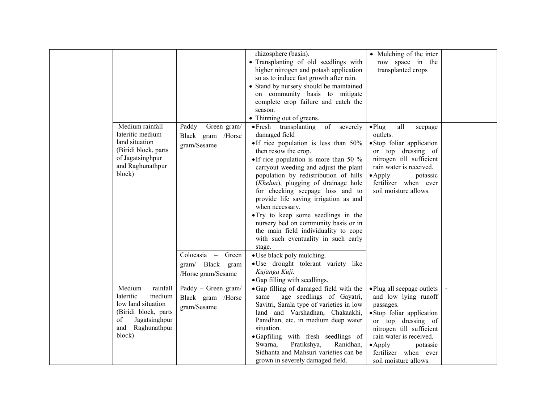|                                                                                                                                               |                                                                                                  | rhizosphere (basin).<br>· Transplanting of old seedlings with<br>higher nitrogen and potash application<br>so as to induce fast growth after rain.<br>• Stand by nursery should be maintained<br>on community basis to mitigate<br>complete crop failure and catch the<br>season.<br>• Thinning out of greens.                                                                                                                                                                                                                                                                                                                                        | • Mulching of the inter<br>row space in the<br>transplanted crops                                                                                                                                                                                         |  |
|-----------------------------------------------------------------------------------------------------------------------------------------------|--------------------------------------------------------------------------------------------------|-------------------------------------------------------------------------------------------------------------------------------------------------------------------------------------------------------------------------------------------------------------------------------------------------------------------------------------------------------------------------------------------------------------------------------------------------------------------------------------------------------------------------------------------------------------------------------------------------------------------------------------------------------|-----------------------------------------------------------------------------------------------------------------------------------------------------------------------------------------------------------------------------------------------------------|--|
| Medium rainfall<br>lateritic medium<br>land situation<br>(Biridi block, parts<br>of Jagatsinghpur<br>and Raghunathpur<br>block)               | Paddy - Green gram/<br>Black gram /Horse<br>gram/Sesame<br>Colocasia - Green<br>gram/ Black gram | of<br>• Fresh transplanting<br>severely<br>damaged field<br>• If rice population is less than 50%<br>then resow the crop.<br>• If rice population is more than 50 $\%$<br>carryout weeding and adjust the plant<br>population by redistribution of hills<br>( <i>Khelua</i> ), plugging of drainage hole<br>for checking seepage loss and to<br>provide life saving irrigation as and<br>when necessary.<br>• Try to keep some seedlings in the<br>nursery bed on community basis or in<br>the main field individuality to cope<br>with such eventuality in such early<br>stage.<br>• Use black poly mulching.<br>· Use drought tolerant variety like | all<br>$\bullet$ Plug<br>seepage<br>outlets.<br>· Stop foliar application<br>or top dressing of<br>nitrogen till sufficient<br>rain water is received.<br>$\bullet$ Apply<br>potassic<br>fertilizer when ever<br>soil moisture allows.                    |  |
|                                                                                                                                               | /Horse gram/Sesame                                                                               | Kujanga Kuji.<br>• Gap filling with seedlings.                                                                                                                                                                                                                                                                                                                                                                                                                                                                                                                                                                                                        |                                                                                                                                                                                                                                                           |  |
| Medium<br>rainfall<br>lateritic<br>medium<br>low land situation<br>(Biridi block, parts)<br>of<br>Jagatsinghpur<br>and Raghunathpur<br>block) | Paddy - Green gram/<br>Black gram /Horse<br>gram/Sesame                                          | ·Gap filling of damaged field with the<br>age seedlings of Gayatri,<br>same<br>Savitri, Sarala type of varieties in low<br>land and Varshadhan, Chakaakhi,<br>Panidhan, etc. in medium deep water<br>situation.<br>•Gapfiling with fresh seedlings of<br>Swarna,<br>Pratikshya,<br>Ranidhan,<br>Sidhanta and Mahsuri varieties can be<br>grown in severely damaged field.                                                                                                                                                                                                                                                                             | • Plug all seepage outlets<br>and low lying runoff<br>passages.<br>· Stop foliar application<br>or top dressing of<br>nitrogen till sufficient<br>rain water is received.<br>$\bullet$ Apply<br>potassic<br>fertilizer when ever<br>soil moisture allows. |  |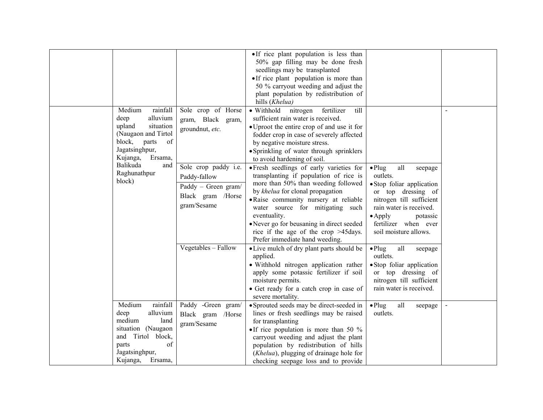|                                           |                                                                                                                                                                |                                                                                                                                                                                                                                                                                                                                                                                      | • If rice plant population is less than<br>50% gap filling may be done fresh<br>seedlings may be transplanted<br>• If rice plant population is more than<br>50 % carryout weeding and adjust the<br>plant population by redistribution of<br>hills (Khelua)                                                               |                                                                                                                                                        |                |
|-------------------------------------------|----------------------------------------------------------------------------------------------------------------------------------------------------------------|--------------------------------------------------------------------------------------------------------------------------------------------------------------------------------------------------------------------------------------------------------------------------------------------------------------------------------------------------------------------------------------|---------------------------------------------------------------------------------------------------------------------------------------------------------------------------------------------------------------------------------------------------------------------------------------------------------------------------|--------------------------------------------------------------------------------------------------------------------------------------------------------|----------------|
|                                           | Medium<br>rainfall<br>alluvium<br>deep<br>situation<br>upland<br>(Naugaon and Tirtol<br>block,<br>of<br>parts<br>Jagatsinghpur,<br>Kujanga,<br>Ersama,         | Sole crop of Horse<br>gram, Black gram,<br>groundnut, etc.                                                                                                                                                                                                                                                                                                                           | • Withhold<br>nitrogen<br>fertilizer<br>till<br>sufficient rain water is received.<br>• Uproot the entire crop of and use it for<br>fodder crop in case of severely affected<br>by negative moisture stress.<br>• Sprinkling of water through sprinklers<br>to avoid hardening of soil.                                   |                                                                                                                                                        |                |
| Balikuda<br>and<br>Raghunathpur<br>block) | Sole crop paddy i.e.<br>Paddy-fallow<br>Paddy - Green gram/<br>Black gram /Horse<br>gram/Sesame                                                                | • Fresh seedlings of early varieties for<br>transplanting if population of rice is<br>more than 50% than weeding followed<br>by khelua for clonal propagation<br>· Raise community nursery at reliable<br>water source for mitigating such<br>eventuality.<br>• Never go for beusaning in direct seeded<br>rice if the age of the crop $>45$ days.<br>Prefer immediate hand weeding. | $\bullet$ Plug<br>all<br>seepage<br>outlets.<br>· Stop foliar application<br>or top dressing of<br>nitrogen till sufficient<br>rain water is received.<br>$\bullet$ Apply<br>potassic<br>fertilizer when ever<br>soil moisture allows.                                                                                    |                                                                                                                                                        |                |
|                                           |                                                                                                                                                                | Vegetables - Fallow                                                                                                                                                                                                                                                                                                                                                                  | • Live mulch of dry plant parts should be<br>applied.<br>· Withhold nitrogen application rather<br>apply some potassic fertilizer if soil<br>moisture permits.<br>• Get ready for a catch crop in case of<br>severe mortality.                                                                                            | $\bullet$ Plug<br>all<br>seepage<br>outlets.<br>· Stop foliar application<br>or top dressing of<br>nitrogen till sufficient<br>rain water is received. |                |
|                                           | Medium<br>rainfall<br>alluvium<br>deep<br>medium<br>land<br>situation (Naugaon<br>Tirtol block,<br>and<br>of<br>parts<br>Jagatsinghpur,<br>Kujanga,<br>Ersama, | Paddy -Green gram/<br>Black gram /Horse<br>gram/Sesame                                                                                                                                                                                                                                                                                                                               | • Sprouted seeds may be direct-seeded in<br>lines or fresh seedlings may be raised<br>for transplanting<br>• If rice population is more than 50 $\%$<br>carryout weeding and adjust the plant<br>population by redistribution of hills<br>(Khelua), plugging of drainage hole for<br>checking seepage loss and to provide | $\bullet$ Plug<br>all<br>seepage<br>outlets.                                                                                                           | $\blacksquare$ |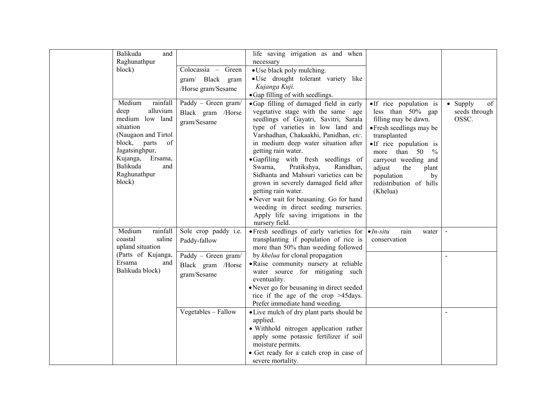|                                  | Balikuda<br>and                                                                                                                                                                                              |                                                                                                                                                                                                                     | life saving irrigation as and when                                                                                                                                                                                                                                                                                                                                                                                                                                                                                                           |                                                                                                                                                                                                                                                                                         |                                                  |
|----------------------------------|--------------------------------------------------------------------------------------------------------------------------------------------------------------------------------------------------------------|---------------------------------------------------------------------------------------------------------------------------------------------------------------------------------------------------------------------|----------------------------------------------------------------------------------------------------------------------------------------------------------------------------------------------------------------------------------------------------------------------------------------------------------------------------------------------------------------------------------------------------------------------------------------------------------------------------------------------------------------------------------------------|-----------------------------------------------------------------------------------------------------------------------------------------------------------------------------------------------------------------------------------------------------------------------------------------|--------------------------------------------------|
|                                  | Raghunathpur                                                                                                                                                                                                 |                                                                                                                                                                                                                     | necessary                                                                                                                                                                                                                                                                                                                                                                                                                                                                                                                                    |                                                                                                                                                                                                                                                                                         |                                                  |
|                                  | block)                                                                                                                                                                                                       | Colocassia - Green                                                                                                                                                                                                  | • Use black poly mulching.                                                                                                                                                                                                                                                                                                                                                                                                                                                                                                                   |                                                                                                                                                                                                                                                                                         |                                                  |
|                                  |                                                                                                                                                                                                              | gram/ Black gram                                                                                                                                                                                                    | · Use drought tolerant variety like                                                                                                                                                                                                                                                                                                                                                                                                                                                                                                          |                                                                                                                                                                                                                                                                                         |                                                  |
|                                  |                                                                                                                                                                                                              | /Horse gram/Sesame                                                                                                                                                                                                  | Kujanga Kuji.                                                                                                                                                                                                                                                                                                                                                                                                                                                                                                                                |                                                                                                                                                                                                                                                                                         |                                                  |
|                                  |                                                                                                                                                                                                              |                                                                                                                                                                                                                     | · Gap filling of with seedlings.                                                                                                                                                                                                                                                                                                                                                                                                                                                                                                             |                                                                                                                                                                                                                                                                                         |                                                  |
|                                  | Medium<br>rainfall<br>alluvium<br>deep<br>medium low land<br>situation<br>(Naugaon and Tirtol<br>block,<br>parts<br>of<br>Jagatsinghpur,<br>Kujanga,<br>Ersama,<br>Balikuda<br>and<br>Raghunathpur<br>block) | Paddy - Green gram/<br>Black gram /Horse<br>gram/Sesame                                                                                                                                                             | • Gap filling of damaged field in early<br>vegetative stage with the same age<br>seedlings of Gayatri, Savitri, Sarala<br>type of varieties in low land and<br>Varshadhan, Chakaakhi, Panidhan, etc.<br>in medium deep water situation after<br>getting rain water.<br>•Gapfiling with fresh seedlings of<br>Pratikshya,<br>Swarna,<br>Ranidhan,<br>Sidhanta and Mahsuri varieties can be<br>grown in severely damaged field after<br>getting rain water.<br>• Never wait for beusaning. Go for hand<br>weeding in direct seeding nurseries. | •If rice population is<br>less than 50% gap<br>filling may be dawn.<br>• Fresh seedlings may be<br>transplanted<br>•If rice population is<br>more than 50<br>$\frac{0}{6}$<br>carryout weeding and<br>adjust<br>the<br>plant<br>population<br>by<br>redistribution of hills<br>(Khelua) | $\bullet$ Supply<br>of<br>seeds through<br>OSSC. |
|                                  |                                                                                                                                                                                                              |                                                                                                                                                                                                                     | Apply life saving irrigations in the<br>nursery field.                                                                                                                                                                                                                                                                                                                                                                                                                                                                                       |                                                                                                                                                                                                                                                                                         |                                                  |
|                                  | Medium<br>rainfall<br>coastal<br>saline<br>upland situation                                                                                                                                                  | Sole crop paddy i.e.<br>Paddy-fallow                                                                                                                                                                                | · Fresh seedlings of early varieties for<br>transplanting if population of rice is<br>more than 50% than weeding followed                                                                                                                                                                                                                                                                                                                                                                                                                    | $\bullet$ <i>In-situ</i><br>rain<br>water<br>conservation                                                                                                                                                                                                                               | $\blacksquare$                                   |
|                                  | (Parts of Kujanga,                                                                                                                                                                                           | Paddy - Green gram/                                                                                                                                                                                                 | by khelua for clonal propagation                                                                                                                                                                                                                                                                                                                                                                                                                                                                                                             |                                                                                                                                                                                                                                                                                         |                                                  |
| Ersama<br>and<br>Balikuda block) | Black gram /Horse<br>gram/Sesame                                                                                                                                                                             | · Raise community nursery at reliable<br>water source for mitigating such<br>eventuality.<br>• Never go for beusaning in direct seeded<br>rice if the age of the crop $>45$ days.<br>Prefer immediate hand weeding. |                                                                                                                                                                                                                                                                                                                                                                                                                                                                                                                                              |                                                                                                                                                                                                                                                                                         |                                                  |
|                                  |                                                                                                                                                                                                              | Vegetables - Fallow                                                                                                                                                                                                 | • Live mulch of dry plant parts should be                                                                                                                                                                                                                                                                                                                                                                                                                                                                                                    |                                                                                                                                                                                                                                                                                         | $\overline{a}$                                   |
|                                  |                                                                                                                                                                                                              |                                                                                                                                                                                                                     | applied.<br>· Withhold nitrogen application rather<br>apply some potassic fertilizer if soil<br>moisture permits.                                                                                                                                                                                                                                                                                                                                                                                                                            |                                                                                                                                                                                                                                                                                         |                                                  |
|                                  |                                                                                                                                                                                                              |                                                                                                                                                                                                                     | • Get ready for a catch crop in case of<br>severe mortality.                                                                                                                                                                                                                                                                                                                                                                                                                                                                                 |                                                                                                                                                                                                                                                                                         |                                                  |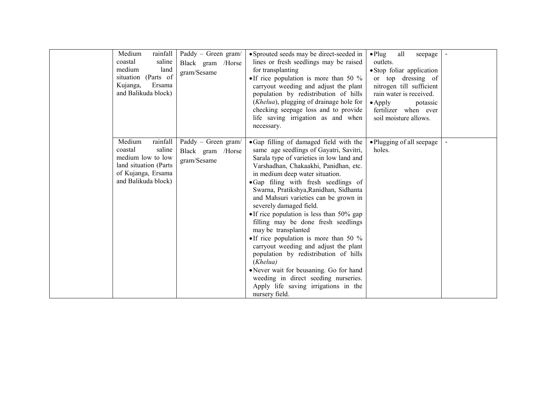| Medium<br>rainfall<br>saline<br>coastal<br>medium<br>land<br>situation (Parts of<br>Kujanga,<br>Ersama<br>and Balikuda block)       | Paddy - Green gram/<br>Black gram /Horse<br>gram/Sesame | • Sprouted seeds may be direct-seeded in<br>lines or fresh seedlings may be raised<br>for transplanting<br>• If rice population is more than 50 $\%$<br>carryout weeding and adjust the plant<br>population by redistribution of hills<br>( <i>Khelua</i> ), plugging of drainage hole for<br>checking seepage loss and to provide<br>life saving irrigation as and when<br>necessary.                                                                                                                                                                                                                                                                                                                                                                                 | all<br>$\bullet$ Plug<br>seepage<br>outlets.<br>· Stop foliar application<br>or top dressing of<br>nitrogen till sufficient<br>rain water is received.<br>$\bullet$ Apply<br>potassic<br>fertilizer when ever<br>soil moisture allows. |  |
|-------------------------------------------------------------------------------------------------------------------------------------|---------------------------------------------------------|------------------------------------------------------------------------------------------------------------------------------------------------------------------------------------------------------------------------------------------------------------------------------------------------------------------------------------------------------------------------------------------------------------------------------------------------------------------------------------------------------------------------------------------------------------------------------------------------------------------------------------------------------------------------------------------------------------------------------------------------------------------------|----------------------------------------------------------------------------------------------------------------------------------------------------------------------------------------------------------------------------------------|--|
| rainfall<br>Medium<br>saline<br>coastal<br>medium low to low<br>land situation (Parts)<br>of Kujanga, Ersama<br>and Balikuda block) | Paddy - Green gram/<br>Black gram /Horse<br>gram/Sesame | • Gap filling of damaged field with the<br>same age seedlings of Gayatri, Savitri,<br>Sarala type of varieties in low land and<br>Varshadhan, Chakaakhi, Panidhan, etc.<br>in medium deep water situation.<br>• Gap filing with fresh seedlings of<br>Swarna, Pratikshya, Ranidhan, Sidhanta<br>and Mahsuri varieties can be grown in<br>severely damaged field.<br>• If rice population is less than $50\%$ gap<br>filling may be done fresh seedlings<br>may be transplanted<br>• If rice population is more than 50 $\%$<br>carryout weeding and adjust the plant<br>population by redistribution of hills<br>(Khelua)<br>• Never wait for beusaning. Go for hand<br>weeding in direct seeding nurseries.<br>Apply life saving irrigations in the<br>nursery field. | • Plugging of all seepage<br>holes.                                                                                                                                                                                                    |  |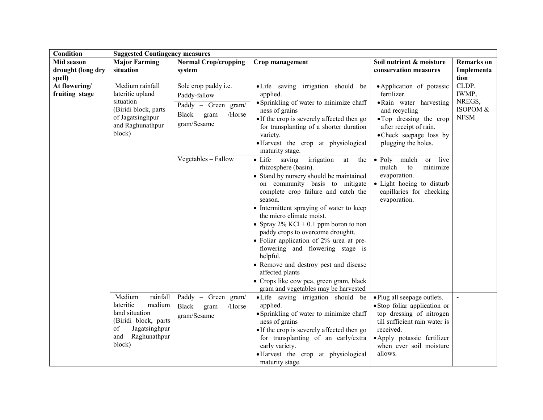| <b>Condition</b>  | <b>Suggested Contingency measures</b> |                             |                                                                            |                                                          |                   |
|-------------------|---------------------------------------|-----------------------------|----------------------------------------------------------------------------|----------------------------------------------------------|-------------------|
| Mid season        | <b>Major Farming</b>                  | <b>Normal Crop/cropping</b> | Crop management                                                            | Soil nutrient & moisture                                 | <b>Remarks</b> on |
| drought (long dry | situation                             | system                      |                                                                            | conservation measures                                    | Implementa        |
| spell)            |                                       |                             |                                                                            |                                                          | tion              |
| At flowering/     | Medium rainfall                       | Sole crop paddy i.e.        | • Life saving irrigation should be                                         | • Application of potassic                                | CLDP,             |
| fruiting stage    | lateritic upland                      | Paddy-fallow                | applied.                                                                   | fertilizer.                                              | IWMP,             |
|                   | situation                             | Paddy - Green gram/         | • Sprinkling of water to minimize chaff                                    | · Rain water harvesting                                  | NREGS,            |
|                   | (Biridi block, parts)                 | Black gram<br>/Horse        | ness of grains                                                             | and recycling                                            | ISOPOM &          |
|                   | of Jagatsinghpur                      |                             | • If the crop is severely affected then go                                 | • Top dressing the crop                                  | <b>NFSM</b>       |
|                   | and Raghunathpur                      | gram/Sesame                 | for transplanting of a shorter duration                                    | after receipt of rain.                                   |                   |
|                   | block)                                |                             | variety.                                                                   | • Check seepage loss by                                  |                   |
|                   |                                       |                             | ·Harvest the crop at physiological                                         | plugging the holes.                                      |                   |
|                   |                                       |                             | maturity stage.                                                            |                                                          |                   |
|                   |                                       | $Vegetables - Fallow$       | $\bullet$ Life<br>saving<br>irrigation<br>at<br>the                        | • Poly mulch<br>live<br>or                               |                   |
|                   |                                       |                             | rhizosphere (basin).                                                       | mulch<br>to<br>minimize                                  |                   |
|                   |                                       |                             | • Stand by nursery should be maintained                                    | evaporation.                                             |                   |
|                   |                                       |                             | on community basis to mitigate                                             | • Light hoeing to disturb                                |                   |
|                   |                                       |                             | complete crop failure and catch the                                        | capillaries for checking                                 |                   |
|                   |                                       |                             | season.                                                                    | evaporation.                                             |                   |
|                   |                                       |                             | • Intermittent spraying of water to keep                                   |                                                          |                   |
|                   |                                       |                             | the micro climate moist.                                                   |                                                          |                   |
|                   |                                       |                             | • Spray $2\%$ KCl + 0.1 ppm boron to non                                   |                                                          |                   |
|                   |                                       |                             | paddy crops to overcome droughtt.                                          |                                                          |                   |
|                   |                                       |                             | • Foliar application of $2\%$ urea at pre-                                 |                                                          |                   |
|                   |                                       |                             | flowering and flowering stage is                                           |                                                          |                   |
|                   |                                       |                             | helpful.                                                                   |                                                          |                   |
|                   |                                       |                             | • Remove and destroy pest and disease                                      |                                                          |                   |
|                   |                                       |                             | affected plants                                                            |                                                          |                   |
|                   |                                       |                             | • Crops like cow pea, green gram, black                                    |                                                          |                   |
|                   | Medium<br>rainfall                    | Paddy - Green gram/         | gram and vegetables may be harvested<br>• Life saving irrigation should be | • Plug all seepage outlets.                              | $\blacksquare$    |
|                   | lateritic<br>medium                   |                             | applied.                                                                   |                                                          |                   |
|                   | land situation                        | Black<br>gram<br>/Horse     |                                                                            | • Stop foliar application or<br>top dressing of nitrogen |                   |
|                   | (Biridi block, parts                  | gram/Sesame                 | • Sprinkling of water to minimize chaff<br>ness of grains                  | till sufficient rain water is                            |                   |
|                   | of<br>Jagatsinghpur                   |                             | • If the crop is severely affected then go                                 | received.                                                |                   |
|                   | Raghunathpur<br>and                   |                             | for transplanting of an early/extra                                        | • Apply potassic fertilizer                              |                   |
|                   | block)                                |                             | early variety.                                                             | when ever soil moisture                                  |                   |
|                   |                                       |                             | • Harvest the crop at physiological                                        | allows.                                                  |                   |
|                   |                                       |                             | maturity stage.                                                            |                                                          |                   |
|                   |                                       |                             |                                                                            |                                                          |                   |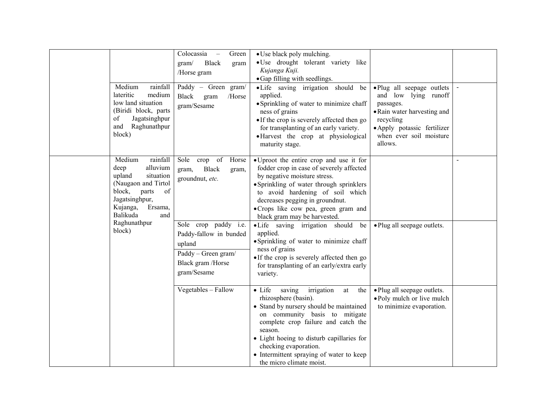| Medium<br>rainfall<br>lateritic<br>medium<br>low land situation                                                                                                           | Colocassia<br>Green<br><b>Black</b><br>gram/<br>gram<br>/Horse gram<br>Paddy - Green gram/<br><b>Black</b><br>/Horse<br>gram<br>gram/Sesame | • Use black poly mulching.<br>· Use drought tolerant variety like<br>Kujanga Kuji.<br>• Gap filling with seedlings.<br>·Life saving irrigation should be<br>applied.<br>• Sprinkling of water to minimize chaff                                                                                                                                          | ·Plug all seepage outlets<br>and low lying runoff<br>passages.                                                |  |
|---------------------------------------------------------------------------------------------------------------------------------------------------------------------------|---------------------------------------------------------------------------------------------------------------------------------------------|----------------------------------------------------------------------------------------------------------------------------------------------------------------------------------------------------------------------------------------------------------------------------------------------------------------------------------------------------------|---------------------------------------------------------------------------------------------------------------|--|
| (Biridi block, parts<br>Jagatsinghpur<br>of<br>Raghunathpur<br>and<br>block)                                                                                              |                                                                                                                                             | ness of grains<br>• If the crop is severely affected then go<br>for transplanting of an early variety.<br>• Harvest the crop at physiological<br>maturity stage.                                                                                                                                                                                         | • Rain water harvesting and<br>recycling<br>· Apply potassic fertilizer<br>when ever soil moisture<br>allows. |  |
| Medium<br>rainfall<br>alluvium<br>deep<br>upland<br>situation<br>(Naugaon and Tirtol<br>block,<br>parts<br>of<br>Jagatsinghpur,<br>Kujanga,<br>Ersama.<br>Balikuda<br>and | Sole<br>crop of<br>Horse<br><b>Black</b><br>gram,<br>gram,<br>groundnut, etc.                                                               | • Uproot the entire crop and use it for<br>fodder crop in case of severely affected<br>by negative moisture stress.<br>• Sprinkling of water through sprinklers<br>to avoid hardening of soil which<br>decreases pegging in groundnut.<br>• Crops like cow pea, green gram and<br>black gram may be harvested.                                           |                                                                                                               |  |
| Raghunathpur<br>block)                                                                                                                                                    | Sole crop paddy i.e.<br>Paddy-fallow in bunded<br>upland<br>Paddy - Green gram/<br>Black gram /Horse<br>gram/Sesame                         | ·Life saving irrigation should<br>be<br>applied.<br>· Sprinkling of water to minimize chaff<br>ness of grains<br>• If the crop is severely affected then go<br>for transplanting of an early/extra early<br>variety.                                                                                                                                     | • Plug all seepage outlets.                                                                                   |  |
|                                                                                                                                                                           | Vegetables - Fallow                                                                                                                         | $\bullet$ Life<br>irrigation<br>saving<br>at<br>the<br>rhizosphere (basin).<br>• Stand by nursery should be maintained<br>on community basis to mitigate<br>complete crop failure and catch the<br>season.<br>• Light hoeing to disturb capillaries for<br>checking evaporation.<br>• Intermittent spraying of water to keep<br>the micro climate moist. | • Plug all seepage outlets.<br>• Poly mulch or live mulch<br>to minimize evaporation.                         |  |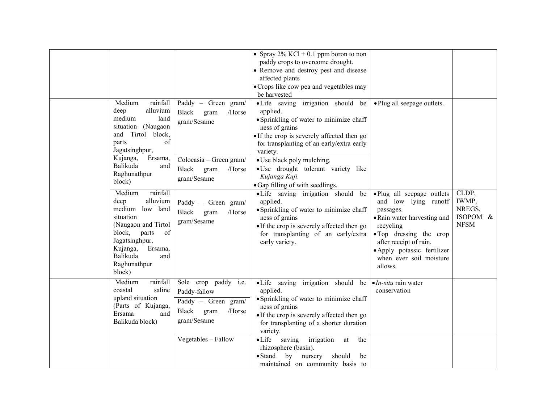|                                                                                                                                                                                                                                                                                                                                                                                                                                |                                                                                                                                                                                                                                              | • Spray $2\%$ KCl + 0.1 ppm boron to non<br>paddy crops to overcome drought.<br>• Remove and destroy pest and disease<br>affected plants<br>· Crops like cow pea and vegetables may<br>be harvested                                                                                                                                                                                                                                                                                                                                                              |                                                                                                                                                                                                                                                                     |                                                     |
|--------------------------------------------------------------------------------------------------------------------------------------------------------------------------------------------------------------------------------------------------------------------------------------------------------------------------------------------------------------------------------------------------------------------------------|----------------------------------------------------------------------------------------------------------------------------------------------------------------------------------------------------------------------------------------------|------------------------------------------------------------------------------------------------------------------------------------------------------------------------------------------------------------------------------------------------------------------------------------------------------------------------------------------------------------------------------------------------------------------------------------------------------------------------------------------------------------------------------------------------------------------|---------------------------------------------------------------------------------------------------------------------------------------------------------------------------------------------------------------------------------------------------------------------|-----------------------------------------------------|
| Medium<br>rainfall<br>alluvium<br>deep<br>medium<br>land<br>situation (Naugaon<br>Tirtol<br>block,<br>and<br>of<br>parts<br>Jagatsinghpur,<br>Kujanga,<br>Ersama,<br>Balikuda<br>and<br>Raghunathpur<br>block)<br>Medium<br>rainfall<br>alluvium<br>deep<br>medium low land<br>situation<br>(Naugaon and Tirtol<br>block,<br>of<br>parts<br>Jagatsinghpur,<br>Kujanga,<br>Ersama,<br>Balikuda<br>and<br>Raghunathpur<br>block) | Paddy - Green gram/<br><b>Black</b><br>/Horse<br>gram<br>gram/Sesame<br>$\overline{\text{Colocasia}} - \text{Green gram}/$<br>Black<br>gram<br>/Horse<br>gram/Sesame<br>Paddy - Green gram/<br><b>Black</b><br>/Horse<br>gram<br>gram/Sesame | ·Life saving irrigation should be<br>applied.<br>· Sprinkling of water to minimize chaff<br>ness of grains<br>• If the crop is severely affected then go<br>for transplanting of an early/extra early<br>variety.<br>• Use black poly mulching.<br>· Use drought tolerant variety like<br>Kujanga Kuji.<br>• Gap filling of with seedlings.<br>·Life saving irrigation should be<br>applied.<br>• Sprinkling of water to minimize chaff<br>ness of grains<br>• If the crop is severely affected then go<br>for transplanting of an early/extra<br>early variety. | • Plug all seepage outlets.<br>·Plug all seepage outlets<br>and low lying runoff<br>passages.<br>• Rain water harvesting and<br>recycling<br>• Top dressing the crop<br>after receipt of rain.<br>· Apply potassic fertilizer<br>when ever soil moisture<br>allows. | CLDP,<br>IWMP,<br>NREGS,<br>ISOPOM &<br><b>NFSM</b> |
| Medium<br>rainfall<br>coastal<br>saline<br>upland situation<br>(Parts of Kujanga,<br>Ersama<br>and<br>Balikuda block)                                                                                                                                                                                                                                                                                                          | Sole crop paddy i.e.<br>Paddy-fallow<br>Paddy - Green gram/<br>Black<br>/Horse<br>gram<br>gram/Sesame<br>Vegetables - Fallow                                                                                                                 | • Life saving irrigation should be $\bullet$ <i>In-situ</i> rain water<br>applied.<br>· Sprinkling of water to minimize chaff<br>ness of grains<br>• If the crop is severely affected then go<br>for transplanting of a shorter duration<br>variety.<br>$\bullet$ Life<br>saving<br>irrigation<br>the<br>at<br>rhizosphere (basin).<br>$\bullet$ Stand<br>by<br>should<br>nursery<br>be<br>maintained on community basis to                                                                                                                                      | conservation                                                                                                                                                                                                                                                        |                                                     |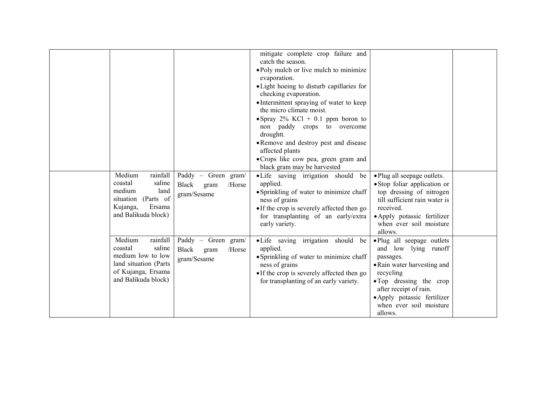|                       |                         | mitigate complete crop failure and         |                               |  |
|-----------------------|-------------------------|--------------------------------------------|-------------------------------|--|
|                       |                         | catch the season.                          |                               |  |
|                       |                         | • Poly mulch or live mulch to minimize     |                               |  |
|                       |                         | evaporation.                               |                               |  |
|                       |                         | • Light hoeing to disturb capillaries for  |                               |  |
|                       |                         | checking evaporation.                      |                               |  |
|                       |                         | • Intermittent spraying of water to keep   |                               |  |
|                       |                         | the micro climate moist.                   |                               |  |
|                       |                         | • Spray $2\%$ KCl + 0.1 ppm boron to       |                               |  |
|                       |                         | non paddy crops to overcome                |                               |  |
|                       |                         | droughtt.                                  |                               |  |
|                       |                         | · Remove and destroy pest and disease      |                               |  |
|                       |                         | affected plants                            |                               |  |
|                       |                         | • Crops like cow pea, green gram and       |                               |  |
|                       |                         | black gram may be harvested                |                               |  |
| Medium<br>rainfall    | Paddy - Green gram/     | • Life saving irrigation should<br>be      | · Plug all seepage outlets.   |  |
| coastal<br>saline     | Black<br>/Horse<br>gram | applied.                                   | · Stop foliar application or  |  |
| medium<br>land        | gram/Sesame             | • Sprinkling of water to minimize chaff    | top dressing of nitrogen      |  |
| situation (Parts of   |                         | ness of grains                             | till sufficient rain water is |  |
| Ersama<br>Kujanga,    |                         | • If the crop is severely affected then go | received.                     |  |
| and Balikuda block)   |                         | for transplanting of an early/extra        | • Apply potassic fertilizer   |  |
|                       |                         | early variety.                             | when ever soil moisture       |  |
|                       |                         |                                            | allows.                       |  |
| Medium<br>rainfall    | Paddy - Green gram/     | • Life saving irrigation should<br>be      | ·Plug all seepage outlets     |  |
| coastal<br>saline     | Black<br>/Horse<br>gram | applied.                                   | and low lying runoff          |  |
| medium low to low     | gram/Sesame             | • Sprinkling of water to minimize chaff    | passages.                     |  |
| land situation (Parts |                         | ness of grains                             | • Rain water harvesting and   |  |
| of Kujanga, Ersama    |                         | • If the crop is severely affected then go | recycling                     |  |
| and Balikuda block)   |                         | for transplanting of an early variety.     | • Top dressing the crop       |  |
|                       |                         |                                            | after receipt of rain.        |  |
|                       |                         |                                            | · Apply potassic fertilizer   |  |
|                       |                         |                                            | when ever soil moisture       |  |
|                       |                         |                                            | allows.                       |  |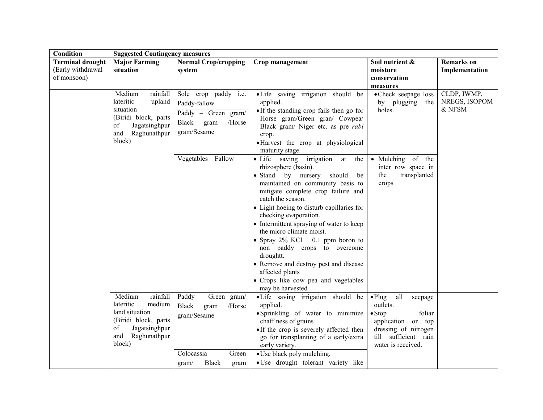| Condition                                                   | <b>Suggested Contingency measures</b>                                                                                                        |                                                                                                                              |                                                                                                                                                                                                                                                                                                                                                                                                                                                                                                                 |                                                                                                                                                                      |                                        |
|-------------------------------------------------------------|----------------------------------------------------------------------------------------------------------------------------------------------|------------------------------------------------------------------------------------------------------------------------------|-----------------------------------------------------------------------------------------------------------------------------------------------------------------------------------------------------------------------------------------------------------------------------------------------------------------------------------------------------------------------------------------------------------------------------------------------------------------------------------------------------------------|----------------------------------------------------------------------------------------------------------------------------------------------------------------------|----------------------------------------|
| <b>Terminal drought</b><br>(Early withdrawal<br>of monsoon) | <b>Major Farming</b><br>situation                                                                                                            | <b>Normal Crop/cropping</b><br>system                                                                                        | Crop management                                                                                                                                                                                                                                                                                                                                                                                                                                                                                                 | Soil nutrient &<br>moisture<br>conservation<br>measures                                                                                                              | <b>Remarks</b> on<br>Implementation    |
|                                                             | Medium<br>rainfall<br>lateritic<br>upland<br>situation<br>(Biridi block, parts<br>of<br>Jagatsinghpur<br>and Raghunathpur<br>block)          | Sole crop paddy i.e.<br>Paddy-fallow<br>Paddy - Green gram/<br>Black<br>/Horse<br>gram<br>gram/Sesame<br>Vegetables - Fallow | • Life saving irrigation should be<br>applied.<br>• If the standing crop fails then go for<br>Horse gram/Green gran/ Cowpea/<br>Black gram/ Niger etc. as pre rabi<br>crop.<br>• Harvest the crop at physiological<br>maturity stage.<br>• Life saving irrigation at the                                                                                                                                                                                                                                        | • Check seepage loss<br>by plugging<br>the<br>holes.<br>• Mulching of the                                                                                            | CLDP, IWMP,<br>NREGS, ISOPOM<br>& NFSM |
|                                                             |                                                                                                                                              |                                                                                                                              | rhizosphere (basin).<br>• Stand by nursery should<br>be<br>maintained on community basis to<br>mitigate complete crop failure and<br>catch the season.<br>• Light hoeing to disturb capillaries for<br>checking evaporation.<br>• Intermittent spraying of water to keep<br>the micro climate moist.<br>• Spray $2\%$ KCl + 0.1 ppm boron to<br>non paddy crops to overcome<br>droughtt.<br>• Remove and destroy pest and disease<br>affected plants<br>• Crops like cow pea and vegetables<br>may be harvested | inter row space in<br>transplanted<br>the<br>crops                                                                                                                   |                                        |
|                                                             | Medium<br>rainfall<br>lateritic<br>medium<br>land situation<br>(Biridi block, parts)<br>of<br>Jagatsinghpur<br>Raghunathpur<br>and<br>block) | Paddy - Green gram/<br><b>Black</b><br>gram<br>/Horse<br>gram/Sesame<br>Colocassia<br>Green<br>$\overline{\phantom{a}}$      | • Life saving irrigation should be<br>applied.<br>• Sprinkling of water to minimize<br>chaff ness of grains<br>• If the crop is severely affected then<br>go for transplanting of a early/extra<br>early variety.<br>• Use black poly mulching.                                                                                                                                                                                                                                                                 | $\bullet$ Plug<br>all<br>seepage<br>outlets.<br>$\bullet$ Stop<br>foliar<br>application or top<br>dressing of nitrogen<br>till sufficient rain<br>water is received. |                                        |
|                                                             |                                                                                                                                              | <b>Black</b><br>gram/<br>gram                                                                                                | · Use drought tolerant variety like                                                                                                                                                                                                                                                                                                                                                                                                                                                                             |                                                                                                                                                                      |                                        |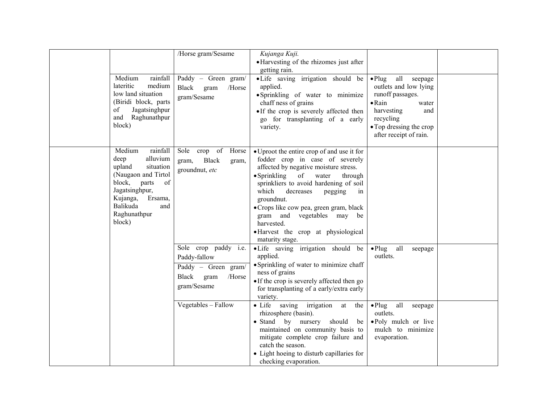| Medium<br>lateritic<br>medium<br>low land situation<br>(Biridi block, parts<br>Jagatsinghpur<br>of<br>and Raghunathpur<br>block)                                                                 | /Horse gram/Sesame<br>rainfall $\vert$ Paddy – Green gram/<br>Black<br>/Horse<br>gram<br>gram/Sesame                | Kujanga Kuji.<br>• Harvesting of the rhizomes just after<br>getting rain.<br>•Life saving irrigation should be<br>applied.<br>• Sprinkling of water to minimize<br>chaff ness of grains<br>• If the crop is severely affected then<br>go for transplanting of a early<br>variety.                                                                                                                                     | all seepage<br>$\bullet$ Plug<br>outlets and low lying<br>runoff passages.<br>$\bullet$ Rain<br>water<br>harvesting<br>and<br>recycling<br>• Top dressing the crop<br>after receipt of rain. |  |
|--------------------------------------------------------------------------------------------------------------------------------------------------------------------------------------------------|---------------------------------------------------------------------------------------------------------------------|-----------------------------------------------------------------------------------------------------------------------------------------------------------------------------------------------------------------------------------------------------------------------------------------------------------------------------------------------------------------------------------------------------------------------|----------------------------------------------------------------------------------------------------------------------------------------------------------------------------------------------|--|
| Medium<br>rainfall<br>deep<br>alluvium<br>upland<br>situation<br>(Naugaon and Tirtol<br>block, parts<br>of<br>Jagatsinghpur,<br>Kujanga,<br>Ersama,<br>Balikuda<br>and<br>Raghunathpur<br>block) | crop of<br>Horse<br>Sole<br><b>Black</b><br>gram,<br>gram,<br>groundnut, etc                                        | • Uproot the entire crop of and use it for<br>fodder crop in case of severely<br>affected by negative moisture stress.<br>$\bullet$ Sprinkling<br>of water<br>through<br>sprinkliers to avoid hardening of soil<br>which<br>decreases<br>pegging<br>in<br>groundnut.<br>• Crops like cow pea, green gram, black<br>gram and vegetables may be<br>harvested.<br>• Harvest the crop at physiological<br>maturity stage. |                                                                                                                                                                                              |  |
|                                                                                                                                                                                                  | Sole crop paddy <i>i.e.</i><br>Paddy-fallow<br>Paddy - Green gram/<br><b>Black</b><br>gram<br>/Horse<br>gram/Sesame | ·Life saving irrigation should be<br>applied.<br>• Sprinkling of water to minimize chaff<br>ness of grains<br>• If the crop is severely affected then go<br>for transplanting of a early/extra early<br>variety.                                                                                                                                                                                                      | all<br>$\bullet$ Plug<br>seepage<br>outlets.                                                                                                                                                 |  |
|                                                                                                                                                                                                  | Vegetables - Fallow                                                                                                 | · Life saving irrigation at<br>the<br>rhizosphere (basin).<br>• Stand by nursery<br>should<br>be<br>maintained on community basis to<br>mitigate complete crop failure and<br>catch the season.<br>• Light hoeing to disturb capillaries for<br>checking evaporation.                                                                                                                                                 | $\bullet$ Plug<br>all<br>seepage<br>outlets.<br>• Poly mulch or live<br>mulch to minimize<br>evaporation.                                                                                    |  |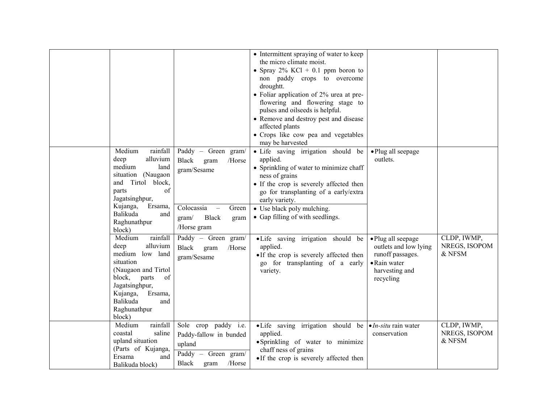|                                                                                                                                                                                                                |                                                                                                                                                       | • Intermittent spraying of water to keep<br>the micro climate moist.<br>• Spray $2\%$ KCl + 0.1 ppm boron to<br>non paddy crops to overcome<br>droughtt.<br>• Foliar application of $2\%$ urea at pre-<br>flowering and flowering stage to<br>pulses and oilseeds is helpful.<br>• Remove and destroy pest and disease<br>affected plants<br>• Crops like cow pea and vegetables<br>may be harvested |                                                                                                                |                                        |
|----------------------------------------------------------------------------------------------------------------------------------------------------------------------------------------------------------------|-------------------------------------------------------------------------------------------------------------------------------------------------------|------------------------------------------------------------------------------------------------------------------------------------------------------------------------------------------------------------------------------------------------------------------------------------------------------------------------------------------------------------------------------------------------------|----------------------------------------------------------------------------------------------------------------|----------------------------------------|
| Medium<br>rainfall<br>alluvium<br>deep<br>medium<br>land<br>situation (Naugaon<br>Tirtol<br>block,<br>and<br>of<br>parts<br>Jagatsinghpur,<br>Kujanga,<br>Ersama,<br>Balikuda<br>and<br>Raghunathpur<br>block) | Paddy - Green gram/<br><b>Black</b><br>/Horse<br>gram<br>gram/Sesame<br>Colocassia<br>Green<br>$\sim$<br><b>Black</b><br>gram/<br>gram<br>/Horse gram | · Life saving irrigation should be<br>applied.<br>• Sprinkling of water to minimize chaff<br>ness of grains<br>• If the crop is severely affected then<br>go for transplanting of a early/extra<br>early variety.<br>• Use black poly mulching.<br>• Gap filling of with seedlings.                                                                                                                  | · Plug all seepage<br>outlets.                                                                                 |                                        |
| Medium<br>rainfall<br>deep<br>alluvium<br>medium low land<br>situation<br>(Naugaon and Tirtol<br>of<br>block,<br>parts<br>Jagatsinghpur,<br>Kujanga,<br>Ersama,<br>Balikuda<br>and<br>Raghunathpur<br>block)   | Paddy - Green gram/<br>Black<br>/Horse<br>gram<br>gram/Sesame                                                                                         | ·Life saving irrigation should be<br>applied.<br>• If the crop is severely affected then<br>go for transplanting of a early<br>variety.                                                                                                                                                                                                                                                              | • Plug all seepage<br>outlets and low lying<br>runoff passages.<br>• Rain water<br>harvesting and<br>recycling | CLDP, IWMP,<br>NREGS, ISOPOM<br>& NFSM |
| Medium<br>rainfall<br>coastal<br>saline<br>upland situation<br>(Parts of Kujanga,<br>Ersama<br>and<br>Balikuda block)                                                                                          | Sole crop paddy i.e.<br>Paddy-fallow in bunded<br>upland<br>Paddy - Green gram/<br>/Horse<br><b>Black</b><br>gram                                     | • Life saving irrigation should be $\bullet$ <i>In-situ</i> rain water<br>applied.<br>• Sprinkling of water to minimize<br>chaff ness of grains<br>• If the crop is severely affected then                                                                                                                                                                                                           | conservation                                                                                                   | CLDP, IWMP,<br>NREGS, ISOPOM<br>& NFSM |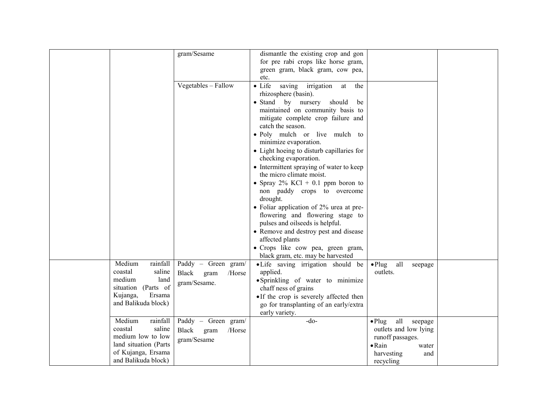|                       | gram/Sesame                    | dismantle the existing crop and gon           |                                  |  |
|-----------------------|--------------------------------|-----------------------------------------------|----------------------------------|--|
|                       |                                |                                               |                                  |  |
|                       |                                | for pre rabi crops like horse gram,           |                                  |  |
|                       |                                | green gram, black gram, cow pea,              |                                  |  |
|                       |                                | etc.                                          |                                  |  |
|                       | Vegetables - Fallow            | $\bullet$ Life<br>saving irrigation at<br>the |                                  |  |
|                       |                                | rhizosphere (basin).                          |                                  |  |
|                       |                                | • Stand by nursery<br>should<br>be            |                                  |  |
|                       |                                | maintained on community basis to              |                                  |  |
|                       |                                | mitigate complete crop failure and            |                                  |  |
|                       |                                | catch the season.                             |                                  |  |
|                       |                                | • Poly mulch or live mulch to                 |                                  |  |
|                       |                                | minimize evaporation.                         |                                  |  |
|                       |                                | • Light hoeing to disturb capillaries for     |                                  |  |
|                       |                                | checking evaporation.                         |                                  |  |
|                       |                                | • Intermittent spraying of water to keep      |                                  |  |
|                       |                                | the micro climate moist.                      |                                  |  |
|                       |                                | • Spray $2\%$ KCl + 0.1 ppm boron to          |                                  |  |
|                       |                                | non paddy crops to overcome                   |                                  |  |
|                       |                                | drought.                                      |                                  |  |
|                       |                                | • Foliar application of 2% urea at pre-       |                                  |  |
|                       |                                | flowering and flowering stage to              |                                  |  |
|                       |                                | pulses and oilseeds is helpful.               |                                  |  |
|                       |                                | • Remove and destroy pest and disease         |                                  |  |
|                       |                                | affected plants                               |                                  |  |
|                       |                                | · Crops like cow pea, green gram,             |                                  |  |
|                       |                                | black gram, etc. may be harvested             |                                  |  |
| Medium<br>rainfall    | Paddy - Green gram/            | •Life saving irrigation should be             | $\bullet$ Plug<br>all<br>seepage |  |
| coastal<br>saline     | <b>Black</b><br>/Horse<br>gram | applied.                                      | outlets.                         |  |
| medium<br>land        | gram/Sesame.                   | • Sprinkling of water to minimize             |                                  |  |
| situation (Parts of   |                                | chaff ness of grains                          |                                  |  |
| Ersama<br>Kujanga,    |                                | • If the crop is severely affected then       |                                  |  |
| and Balikuda block)   |                                | go for transplanting of an early/extra        |                                  |  |
|                       |                                | early variety.                                |                                  |  |
| Medium<br>rainfall    | Paddy - Green gram/            | $-do-$                                        | all<br>$\bullet$ Plug<br>seepage |  |
| coastal<br>saline     | <b>Black</b><br>/Horse<br>gram |                                               | outlets and low lying            |  |
| medium low to low     | gram/Sesame                    |                                               | runoff passages.                 |  |
| land situation (Parts |                                |                                               | $\bullet$ Rain<br>water          |  |
| of Kujanga, Ersama    |                                |                                               | harvesting<br>and                |  |
| and Balikuda block)   |                                |                                               | recycling                        |  |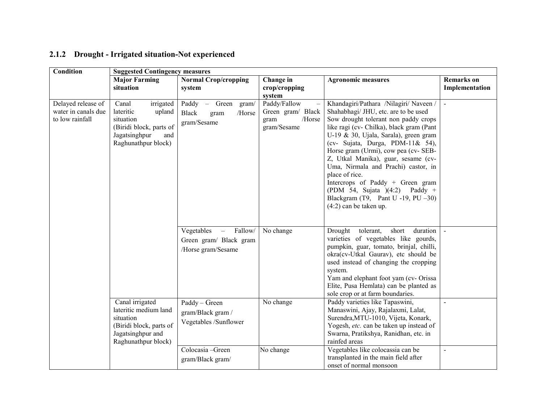| <b>Condition</b>                                             | <b>Suggested Contingency measures</b>                                                                                            |                                                                                                   |                                                                    |                                                                                                                                                                                                                                                                                                                                                                                                                                                                                                                                      |                                     |
|--------------------------------------------------------------|----------------------------------------------------------------------------------------------------------------------------------|---------------------------------------------------------------------------------------------------|--------------------------------------------------------------------|--------------------------------------------------------------------------------------------------------------------------------------------------------------------------------------------------------------------------------------------------------------------------------------------------------------------------------------------------------------------------------------------------------------------------------------------------------------------------------------------------------------------------------------|-------------------------------------|
|                                                              | <b>Major Farming</b><br>situation                                                                                                | <b>Normal Crop/cropping</b><br>system                                                             | Change in<br>crop/cropping<br>system                               | <b>Agronomic measures</b>                                                                                                                                                                                                                                                                                                                                                                                                                                                                                                            | <b>Remarks</b> on<br>Implementation |
| Delayed release of<br>water in canals due<br>to low rainfall | Canal<br>irrigated<br>lateritic<br>upland<br>situation<br>(Biridi block, parts of<br>Jagatsinghpur<br>and<br>Raghunathpur block) | Paddy - Green<br>gram/<br><b>Black</b><br>/Horse<br>gram<br>gram/Sesame                           | Paddy/Fallow<br>Green gram/ Black<br>/Horse<br>gram<br>gram/Sesame | Khandagiri/Pathara /Nilagiri/ Naveen /<br>Shahabhagi/ JHU, etc. are to be used<br>Sow drought tolerant non paddy crops<br>like ragi (cv- Chilka), black gram (Pant<br>U-19 & 30, Ujala, Sarala), green gram<br>(cv- Sujata, Durga, PDM-11& 54),<br>Horse gram (Urmi), cow pea (cv- SEB-<br>Z, Utkal Manika), guar, sesame (cv-<br>Uma, Nirmala and Prachi) castor, in<br>place of rice.<br>Intercrops of Paddy + Green gram<br>(PDM 54, Sujata $)(4:2)$ Paddy +<br>Blackgram (T9, Pant U -19, PU $-30$ )<br>$(4:2)$ can be taken up. | $\sim$                              |
|                                                              |                                                                                                                                  | Fallow/<br>Vegetables<br>$\overline{\phantom{m}}$<br>Green gram/ Black gram<br>/Horse gram/Sesame | No change                                                          | Drought<br>tolerant,<br>short<br>duration<br>varieties of vegetables like gourds,<br>pumpkin, guar, tomato, brinjal, chilli,<br>okra(cv-Utkal Gaurav), etc should be<br>used instead of changing the cropping<br>system.<br>Yam and elephant foot yam (cv- Orissa<br>Elite, Pusa Hemlata) can be planted as<br>sole crop or at farm boundaries.                                                                                                                                                                                      |                                     |
|                                                              | Canal irrigated<br>lateritic medium land<br>situation<br>(Biridi block, parts of<br>Jagatsinghpur and<br>Raghunathpur block)     | Paddy - Green<br>gram/Black gram /<br>Vegetables /Sunflower                                       | No change                                                          | Paddy varieties like Tapaswini,<br>Manaswini, Ajay, Rajalaxmi, Lalat,<br>Surendra, MTU-1010, Vijeta, Konark,<br>Yogesh, etc. can be taken up instead of<br>Swarna, Pratikshya, Ranidhan, etc. in<br>rainfed areas                                                                                                                                                                                                                                                                                                                    | $\blacksquare$                      |
|                                                              |                                                                                                                                  | Colocasia-Green<br>gram/Black gram/                                                               | No change                                                          | Vegetables like colocassia can be<br>transplanted in the main field after<br>onset of normal monsoon                                                                                                                                                                                                                                                                                                                                                                                                                                 | $\blacksquare$                      |

### 2.1.2 Drought - Irrigated situation-Not experienced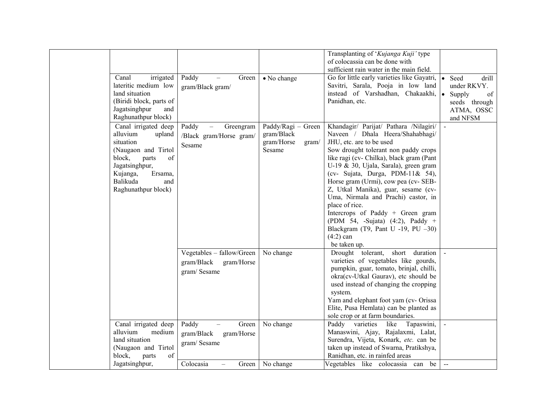|                         |                           |                     | Transplanting of 'Kujanga Kuji' type        |                                               |
|-------------------------|---------------------------|---------------------|---------------------------------------------|-----------------------------------------------|
|                         |                           |                     | of colocassia can be done with              |                                               |
|                         |                           |                     | sufficient rain water in the main field.    |                                               |
| Canal<br>irrigated      | Paddy<br>Green            | • No change         | Go for little early varieties like Gayatri, | Seed<br>drill                                 |
| lateritic medium low    | gram/Black gram/          |                     | Savitri, Sarala, Pooja in low land          | under RKVY.                                   |
| land situation          |                           |                     | instead of Varshadhan, Chakaakhi,           | of<br>Supply                                  |
| (Biridi block, parts of |                           |                     | Panidhan, etc.                              | seeds through                                 |
| Jagatsinghpur<br>and    |                           |                     |                                             | ATMA, OSSC                                    |
| Raghunathpur block)     |                           |                     |                                             | and NFSM                                      |
| Canal irrigated deep    | Paddy<br>Greengram        | Paddy/Ragi - Green  | Khandagir/ Parijat/ Pathara /Nilagiri/      |                                               |
| alluvium<br>upland      | /Black gram/Horse gram/   | gram/Black          | Naveen / Dhala Heera/Shahabhagi/            |                                               |
| situation               |                           | gram/Horse<br>gram/ | JHU, etc. are to be used                    |                                               |
| (Naugaon and Tirtol     | Sesame                    | Sesame              | Sow drought tolerant non paddy crops        |                                               |
| block,<br>parts<br>of   |                           |                     | like ragi (cv- Chilka), black gram (Pant    |                                               |
| Jagatsinghpur,          |                           |                     | U-19 & 30, Ujala, Sarala), green gram       |                                               |
| Kujanga,<br>Ersama,     |                           |                     | (cv- Sujata, Durga, PDM-11& 54),            |                                               |
| Balikuda<br>and         |                           |                     | Horse gram (Urmi), cow pea (cv- SEB-        |                                               |
| Raghunathpur block)     |                           |                     | Z, Utkal Manika), guar, sesame (cv-         |                                               |
|                         |                           |                     | Uma, Nirmala and Prachi) castor, in         |                                               |
|                         |                           |                     | place of rice.                              |                                               |
|                         |                           |                     | Intercrops of Paddy + Green gram            |                                               |
|                         |                           |                     | (PDM 54, -Sujata) (4:2), Paddy +            |                                               |
|                         |                           |                     | Blackgram (T9, Pant U -19, PU $-30$ )       |                                               |
|                         |                           |                     | $(4:2)$ can                                 |                                               |
|                         |                           |                     | be taken up.                                |                                               |
|                         | Vegetables - fallow/Green | No change           | short<br>Drought tolerant,<br>duration      |                                               |
|                         | gram/Black<br>gram/Horse  |                     | varieties of vegetables like gourds,        |                                               |
|                         |                           |                     | pumpkin, guar, tomato, brinjal, chilli,     |                                               |
|                         | gram/Sesame               |                     | okra(cv-Utkal Gaurav), etc should be        |                                               |
|                         |                           |                     | used instead of changing the cropping       |                                               |
|                         |                           |                     | system.                                     |                                               |
|                         |                           |                     | Yam and elephant foot yam (cv- Orissa       |                                               |
|                         |                           |                     | Elite, Pusa Hemlata) can be planted as      |                                               |
|                         |                           |                     | sole crop or at farm boundaries.            |                                               |
| Canal irrigated deep    | Paddy<br>Green            | No change           | Paddy<br>varieties<br>like<br>Tapaswini,    |                                               |
| alluvium<br>medium      |                           |                     | Manaswini, Ajay, Rajalaxmi, Lalat,          |                                               |
| land situation          | gram/Black<br>gram/Horse  |                     | Surendra, Vijeta, Konark, etc. can be       |                                               |
| (Naugaon and Tirtol     | gram/Sesame               |                     | taken up instead of Swarna, Pratikshya,     |                                               |
| block,<br>of<br>parts   |                           |                     | Ranidhan, etc. in rainfed areas             |                                               |
| Jagatsinghpur,          | Colocasia<br>Green        | No change           | Vegetables like colocassia can be           | $\mathord{\hspace{1pt}\text{--}\hspace{1pt}}$ |
|                         |                           |                     |                                             |                                               |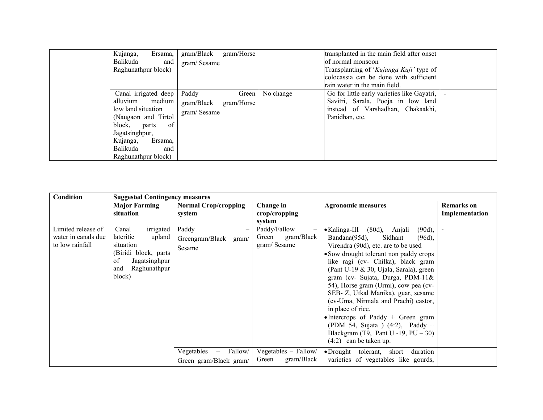| Kujanga,<br>Ersama,<br>Balikuda<br>and<br>Raghunathpur block)                                                                                                                                            | gram/Black<br>gram/Horse<br>gram/Sesame                   |           | transplanted in the main field after onset<br>of normal monsoon<br>Transplanting of 'Kujanga Kuji' type of<br>colocassia can be done with sufficient<br>rain water in the main field. |  |
|----------------------------------------------------------------------------------------------------------------------------------------------------------------------------------------------------------|-----------------------------------------------------------|-----------|---------------------------------------------------------------------------------------------------------------------------------------------------------------------------------------|--|
| Canal irrigated deep<br>alluvium medium<br>low land situation<br>(Naugaon and Tirtol)<br>of<br>block,<br>parts<br>Jagatsinghpur,<br>Kujanga,<br>Ersama,<br><b>Balikuda</b><br>and<br>Raghunathpur block) | Paddy<br>Green<br>gram/Black<br>gram/Horse<br>gram/Sesame | No change | Go for little early varieties like Gayatri,<br>Savitri, Sarala, Pooja in low land<br>instead of Varshadhan, Chakaakhi,<br>Panidhan, etc.                                              |  |

| Condition                                                    |                                                                                                                                        | <b>Suggested Contingency measures</b>                                              |                                                              |                                                                                                                                                                                                                                                                                                                                                                                                                                    |                |  |  |
|--------------------------------------------------------------|----------------------------------------------------------------------------------------------------------------------------------------|------------------------------------------------------------------------------------|--------------------------------------------------------------|------------------------------------------------------------------------------------------------------------------------------------------------------------------------------------------------------------------------------------------------------------------------------------------------------------------------------------------------------------------------------------------------------------------------------------|----------------|--|--|
|                                                              | <b>Major Farming</b>                                                                                                                   | <b>Normal Crop/cropping</b>                                                        | Change in                                                    | <b>Agronomic measures</b>                                                                                                                                                                                                                                                                                                                                                                                                          | Remarks on     |  |  |
|                                                              | situation                                                                                                                              | system                                                                             | crop/cropping                                                |                                                                                                                                                                                                                                                                                                                                                                                                                                    | Implementation |  |  |
| Limited release of<br>water in canals due<br>to low rainfall | irrigated<br>Canal<br>lateritic<br>upland<br>situation<br>(Biridi block, parts<br>of<br>Jagatsinghpur<br>Raghunathpur<br>and<br>block) | Paddy<br>Greengram/Black gram/<br>Sesame                                           | system<br>Paddy/Fallow<br>gram/Black<br>Green<br>gram/Sesame | • Kalinga-III (80d), Anjali<br>$(90d)$ ,<br>Bandana(95d),<br>Sidhant<br>$(96d)$ ,<br>Virendra (90d), etc. are to be used<br>• Sow drought tolerant non paddy crops<br>like ragi (cv- Chilka), black gram<br>(Pant U-19 & 30, Ujala, Sarala), green<br>gram (cv- Sujata, Durga, PDM-11&<br>54), Horse gram (Urmi), cow pea (cv-<br>SEB- Z, Utkal Manika), guar, sesame<br>(cv-Uma, Nirmala and Prachi) castor,<br>in place of rice. |                |  |  |
|                                                              |                                                                                                                                        |                                                                                    |                                                              | $\bullet$ Intercrops of Paddy + Green gram<br>(PDM 54, Sujata ) $(4:2)$ , Paddy +<br>Blackgram (T9, Pant U -19, $PU - 30$ )<br>$(4:2)$ can be taken up.                                                                                                                                                                                                                                                                            |                |  |  |
|                                                              |                                                                                                                                        | Vegetables<br>Fallow/<br>$\hspace{0.1mm}-\hspace{0.1mm}$<br>Green gram/Black gram/ | Vegetables - Fallow/<br>gram/Black<br>Green                  | $\bullet$ Drought tolerant, short<br>duration<br>varieties of vegetables like gourds,                                                                                                                                                                                                                                                                                                                                              |                |  |  |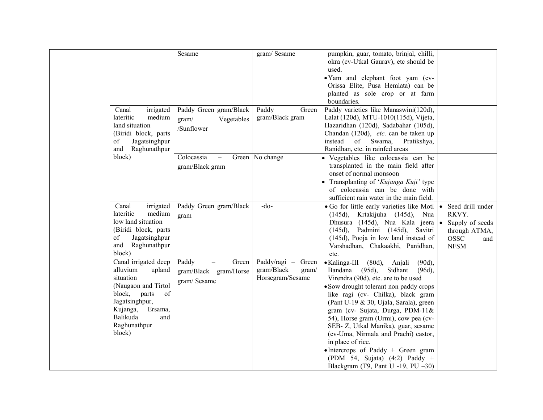| irrigated<br>Canal                                                                                                                                                                            | Sesame<br>Paddy Green gram/Black                       | gram/Sesame<br>Paddy<br>Green                                 | pumpkin, guar, tomato, brinjal, chilli,<br>okra (cv-Utkal Gaurav), etc should be<br>used.<br>• Yam and elephant foot yam (cv-<br>Orissa Elite, Pusa Hemlata) can be<br>planted as sole crop or at farm<br>boundaries.<br>Paddy varieties like Manaswini(120d),                                                                                                                                                                                                                                                                                         |                                                                                                    |
|-----------------------------------------------------------------------------------------------------------------------------------------------------------------------------------------------|--------------------------------------------------------|---------------------------------------------------------------|--------------------------------------------------------------------------------------------------------------------------------------------------------------------------------------------------------------------------------------------------------------------------------------------------------------------------------------------------------------------------------------------------------------------------------------------------------------------------------------------------------------------------------------------------------|----------------------------------------------------------------------------------------------------|
| lateritic<br>medium<br>land situation<br>(Biridi block, parts<br>of<br>Jagatsinghpur<br>and Raghunathpur                                                                                      | Vegetables<br>gram/<br>/Sunflower                      | gram/Black gram                                               | Lalat (120d), MTU-1010(115d), Vijeta,<br>Hazaridhan (120d), Sadabahar (105d),<br>Chandan (120d), etc. can be taken up<br>instead<br>of Swarna,<br>Pratikshya,<br>Ranidhan, etc. in rainfed areas                                                                                                                                                                                                                                                                                                                                                       |                                                                                                    |
| block)                                                                                                                                                                                        | Colocassia<br>$\equiv$<br>gram/Black gram              | Green No change                                               | • Vegetables like colocassia can be<br>transplanted in the main field after<br>onset of normal monsoon<br>Transplanting of 'Kujanga Kuji' type<br>of colocassia can be done with<br>sufficient rain water in the main field.                                                                                                                                                                                                                                                                                                                           |                                                                                                    |
| Canal<br>irrigated<br>medium<br>lateritic<br>low land situation<br>(Biridi block, parts<br>Jagatsinghpur<br>of<br>and Raghunathpur<br>block)                                                  | Paddy Green gram/Black<br>gram                         | $-do$                                                         | • Go for little early varieties like Moti $  \cdot  $<br>(145d), Krtakijuha (145d), Nua<br>Dhusura (145d), Nua Kala jeera $\bullet$<br>(145d), Padmini (145d), Savitri<br>(145d), Pooja in low land instead of<br>Varshadhan, Chakaakhi, Panidhan,<br>etc.                                                                                                                                                                                                                                                                                             | Seed drill under<br>RKVY.<br>Supply of seeds<br>through ATMA,<br><b>OSSC</b><br>and<br><b>NFSM</b> |
| Canal irrigated deep<br>alluvium<br>upland<br>situation<br>(Naugaon and Tirtol<br>of<br>block,<br>parts<br>Jagatsinghpur,<br>Kujanga,<br>Ersama,<br>Balikuda<br>and<br>Raghunathpur<br>block) | Paddy<br>Green<br>gram/Black gram/Horse<br>gram/Sesame | Paddy/ragi - Green<br>gram/Black<br>gram/<br>Horsegram/Sesame | • Kalinga-III (80d), Anjali<br>$(90d)$ ,<br>Bandana (95d),<br>Sidhant<br>$(96d)$ ,<br>Virendra (90d), etc. are to be used<br>• Sow drought tolerant non paddy crops<br>like ragi (cv- Chilka), black gram<br>(Pant U-19 & 30, Ujala, Sarala), green<br>gram (cv- Sujata, Durga, PDM-11&<br>54), Horse gram (Urmi), cow pea (cv-<br>SEB- Z, Utkal Manika), guar, sesame<br>(cv-Uma, Nirmala and Prachi) castor,<br>in place of rice.<br>• Intercrops of Paddy + Green gram<br>(PDM 54, Sujata) $(4:2)$ Paddy +<br>Blackgram (T9, Pant U -19, PU $-30$ ) |                                                                                                    |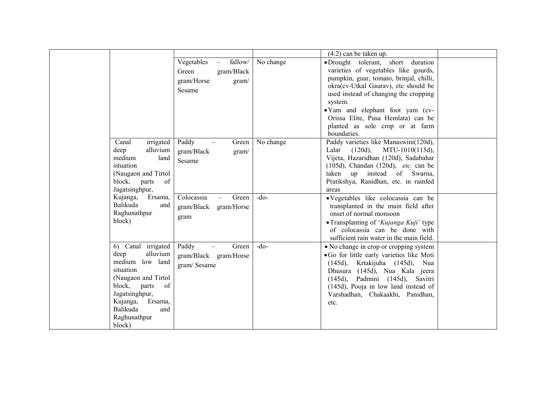|                                                                                                                                                                                                              |                                                                                      |           | $(4:2)$ can be taken up.                                                                                                                                                                                                                                                                                                                     |  |
|--------------------------------------------------------------------------------------------------------------------------------------------------------------------------------------------------------------|--------------------------------------------------------------------------------------|-----------|----------------------------------------------------------------------------------------------------------------------------------------------------------------------------------------------------------------------------------------------------------------------------------------------------------------------------------------------|--|
|                                                                                                                                                                                                              | Vegetables<br>fallow/<br>$-$<br>gram/Black<br>Green<br>gram/Horse<br>gram/<br>Sesame | No change | •Drought tolerant, short duration<br>varieties of vegetables like gourds,<br>pumpkin, guar, tomato, brinjal, chilli,<br>okra(cv-Utkal Gaurav), etc should be<br>used instead of changing the cropping<br>system.<br>· Yam and elephant foot yam (cv-<br>Orissa Elite, Pusa Hemlata) can be<br>planted as sole crop or at farm<br>boundaries. |  |
| irrigated<br>Canal<br>alluvium<br>deep<br>medium<br>land<br>situation<br>(Naugaon and Tirtol)<br>block, parts<br>of<br>Jagatsinghpur,                                                                        | Paddy<br>Green<br>gram/Black<br>gram/<br>Sesame                                      | No change | Paddy varieties like Manaswini(120d),<br>Lalat<br>MTU-1010(115d),<br>$(120d)$ ,<br>Vijeta, Hazaridhan (120d), Sadabahar<br>$(105d)$ , Chandan $(120d)$ , <i>etc.</i> can be<br>up instead of Swarna,<br>taken<br>Pratikshya, Ranidhan, etc. in rainfed<br>areas                                                                              |  |
| Kujanga,<br>Ersama,<br>Balikuda<br>and<br>Raghunathpur<br>block)                                                                                                                                             | Colocassia<br>Green<br>gram/Black<br>gram/Horse<br>gram                              | $-do-$    | · Vegetables like colocassia can be<br>transplanted in the main field after<br>onset of normal monsoon<br>• Transplanting of 'Kujanga Kuji' type<br>of colocassia can be done with<br>sufficient rain water in the main field.                                                                                                               |  |
| 6) Canal irrigated<br>deep<br>alluvium<br>medium low land<br>situation<br>(Naugaon and Tirtol<br>block,<br>of<br>parts<br>Jagatsinghpur,<br>Kujanga,<br>Ersama,<br>Balikuda<br>and<br>Raghunathpur<br>block) | Paddy<br>Green<br>$\overline{\phantom{m}}$<br>gram/Black gram/Horse<br>gram/Sesame   | $-do-$    | • No change in crop or cropping system<br>•Go for little early varieties like Moti<br>$(145d)$ , Krtakijuha $(145d)$ , Nua<br>Dhusura (145d), Nua Kala jeera<br>Padmini (145d), Savitri<br>$(145d)$ ,<br>$(145d)$ , Pooja in low land instead of<br>Varshadhan, Chakaakhi, Panidhan,<br>etc.                                                 |  |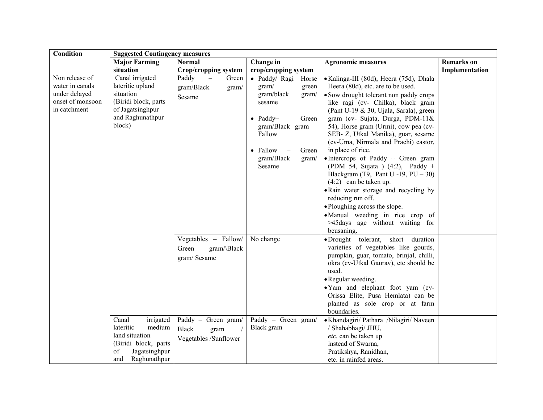| Condition                                                                              | <b>Suggested Contingency measures</b>                                                                                           |                                                                                                                                     |                                                                                                                                                                                                            |                                                                                                                                                                                                                                                                                                                                                                                                                                                                                                                                                                                                                                                                                                                        |                   |  |
|----------------------------------------------------------------------------------------|---------------------------------------------------------------------------------------------------------------------------------|-------------------------------------------------------------------------------------------------------------------------------------|------------------------------------------------------------------------------------------------------------------------------------------------------------------------------------------------------------|------------------------------------------------------------------------------------------------------------------------------------------------------------------------------------------------------------------------------------------------------------------------------------------------------------------------------------------------------------------------------------------------------------------------------------------------------------------------------------------------------------------------------------------------------------------------------------------------------------------------------------------------------------------------------------------------------------------------|-------------------|--|
|                                                                                        | <b>Major Farming</b>                                                                                                            | <b>Normal</b>                                                                                                                       | Change in                                                                                                                                                                                                  | <b>Agronomic measures</b>                                                                                                                                                                                                                                                                                                                                                                                                                                                                                                                                                                                                                                                                                              | <b>Remarks</b> on |  |
|                                                                                        | situation                                                                                                                       | <b>Crop/cropping system</b>                                                                                                         | crop/cropping system                                                                                                                                                                                       |                                                                                                                                                                                                                                                                                                                                                                                                                                                                                                                                                                                                                                                                                                                        | Implementation    |  |
| Non release of<br>water in canals<br>under delayed<br>onset of monsoon<br>in catchment | Canal irrigated<br>lateritic upland<br>situation<br>(Biridi block, parts<br>of Jagatsinghpur<br>and Raghunathpur<br>block)      | Paddy<br>$\equiv$<br>Green<br>gram/Black<br>gram/<br>Sesame                                                                         | • Paddy/ Ragi- Horse<br>gram/<br>green<br>gram/black<br>gram/<br>sesame<br>$\bullet$ Paddy+<br>Green<br>$gram/Black \gram$ -<br>Fallow<br>• Fallow<br>Green<br>$\sim$ $-$<br>gram/Black<br>gram/<br>Sesame | • Kalinga-III (80d), Heera (75d), Dhala<br>Heera (80d), etc. are to be used.<br>• Sow drought tolerant non paddy crops<br>like ragi (cv- Chilka), black gram<br>(Pant U-19 & 30, Ujala, Sarala), green<br>gram (cv- Sujata, Durga, PDM-11&<br>54), Horse gram (Urmi), cow pea (cv-<br>SEB- Z, Utkal Manika), guar, sesame<br>(cv-Uma, Nirmala and Prachi) castor,<br>in place of rice.<br>$\bullet$ Intercrops of Paddy + Green gram<br>(PDM 54, Sujata ) $(4:2)$ , Paddy +<br>Blackgram (T9, Pant U -19, $PU - 30$ )<br>$(4:2)$ can be taken up.<br>• Rain water storage and recycling by<br>reducing run off.<br>• Ploughing across the slope.<br>·Manual weeding in rice crop of<br>>45days age without waiting for |                   |  |
|                                                                                        | Canal<br>irrigated<br>lateritic<br>medium<br>land situation<br>(Biridi block, parts)<br>of<br>Jagatsinghpur<br>and Raghunathpur | Vegetables - Fallow/<br>Green<br>gram/\Black<br>gram/Sesame<br>Paddy - Green gram/<br><b>Black</b><br>gram<br>Vegetables /Sunflower | No change<br>Paddy - Green gram/<br>Black gram                                                                                                                                                             | beusaning.<br>·Drought tolerant, short duration<br>varieties of vegetables like gourds,<br>pumpkin, guar, tomato, brinjal, chilli,<br>okra (cv-Utkal Gaurav), etc should be<br>used.<br>• Regular weeding.<br>•Yam and elephant foot yam (cv-<br>Orissa Elite, Pusa Hemlata) can be<br>planted as sole crop or at farm<br>boundaries.<br>• Khandagiri/ Pathara / Nilagiri/ Naveen<br>/ Shahabhagi/ JHU,<br>etc. can be taken up<br>instead of Swarna,<br>Pratikshya, Ranidhan,<br>etc. in rainfed areas.                                                                                                                                                                                                               |                   |  |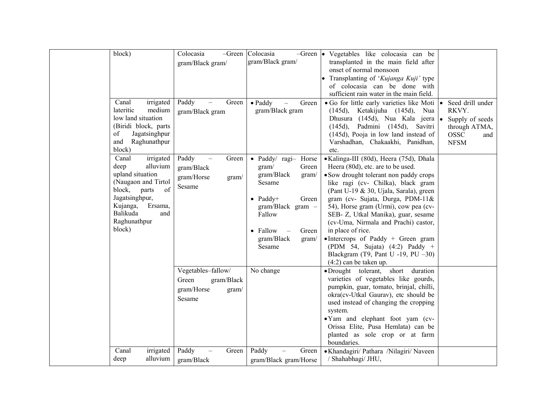| block)                                                                                                                                                                                           | Colocasia<br>-Green<br>gram/Black gram/                                    | Colocasia<br>gram/Black gram/                                                                                                                                                                | $-Green \,   \bullet \, \text{Vegetables}$ like colocasia can be<br>transplanted in the main field after<br>onset of normal monsoon<br>Transplanting of 'Kujanga Kuji' type<br>of colocasia can be done with<br>sufficient rain water in the main field.                                                                                                                                                                                                                                                                             |                                                                                                    |
|--------------------------------------------------------------------------------------------------------------------------------------------------------------------------------------------------|----------------------------------------------------------------------------|----------------------------------------------------------------------------------------------------------------------------------------------------------------------------------------------|--------------------------------------------------------------------------------------------------------------------------------------------------------------------------------------------------------------------------------------------------------------------------------------------------------------------------------------------------------------------------------------------------------------------------------------------------------------------------------------------------------------------------------------|----------------------------------------------------------------------------------------------------|
| Canal<br>irrigated<br>lateritic<br>medium<br>low land situation<br>(Biridi block, parts<br>of<br>Jagatsinghpur<br>Raghunathpur<br>and<br>block)                                                  | Paddy<br>Green<br>gram/Black gram                                          | $\bullet$ Paddy<br>Green<br>gram/Black gram                                                                                                                                                  | • Go for little early varieties like Moti $  \bullet  $<br>$(145d)$ , Ketakijuha $(145d)$ ,<br>Nua<br>Dhusura (145d), Nua Kala jeera .<br>Padmini (145d), Savitri<br>$(145d)$ ,<br>(145d), Pooja in low land instead of<br>Varshadhan, Chakaakhi, Panidhan,<br>etc.                                                                                                                                                                                                                                                                  | Seed drill under<br>RKVY.<br>Supply of seeds<br>through ATMA,<br><b>OSSC</b><br>and<br><b>NFSM</b> |
| Canal<br>irrigated<br>alluvium<br>deep<br>upland situation<br>(Naugaon and Tirtol<br>block,<br>parts<br>of<br>Jagatsinghpur,<br>Kujanga,<br>Ersama,<br>Balikuda<br>and<br>Raghunathpur<br>block) | Paddy<br>Green<br>gram/Black<br>gram/Horse<br>gram/<br>Sesame              | · Paddy/ ragi- Horse<br>gram/<br>Green<br>gram/Black<br>gram/<br>Sesame<br>$\bullet$ Paddy+<br>Green<br>$gram/Black \gram$ -<br>Fallow<br>• Fallow<br>Green<br>gram/Black<br>gram/<br>Sesame | ·Kalinga-III (80d), Heera (75d), Dhala<br>Heera (80d), etc. are to be used.<br>• Sow drought tolerant non paddy crops<br>like ragi (cv- Chilka), black gram<br>(Pant U-19 & 30, Ujala, Sarala), green<br>gram (cv- Sujata, Durga, PDM-11&<br>54), Horse gram (Urmi), cow pea (cv-<br>SEB- Z, Utkal Manika), guar, sesame<br>(cv-Uma, Nirmala and Prachi) castor,<br>in place of rice.<br>• Intercrops of Paddy + Green gram<br>(PDM 54, Sujata) $(4:2)$ Paddy +<br>Blackgram (T9, Pant U -19, PU $-30$ )<br>$(4:2)$ can be taken up. |                                                                                                    |
|                                                                                                                                                                                                  | Vegetables-fallow/<br>Green<br>gram/Black<br>gram/Horse<br>gram/<br>Sesame | No change                                                                                                                                                                                    | ·Drought tolerant, short duration<br>varieties of vegetables like gourds,<br>pumpkin, guar, tomato, brinjal, chilli,<br>okra(cv-Utkal Gaurav), etc should be<br>used instead of changing the cropping<br>system.<br>• Yam and elephant foot yam (cv-<br>Orissa Elite, Pusa Hemlata) can be<br>planted as sole crop or at farm<br>boundaries.                                                                                                                                                                                         |                                                                                                    |
| Canal<br>irrigated<br>alluvium<br>deep                                                                                                                                                           | Paddy<br>Green<br>gram/Black                                               | Paddy<br>Green<br>gram/Black gram/Horse                                                                                                                                                      | • Khandagiri/ Pathara /Nilagiri/ Naveen<br>/ Shahabhagi/ JHU,                                                                                                                                                                                                                                                                                                                                                                                                                                                                        |                                                                                                    |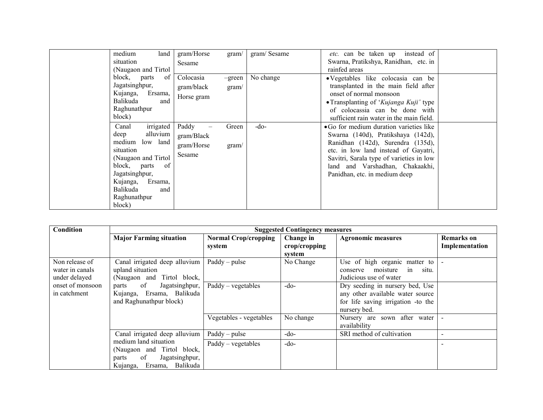| medium<br>land<br>situation<br>(Naugaon and Tirtol)                                                                                                                                                           | gram/Horse<br>gram/<br>Sesame                                 | gram/Sesame | <i>etc.</i> can be taken up instead of<br>Swarna, Pratikshya, Ranidhan, etc. in<br>rainfed areas                                                                                                                                                                           |  |
|---------------------------------------------------------------------------------------------------------------------------------------------------------------------------------------------------------------|---------------------------------------------------------------|-------------|----------------------------------------------------------------------------------------------------------------------------------------------------------------------------------------------------------------------------------------------------------------------------|--|
| block, parts<br>of <sub>l</sub><br>Jagatsinghpur,<br>Kujanga, Ersama,<br>Balikuda<br>and<br>Raghunathpur<br>block)                                                                                            | Colocasia<br>-green<br>gram/black<br>gram/<br>Horse gram      | No change   | • Vegetables like colocasia can be<br>transplanted in the main field after<br>onset of normal monsoon<br>• Transplanting of 'Kujanga Kuji' type<br>of colocassia can be done with<br>sufficient rain water in the main field.                                              |  |
| irrigated<br>Canal<br>alluvium<br>deep<br>medium<br>low land<br>situation<br>(Naugaon and Tirtol)<br>block, parts<br>of<br>Jagatsinghpur,<br>Kujanga,<br>Ersama,<br>Balikuda<br>and<br>Raghunathpur<br>block) | Paddy<br>Green<br>gram/Black<br>gram/Horse<br>gram/<br>Sesame | $-do-$      | • Go for medium duration varieties like<br>Swarna (140d), Pratikshaya (142d),<br>Ranidhan (142d), Surendra (135d),<br>etc. in low land instead of Gayatri,<br>Savitri, Sarala type of varieties in low<br>land and Varshadhan, Chakaakhi,<br>Panidhan, etc. in medium deep |  |

| <b>Condition</b>                                   | <b>Suggested Contingency measures</b>                                                                                |                                       |                                      |                                                                                                                           |                                     |
|----------------------------------------------------|----------------------------------------------------------------------------------------------------------------------|---------------------------------------|--------------------------------------|---------------------------------------------------------------------------------------------------------------------------|-------------------------------------|
|                                                    | <b>Major Farming situation</b>                                                                                       | <b>Normal Crop/cropping</b><br>system | Change in<br>crop/cropping<br>svstem | <b>Agronomic measures</b>                                                                                                 | <b>Remarks</b> on<br>Implementation |
| Non release of<br>water in canals<br>under delayed | Canal irrigated deep alluvium<br>upland situation<br>(Naugaon and Tirtol block,                                      | $Paddy - pulse$                       | No Change                            | Use of high organic matter to<br>moisture<br>in<br>situ.<br>conserve<br>Judicious use of water                            |                                     |
| onset of monsoon<br>in catchment                   | of<br>Jagatsinghpur,<br>parts<br>Kujanga, Ersama, Balikuda<br>and Raghunathpur block)                                | $Paddy - vegetables$                  | $-do-$                               | Dry seeding in nursery bed, Use<br>any other available water source<br>for life saving irrigation -to the<br>nursery bed. |                                     |
|                                                    |                                                                                                                      | Vegetables - vegetables               | No change                            | Nursery are sown after water<br>availability                                                                              | $\overline{\phantom{a}}$            |
|                                                    | Canal irrigated deep alluvium                                                                                        | $\text{Paddy}-\text{pulse}$           | $-do-$                               | SRI method of cultivation                                                                                                 | $\overline{\phantom{0}}$            |
|                                                    | medium land situation<br>(Naugaon and Tirtol block,<br>of<br>Jagatsinghpur,<br>parts<br>Ersama, Balikuda<br>Kujanga, | $Paddy - vegetables$                  | $-do-$                               |                                                                                                                           | $\overline{\phantom{0}}$            |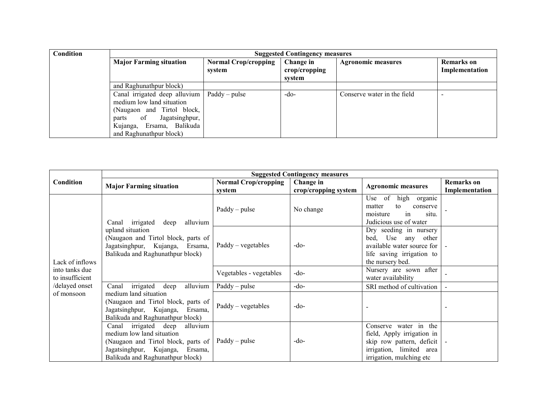| Condition | <b>Suggested Contingency measures</b>                                                                                                                                             |                                       |                                      |                             |                                     |  |  |
|-----------|-----------------------------------------------------------------------------------------------------------------------------------------------------------------------------------|---------------------------------------|--------------------------------------|-----------------------------|-------------------------------------|--|--|
|           | <b>Major Farming situation</b>                                                                                                                                                    | <b>Normal Crop/cropping</b><br>system | Change in<br>crop/cropping<br>svstem | <b>Agronomic measures</b>   | <b>Remarks</b> on<br>Implementation |  |  |
|           | and Raghunathpur block)                                                                                                                                                           |                                       |                                      |                             |                                     |  |  |
|           | Canal irrigated deep alluvium<br>medium low land situation<br>(Naugaon and Tirtol block,<br>Jagatsinghpur,<br>of<br>parts<br>Kujanga, Ersama, Balikuda<br>and Raghunathpur block) | $Paddy - pulse$                       | $-do-$                               | Conserve water in the field |                                     |  |  |

|                                   | <b>Suggested Contingency measures</b>                                                                                                                                             |                                       |                                   |                                                                                                                                          |                                     |  |  |
|-----------------------------------|-----------------------------------------------------------------------------------------------------------------------------------------------------------------------------------|---------------------------------------|-----------------------------------|------------------------------------------------------------------------------------------------------------------------------------------|-------------------------------------|--|--|
| Condition                         | <b>Major Farming situation</b>                                                                                                                                                    | <b>Normal Crop/cropping</b><br>system | Change in<br>crop/cropping system | <b>Agronomic measures</b>                                                                                                                | <b>Remarks</b> on<br>Implementation |  |  |
|                                   | irrigated<br>deep<br>alluvium<br>Canal                                                                                                                                            | $Paddy - pulse$                       | No change                         | Use of<br>high organic<br>matter<br>to<br>conserve<br>in<br>situ.<br>moisture<br>Judicious use of water                                  |                                     |  |  |
| Lack of inflows                   | upland situation<br>(Naugaon and Tirtol block, parts of<br>Jagatsinghpur, Kujanga, Ersama,<br>Balikuda and Raghunathpur block)                                                    | $Paddy - vegetables$                  | $-do-$                            | Dry seeding in nursery<br>bed,<br>Use any other<br>available water source for<br>life saving irrigation to<br>the nursery bed.           |                                     |  |  |
| into tanks due<br>to insufficient |                                                                                                                                                                                   | Vegetables - vegetables               | $-do-$                            | Nursery are sown after<br>water availability                                                                                             |                                     |  |  |
| /delayed onset                    | alluvium<br>irrigated deep<br>Canal                                                                                                                                               | $Paddy - pulse$                       | $-do-$                            | SRI method of cultivation                                                                                                                |                                     |  |  |
| of monsoon                        | medium land situation<br>(Naugaon and Tirtol block, parts of<br>Jagatsinghpur, Kujanga,<br>Ersama,<br>Balikuda and Raghunathpur block)                                            | $Paddy - vegetables$                  | $-do-$                            |                                                                                                                                          |                                     |  |  |
|                                   | irrigated deep<br>alluvium<br>Canal<br>medium low land situation<br>(Naugaon and Tirtol block, parts of<br>Jagatsinghpur, Kujanga,<br>Ersama,<br>Balikuda and Raghunathpur block) | Paddy – pulse                         | $-do-$                            | Conserve water in the<br>field, Apply irrigation in<br>skip row pattern, deficit<br>irrigation, limited area<br>irrigation, mulching etc |                                     |  |  |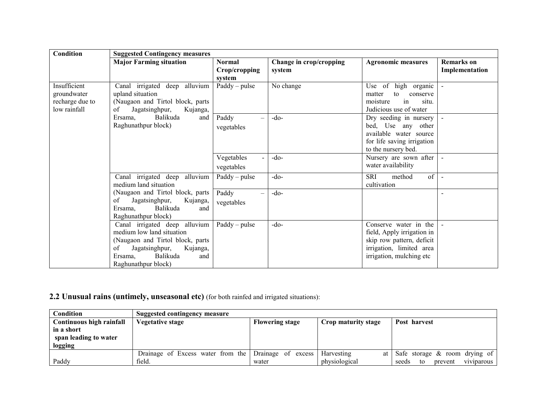| Condition                                                      | <b>Suggested Contingency measures</b>                                                                                                                                                   |                                                 |                                   |                                                                                                                                          |                              |
|----------------------------------------------------------------|-----------------------------------------------------------------------------------------------------------------------------------------------------------------------------------------|-------------------------------------------------|-----------------------------------|------------------------------------------------------------------------------------------------------------------------------------------|------------------------------|
|                                                                | <b>Major Farming situation</b>                                                                                                                                                          | <b>Normal</b><br>Crop/cropping<br>system        | Change in crop/cropping<br>system | <b>Agronomic measures</b>                                                                                                                | Remarks on<br>Implementation |
| Insufficient<br>groundwater<br>recharge due to<br>low rainfall | Canal irrigated deep alluvium<br>upland situation<br>(Naugaon and Tirtol block, parts<br>of<br>Jagatsinghpur,<br>Kujanga,                                                               | $Paddy - pulse$                                 | No change                         | of high organic<br>Use<br>matter<br>to<br>conserve<br>moisture<br>in<br>situ.<br>Judicious use of water                                  |                              |
|                                                                | Balikuda<br>Ersama.<br>and<br>Raghunathpur block)                                                                                                                                       | Paddy<br>$\overline{\phantom{0}}$<br>vegetables | $-do-$                            | Dry seeding in nursery<br>bed, Use any other<br>available water source<br>for life saving irrigation<br>to the nursery bed.              |                              |
|                                                                |                                                                                                                                                                                         | Vegetables<br>vegetables                        | $-do-$                            | Nursery are sown after<br>water availability                                                                                             |                              |
|                                                                | Canal irrigated deep<br>alluvium<br>medium land situation                                                                                                                               | $Paddy - pulse$                                 | $-do$                             | SRI<br>of<br>method<br>cultivation                                                                                                       | $\blacksquare$               |
|                                                                | (Naugaon and Tirtol block, parts<br>Jagatsinghpur,<br>of<br>Kujanga,<br>Ersama,<br>Balikuda<br>and<br>Raghunathpur block)                                                               | Paddy<br>$\overline{\phantom{0}}$<br>vegetables | $-do-$                            |                                                                                                                                          |                              |
|                                                                | Canal irrigated deep alluvium<br>medium low land situation<br>(Naugaon and Tirtol block, parts<br>Jagatsinghpur,<br>of<br>Kujanga,<br>Balikuda<br>Ersama,<br>and<br>Raghunathpur block) | $Paddy - pulse$                                 | $-do-$                            | Conserve water in the<br>field, Apply irrigation in<br>skip row pattern, deficit<br>irrigation, limited area<br>irrigation, mulching etc |                              |

### 2.2 Unusual rains (untimely, unseasonal etc) (for both rainfed and irrigated situations):

| <b>Condition</b>         | Suggested contingency measure                        |                        |                     |                                      |
|--------------------------|------------------------------------------------------|------------------------|---------------------|--------------------------------------|
| Continuous high rainfall | Vegetative stage                                     | <b>Flowering stage</b> | Crop maturity stage | Post harvest                         |
| in a short               |                                                      |                        |                     |                                      |
| span leading to water    |                                                      |                        |                     |                                      |
| logging                  |                                                      |                        |                     |                                      |
|                          | Drainage of Excess water from the Drainage of excess |                        | Harvesting<br>at    | Safe storage $\&$ room drying of     |
| Paddy                    | field.                                               | water                  | physiological       | viviparous<br>prevent<br>seeds<br>to |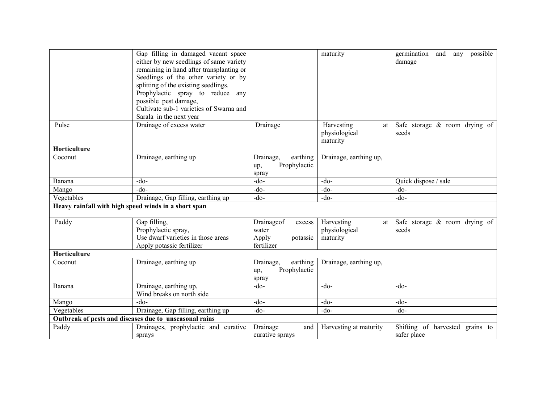|                                                      | Gap filling in damaged vacant space                    |                       | maturity                                      | possible<br>germination<br>and<br>any     |
|------------------------------------------------------|--------------------------------------------------------|-----------------------|-----------------------------------------------|-------------------------------------------|
|                                                      | either by new seedlings of same variety                |                       |                                               | damage                                    |
|                                                      | remaining in hand after transplanting or               |                       |                                               |                                           |
|                                                      | Seedlings of the other variety or by                   |                       |                                               |                                           |
|                                                      | splitting of the existing seedlings.                   |                       |                                               |                                           |
|                                                      | Prophylactic spray to reduce any                       |                       |                                               |                                           |
|                                                      | possible pest damage,                                  |                       |                                               |                                           |
|                                                      | Cultivate sub-1 varieties of Swarna and                |                       |                                               |                                           |
|                                                      | Sarala in the next year                                |                       |                                               |                                           |
| Pulse                                                | Drainage of excess water                               | Drainage              | Harvesting<br>at<br>physiological<br>maturity | Safe storage $\&$ room drying of<br>seeds |
| Horticulture                                         |                                                        |                       |                                               |                                           |
| Coconut                                              | Drainage, earthing up                                  | Drainage,<br>earthing | Drainage, earthing up,                        |                                           |
|                                                      |                                                        | Prophylactic<br>up,   |                                               |                                           |
|                                                      |                                                        | spray                 |                                               |                                           |
| Banana                                               | -do-                                                   | $-do-$                | $-do-$                                        | Quick dispose / sale                      |
| Mango                                                | $-do-$                                                 | $-do-$                | $-do$                                         | $-do-$                                    |
| Vegetables                                           | Drainage, Gap filling, earthing up                     | $-do-$                | $-do-$                                        | $-do-$                                    |
| Heavy rainfall with high speed winds in a short span |                                                        |                       |                                               |                                           |
| Paddy                                                | Gap filling,                                           | Drainageof<br>excess  | Harvesting<br>at                              | Safe storage $\&$ room drying of          |
|                                                      | Prophylactic spray,                                    | water                 | physiological                                 | seeds                                     |
|                                                      | Use dwarf varieties in those areas                     | Apply<br>potassic     | maturity                                      |                                           |
|                                                      | Apply potassic fertilizer                              | fertilizer            |                                               |                                           |
| Horticulture                                         |                                                        |                       |                                               |                                           |
| Coconut                                              | Drainage, earthing up                                  | earthing<br>Drainage, | Drainage, earthing up,                        |                                           |
|                                                      |                                                        | Prophylactic<br>up,   |                                               |                                           |
|                                                      |                                                        | spray                 |                                               |                                           |
| Banana                                               | Drainage, earthing up,                                 | -do-                  | $-do-$                                        | $-do-$                                    |
|                                                      | Wind breaks on north side                              |                       |                                               |                                           |
| Mango                                                | $-do-$                                                 | $-do-$                | $-do$                                         | $-do$ -                                   |
| Vegetables                                           | Drainage, Gap filling, earthing up                     | $-do-$                | $-do$                                         | $-do-$                                    |
|                                                      | Outbreak of pests and diseases due to unseasonal rains |                       |                                               |                                           |
| Paddy                                                | Drainages, prophylactic and curative                   | Drainage<br>and       | Harvesting at maturity                        | Shifting of harvested grains to           |
|                                                      | sprays                                                 | curative sprays       |                                               | safer place                               |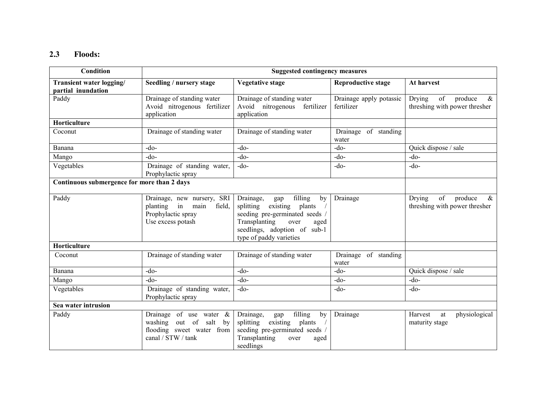### 2.3 Floods:

| Condition                                             | <b>Suggested contingency measures</b>                                                                            |                                                                                                                                                                                              |                                       |                                                                  |
|-------------------------------------------------------|------------------------------------------------------------------------------------------------------------------|----------------------------------------------------------------------------------------------------------------------------------------------------------------------------------------------|---------------------------------------|------------------------------------------------------------------|
| <b>Transient water logging/</b><br>partial inundation | Seedling / nursery stage                                                                                         | <b>Vegetative stage</b>                                                                                                                                                                      | <b>Reproductive stage</b>             | At harvest                                                       |
| Paddy                                                 | Drainage of standing water<br>Avoid nitrogenous fertilizer<br>application                                        | Drainage of standing water<br>Avoid nitrogenous fertilizer<br>application                                                                                                                    | Drainage apply potassic<br>fertilizer | Drying<br>of<br>produce<br>$\&$<br>threshing with power thresher |
| Horticulture                                          |                                                                                                                  |                                                                                                                                                                                              |                                       |                                                                  |
| Coconut                                               | Drainage of standing water                                                                                       | Drainage of standing water                                                                                                                                                                   | Drainage of standing<br>water         |                                                                  |
| Banana                                                | $-do-$                                                                                                           | $-do-$                                                                                                                                                                                       | $-do-$                                | Quick dispose / sale                                             |
| Mango                                                 | $-do$                                                                                                            | $-do-$                                                                                                                                                                                       | $-do-$                                | $-do-$                                                           |
| Vegetables                                            | Drainage of standing water,<br>Prophylactic spray                                                                | $-do$                                                                                                                                                                                        | $-do-$                                | $-do-$                                                           |
| Continuous submergence for more than 2 days           |                                                                                                                  |                                                                                                                                                                                              |                                       |                                                                  |
| Paddy                                                 | Drainage, new nursery, SRI<br>in<br>main<br>field,<br>planting<br>Prophylactic spray<br>Use excess potash        | filling<br>Drainage,<br>gap<br>by<br>splitting existing plants<br>seeding pre-germinated seeds /<br>Transplanting<br>over<br>aged<br>seedlings, adoption of sub-1<br>type of paddy varieties | Drainage                              | produce<br>of<br>Drying<br>$\&$<br>threshing with power thresher |
| Horticulture                                          |                                                                                                                  |                                                                                                                                                                                              |                                       |                                                                  |
| Coconut                                               | Drainage of standing water                                                                                       | Drainage of standing water                                                                                                                                                                   | Drainage of standing<br>water         |                                                                  |
| Banana                                                | $-do$                                                                                                            | $-do$                                                                                                                                                                                        | $-do-$                                | Quick dispose / sale                                             |
| Mango                                                 | -do-                                                                                                             | $-do$                                                                                                                                                                                        | $-do-$                                | $-do-$                                                           |
| Vegetables                                            | Drainage of standing water,<br>Prophylactic spray                                                                | $-do$                                                                                                                                                                                        | $-do-$                                | $-do-$                                                           |
| Sea water intrusion                                   |                                                                                                                  |                                                                                                                                                                                              |                                       |                                                                  |
| Paddy                                                 | Drainage of use water $\&$<br>washing<br>out of<br>salt<br>by<br>flooding sweet water from<br>canal / STW / tank | filling<br>Drainage,<br>by<br>gap<br>existing plants<br>splitting<br>seeding pre-germinated seeds /<br>Transplanting<br>over<br>aged<br>seedlings                                            | Drainage                              | physiological<br>Harvest<br>at<br>maturity stage                 |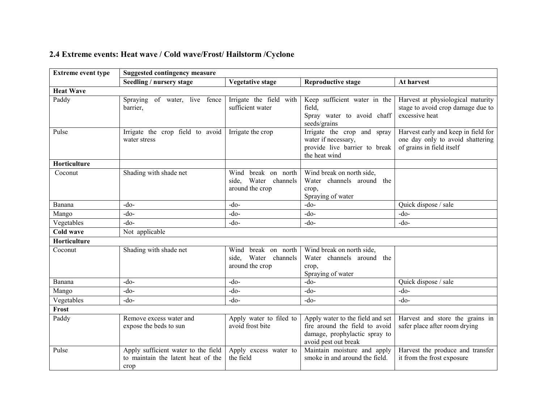### 2.4 Extreme events: Heat wave / Cold wave/Frost/ Hailstorm /Cyclone

| <b>Extreme event type</b> | <b>Suggested contingency measure</b>                                              |                                                                |                                                                                                                             |                                                                                                      |
|---------------------------|-----------------------------------------------------------------------------------|----------------------------------------------------------------|-----------------------------------------------------------------------------------------------------------------------------|------------------------------------------------------------------------------------------------------|
|                           | Seedling / nursery stage                                                          | <b>Vegetative stage</b>                                        | <b>Reproductive stage</b>                                                                                                   | At harvest                                                                                           |
| <b>Heat Wave</b>          |                                                                                   |                                                                |                                                                                                                             |                                                                                                      |
| Paddy                     | Spraying of water, live fence<br>barrier,                                         | Irrigate the field with<br>sufficient water                    | Keep sufficient water in the<br>field.<br>Spray water to avoid chaff<br>seeds/grains                                        | Harvest at physiological maturity<br>stage to avoid crop damage due to<br>excessive heat             |
| Pulse                     | Irrigate the crop field to avoid<br>water stress                                  | Irrigate the crop                                              | Irrigate the crop and spray<br>water if necessary,<br>provide live barrier to break<br>the heat wind                        | Harvest early and keep in field for<br>one day only to avoid shattering<br>of grains in field itself |
| Horticulture              |                                                                                   |                                                                |                                                                                                                             |                                                                                                      |
| Coconut                   | Shading with shade net                                                            | Wind break on north<br>side, Water channels<br>around the crop | Wind break on north side,<br>Water channels around the<br>crop,<br>Spraying of water                                        |                                                                                                      |
| Banana                    | $-do-$                                                                            | $-do$                                                          | $-do-$                                                                                                                      | Quick dispose / sale                                                                                 |
| Mango                     | $-do$                                                                             | $-do-$                                                         | $-do-$                                                                                                                      | $-do$                                                                                                |
| Vegetables                | $-do$                                                                             | $-do-$                                                         | $-do-$                                                                                                                      | $-do-$                                                                                               |
| Cold wave                 | Not applicable                                                                    |                                                                |                                                                                                                             |                                                                                                      |
| Horticulture              |                                                                                   |                                                                |                                                                                                                             |                                                                                                      |
| Coconut                   | Shading with shade net                                                            | Wind break on north<br>side, Water channels<br>around the crop | Wind break on north side.<br>Water channels around the<br>crop,<br>Spraying of water                                        |                                                                                                      |
| Banana                    | $-do$                                                                             | $-do-$                                                         | $-do-$                                                                                                                      | Quick dispose / sale                                                                                 |
| Mango                     | -do-                                                                              | $-do-$                                                         | $-do-$                                                                                                                      | $-do$                                                                                                |
| Vegetables                | $-do$                                                                             | $-do-$                                                         | $-do-$                                                                                                                      | $-do$                                                                                                |
| Frost                     |                                                                                   |                                                                |                                                                                                                             |                                                                                                      |
| Paddy                     | Remove excess water and<br>expose the beds to sun                                 | Apply water to filed to<br>avoid frost bite                    | Apply water to the field and set<br>fire around the field to avoid<br>damage, prophylactic spray to<br>avoid pest out break | Harvest and store the grains in<br>safer place after room drying                                     |
| Pulse                     | Apply sufficient water to the field<br>to maintain the latent heat of the<br>crop | Apply excess water to<br>the field                             | Maintain moisture and apply<br>smoke in and around the field.                                                               | Harvest the produce and transfer<br>it from the frost exposure                                       |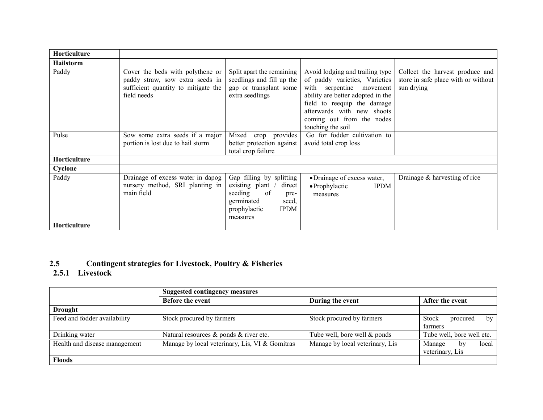| <b>Horticulture</b> |                                                                                                                           |                                                                                                                                                   |                                                                                                                                                                                                                                                  |                                                                                      |
|---------------------|---------------------------------------------------------------------------------------------------------------------------|---------------------------------------------------------------------------------------------------------------------------------------------------|--------------------------------------------------------------------------------------------------------------------------------------------------------------------------------------------------------------------------------------------------|--------------------------------------------------------------------------------------|
| <b>Hailstorm</b>    |                                                                                                                           |                                                                                                                                                   |                                                                                                                                                                                                                                                  |                                                                                      |
| Paddy               | Cover the beds with polythene or<br>paddy straw, sow extra seeds in<br>sufficient quantity to mitigate the<br>field needs | Split apart the remaining<br>seedlings and fill up the<br>gap or transplant some<br>extra seedlings                                               | Avoid lodging and trailing type<br>of paddy varieties, Varieties<br>with serpentine movement<br>ability are better adopted in the<br>field to reequip the damage<br>afterwards with new shoots<br>coming out from the nodes<br>touching the soil | Collect the harvest produce and<br>store in safe place with or without<br>sun drying |
| Pulse               | Sow some extra seeds if a major<br>portion is lost due to hail storm                                                      | Mixed crop provides<br>better protection against<br>total crop failure                                                                            | Go for fodder cultivation to<br>avoid total crop loss                                                                                                                                                                                            |                                                                                      |
| Horticulture        |                                                                                                                           |                                                                                                                                                   |                                                                                                                                                                                                                                                  |                                                                                      |
| Cyclone             |                                                                                                                           |                                                                                                                                                   |                                                                                                                                                                                                                                                  |                                                                                      |
| Paddy               | Drainage of excess water in dapog<br>nursery method, SRI planting in<br>main field                                        | Gap filling by splitting<br>existing plant /<br>direct<br>seeding<br>of<br>pre-<br>germinated<br>seed,<br><b>IPDM</b><br>prophylactic<br>measures | • Drainage of excess water,<br>$\bullet$ Prophylactic<br><b>IPDM</b><br>measures                                                                                                                                                                 | Drainage & harvesting of rice                                                        |
| <b>Horticulture</b> |                                                                                                                           |                                                                                                                                                   |                                                                                                                                                                                                                                                  |                                                                                      |

## 2.5 Contingent strategies for Livestock, Poultry & Fisheries 2.5.1 Livestock

|                               | <b>Suggested contingency measures</b>          |                                 |                                          |
|-------------------------------|------------------------------------------------|---------------------------------|------------------------------------------|
|                               | <b>Before the event</b>                        | During the event                | After the event                          |
| <b>Drought</b>                |                                                |                                 |                                          |
| Feed and fodder availability  | Stock procured by farmers                      | Stock procured by farmers       | Stock<br>by<br>procured<br>farmers       |
| Drinking water                | Natural resources $\&$ ponds $\&$ river etc.   | Tube well, bore well & ponds    | Tube well, bore well etc.                |
| Health and disease management | Manage by local veterinary, Lis, VI & Gomitras | Manage by local veterinary, Lis | Manage<br>local<br>by<br>veterinary, Lis |
| <b>Floods</b>                 |                                                |                                 |                                          |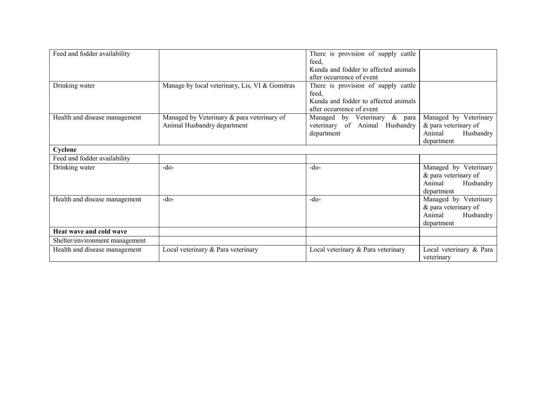| Feed and fodder availability   |                                                                           | There is provision of supply cattle<br>feed.<br>Kunda and fodder to affected animals<br>after occurrence of event |                                                                                    |
|--------------------------------|---------------------------------------------------------------------------|-------------------------------------------------------------------------------------------------------------------|------------------------------------------------------------------------------------|
| Drinking water                 | Manage by local veterinary, Lis, VI & Gomitras                            | There is provision of supply cattle<br>feed,<br>Kunda and fodder to affected animals<br>after occurrence of event |                                                                                    |
| Health and disease management  | Managed by Veterinary & para veterinary of<br>Animal Husbandry department | $\&$<br>Managed by Veterinary<br>para<br>veterinary of Animal Husbandry<br>department                             | Managed by Veterinary<br>& para veterinary of<br>Animal<br>Husbandry<br>department |
| Cyclone                        |                                                                           |                                                                                                                   |                                                                                    |
| Feed and fodder availability   |                                                                           |                                                                                                                   |                                                                                    |
| Drinking water                 | $-do-$                                                                    | $-do$                                                                                                             | Managed by Veterinary<br>& para veterinary of<br>Animal<br>Husbandry<br>department |
| Health and disease management  | $-do-$                                                                    | $-do-$                                                                                                            | Managed by Veterinary<br>& para veterinary of<br>Animal<br>Husbandry<br>department |
| Heat wave and cold wave        |                                                                           |                                                                                                                   |                                                                                    |
| Shelter/environment management |                                                                           |                                                                                                                   |                                                                                    |
| Health and disease management  | Local veterinary & Para veterinary                                        | Local veterinary & Para veterinary                                                                                | Local veterinary & Para<br>veterinary                                              |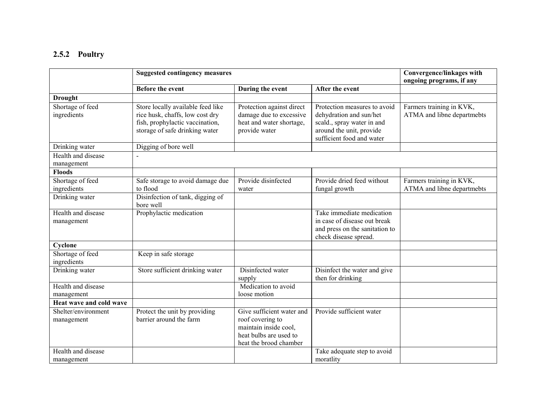### 2.5.2 Poultry

|                                   | <b>Suggested contingency measures</b>                                                                                                     |                                                                                                                            |                                                                                                                                                | Convergence/linkages with<br>ongoing programs, if any  |
|-----------------------------------|-------------------------------------------------------------------------------------------------------------------------------------------|----------------------------------------------------------------------------------------------------------------------------|------------------------------------------------------------------------------------------------------------------------------------------------|--------------------------------------------------------|
|                                   | <b>Before the event</b>                                                                                                                   | During the event                                                                                                           | After the event                                                                                                                                |                                                        |
| <b>Drought</b>                    |                                                                                                                                           |                                                                                                                            |                                                                                                                                                |                                                        |
| Shortage of feed<br>ingredients   | Store locally available feed like<br>rice husk, chaffs, low cost dry<br>fish, prophylactic vaccination,<br>storage of safe drinking water | Protection against direct<br>damage due to excessive<br>heat and water shortage,<br>provide water                          | Protection measures to avoid<br>dehydration and sun/het<br>scald., spray water in and<br>around the unit, provide<br>sufficient food and water | Farmers training in KVK,<br>ATMA and libne departmebts |
| Drinking water                    | Digging of bore well                                                                                                                      |                                                                                                                            |                                                                                                                                                |                                                        |
| Health and disease<br>management  |                                                                                                                                           |                                                                                                                            |                                                                                                                                                |                                                        |
| <b>Floods</b>                     |                                                                                                                                           |                                                                                                                            |                                                                                                                                                |                                                        |
| Shortage of feed<br>ingredients   | Safe storage to avoid damage due<br>to flood                                                                                              | Provide disinfected<br>water                                                                                               | Provide dried feed without<br>fungal growth                                                                                                    | Farmers training in KVK,<br>ATMA and libne departmebts |
| Drinking water                    | Disinfection of tank, digging of<br>bore well                                                                                             |                                                                                                                            |                                                                                                                                                |                                                        |
| Health and disease<br>management  | Prophylactic medication                                                                                                                   |                                                                                                                            | Take immediate medication<br>in case of disease out break<br>and press on the sanitation to<br>check disease spread.                           |                                                        |
| Cyclone                           |                                                                                                                                           |                                                                                                                            |                                                                                                                                                |                                                        |
| Shortage of feed<br>ingredients   | Keep in safe storage                                                                                                                      |                                                                                                                            |                                                                                                                                                |                                                        |
| Drinking water                    | Store sufficient drinking water                                                                                                           | Disinfected water<br>supply                                                                                                | Disinfect the water and give<br>then for drinking                                                                                              |                                                        |
| Health and disease<br>management  |                                                                                                                                           | Medication to avoid<br>loose motion                                                                                        |                                                                                                                                                |                                                        |
| Heat wave and cold wave           |                                                                                                                                           |                                                                                                                            |                                                                                                                                                |                                                        |
| Shelter/environment<br>management | Protect the unit by providing<br>barrier around the farm                                                                                  | Give sufficient water and<br>roof covering to<br>maintain inside cool.<br>heat bulbs are used to<br>heat the brood chamber | Provide sufficient water                                                                                                                       |                                                        |
| Health and disease<br>management  |                                                                                                                                           |                                                                                                                            | Take adequate step to avoid<br>moratlity                                                                                                       |                                                        |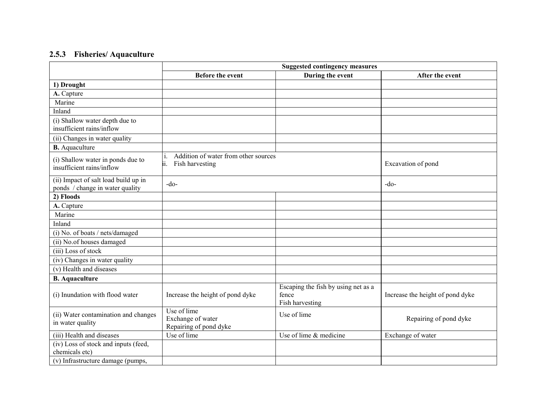### 2.5.3 Fisheries/ Aquaculture

|                                                                                             | <b>Suggested contingency measures</b>                                |                                                                 |                                  |
|---------------------------------------------------------------------------------------------|----------------------------------------------------------------------|-----------------------------------------------------------------|----------------------------------|
|                                                                                             | <b>Before the event</b>                                              | During the event                                                | After the event                  |
| 1) Drought                                                                                  |                                                                      |                                                                 |                                  |
| A. Capture                                                                                  |                                                                      |                                                                 |                                  |
| Marine                                                                                      |                                                                      |                                                                 |                                  |
| Inland                                                                                      |                                                                      |                                                                 |                                  |
| (i) Shallow water depth due to<br>insufficient rains/inflow                                 |                                                                      |                                                                 |                                  |
| (ii) Changes in water quality                                                               |                                                                      |                                                                 |                                  |
| <b>B.</b> Aquaculture                                                                       |                                                                      |                                                                 |                                  |
| (i) Shallow water in ponds due to<br>insufficient rains/inflow                              | Addition of water from other sources<br>i.<br>Fish harvesting<br>ii. |                                                                 | Excavation of pond               |
| (ii) Impact of salt load build up in<br>ponds / change in water quality                     | $-do-$                                                               |                                                                 | $-do-$                           |
| 2) Floods                                                                                   |                                                                      |                                                                 |                                  |
| A. Capture                                                                                  |                                                                      |                                                                 |                                  |
| Marine                                                                                      |                                                                      |                                                                 |                                  |
| Inland                                                                                      |                                                                      |                                                                 |                                  |
| (i) No. of boats / nets/damaged                                                             |                                                                      |                                                                 |                                  |
| (ii) No.of houses damaged                                                                   |                                                                      |                                                                 |                                  |
| (iii) Loss of stock                                                                         |                                                                      |                                                                 |                                  |
| (iv) Changes in water quality                                                               |                                                                      |                                                                 |                                  |
| (v) Health and diseases                                                                     |                                                                      |                                                                 |                                  |
| <b>B.</b> Aquaculture                                                                       |                                                                      |                                                                 |                                  |
| (i) Inundation with flood water                                                             | Increase the height of pond dyke                                     | Escaping the fish by using net as a<br>fence<br>Fish harvesting | Increase the height of pond dyke |
| (ii) Water contamination and changes<br>in water quality                                    | Use of lime<br>Exchange of water<br>Repairing of pond dyke           | Use of lime                                                     | Repairing of pond dyke           |
| (iii) Health and diseases                                                                   | Use of lime                                                          | Use of lime & medicine                                          | Exchange of water                |
| (iv) Loss of stock and inputs (feed,<br>chemicals etc)<br>(v) Infrastructure damage (pumps, |                                                                      |                                                                 |                                  |
|                                                                                             |                                                                      |                                                                 |                                  |